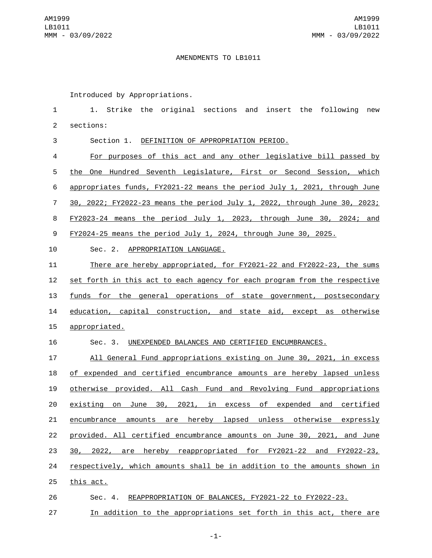## AMENDMENTS TO LB1011

Introduced by Appropriations.

 1. Strike the original sections and insert the following new 2 sections: Section 1. DEFINITION OF APPROPRIATION PERIOD. For purposes of this act and any other legislative bill passed by the One Hundred Seventh Legislature, First or Second Session, which appropriates funds, FY2021-22 means the period July 1, 2021, through June 30, 2022; FY2022-23 means the period July 1, 2022, through June 30, 2023; FY2023-24 means the period July 1, 2023, through June 30, 2024; and FY2024-25 means the period July 1, 2024, through June 30, 2025. 10 Sec. 2. APPROPRIATION LANGUAGE. There are hereby appropriated, for FY2021-22 and FY2022-23, the sums set forth in this act to each agency for each program from the respective funds for the general operations of state government, postsecondary education, capital construction, and state aid, except as otherwise 15 appropriated. Sec. 3. UNEXPENDED BALANCES AND CERTIFIED ENCUMBRANCES. All General Fund appropriations existing on June 30, 2021, in excess of expended and certified encumbrance amounts are hereby lapsed unless otherwise provided. All Cash Fund and Revolving Fund appropriations existing on June 30, 2021, in excess of expended and certified encumbrance amounts are hereby lapsed unless otherwise expressly provided. All certified encumbrance amounts on June 30, 2021, and June 30, 2022, are hereby reappropriated for FY2021-22 and FY2022-23, respectively, which amounts shall be in addition to the amounts shown in

- 25 this act.
- Sec. 4. REAPPROPRIATION OF BALANCES, FY2021-22 to FY2022-23.
- In addition to the appropriations set forth in this act, there are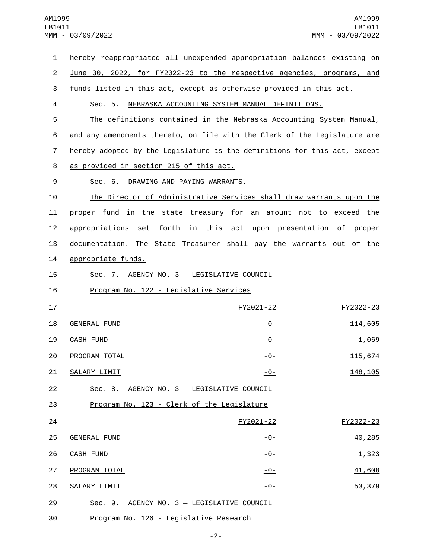| 1              | hereby reappropriated all unexpended appropriation balances existing on   |               |           |
|----------------|---------------------------------------------------------------------------|---------------|-----------|
| $\overline{2}$ | June 30, 2022, for FY2022-23 to the respective agencies, programs, and    |               |           |
| 3              | funds listed in this act, except as otherwise provided in this act.       |               |           |
| 4              | Sec. 5.<br>NEBRASKA ACCOUNTING SYSTEM MANUAL DEFINITIONS.                 |               |           |
| 5              | The definitions contained in the Nebraska Accounting System Manual,       |               |           |
| 6              | and any amendments thereto, on file with the Clerk of the Legislature are |               |           |
| 7              | hereby adopted by the Legislature as the definitions for this act, except |               |           |
| 8              | as provided in section 215 of this act.                                   |               |           |
| 9              | Sec. 6. DRAWING AND PAYING WARRANTS.                                      |               |           |
| 10             | The Director of Administrative Services shall draw warrants upon the      |               |           |
| 11             | proper fund in the state treasury for an amount not to exceed the         |               |           |
| 12             | appropriations set forth in this act upon presentation of proper          |               |           |
| 13             | documentation. The State Treasurer shall pay the warrants out of the      |               |           |
| 14             | appropriate funds.                                                        |               |           |
| 15             | Sec. 7. AGENCY NO. 3 - LEGISLATIVE COUNCIL                                |               |           |
| 16             | Program No. 122 - Legislative Services                                    |               |           |
| 17             |                                                                           | FY2021-22     | FY2022-23 |
| 18             | <b>GENERAL FUND</b>                                                       | <u>-0-</u>    | 114,605   |
| 19             | <b>CASH FUND</b>                                                          | <u>- 0 - </u> | 1,069     |
| 20             | PROGRAM TOTAL                                                             | $-0-$         | 115,674   |
| 21             | SALARY LIMIT                                                              | $-0-$         | 148, 105  |
| 22             | Sec. 8. AGENCY NO. 3 - LEGISLATIVE COUNCIL                                |               |           |
| 23             | Program No. 123 - Clerk of the Legislature                                |               |           |
| 24             |                                                                           | FY2021-22     | FY2022-23 |
| 25             | <b>GENERAL FUND</b>                                                       | <u>-0-</u>    | 40,285    |
| 26             | <b>CASH FUND</b>                                                          | $-0-$         | 1,323     |
| 27             | PROGRAM TOTAL                                                             | $-0-$         | 41,608    |
| 28             | SALARY LIMIT                                                              | $-0-$         | 53,379    |
| 29             | Sec. 9.<br>AGENCY NO. 3 - LEGISLATIVE COUNCIL                             |               |           |
| 30             | Program No. 126 - Legislative Research                                    |               |           |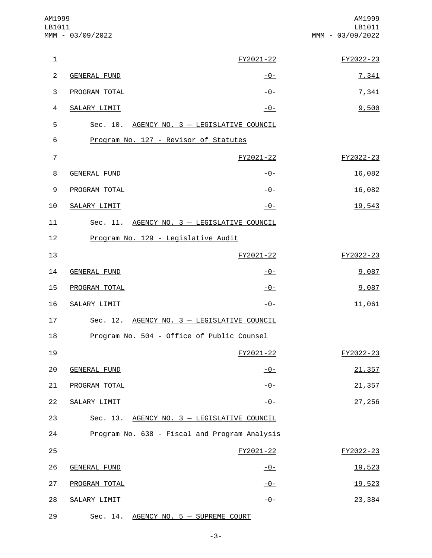| AM1999<br>LB1011 | MMM - 03/09/2022                      |                                               | AM1999<br>LB1011<br>MMM - 03/09/2022 |
|------------------|---------------------------------------|-----------------------------------------------|--------------------------------------|
| $\mathbf{1}$     |                                       | FY2021-22                                     | FY2022-23                            |
| $\overline{c}$   | <b>GENERAL FUND</b>                   | <u>- 0 - </u>                                 | 7,341                                |
| 3                | PROGRAM TOTAL                         | $-0-$                                         | 7,341                                |
| $\overline{4}$   | SALARY LIMIT                          | $-0-$                                         | 9,500                                |
| 5                |                                       | Sec. 10. AGENCY NO. 3 - LEGISLATIVE COUNCIL   |                                      |
| 6                | Program No. 127 - Revisor of Statutes |                                               |                                      |
| $\overline{7}$   |                                       | FY2021-22                                     | FY2022-23                            |
| 8                | <b>GENERAL FUND</b>                   | $-0-$                                         | 16,082                               |
| 9                | PROGRAM TOTAL                         | $-0-$                                         | 16,082                               |
| 10               | SALARY LIMIT                          | $-0-$                                         | 19,543                               |
| 11               |                                       | Sec. 11. AGENCY NO. 3 - LEGISLATIVE COUNCIL   |                                      |
| 12               | Program No. 129 - Legislative Audit   |                                               |                                      |
| 13               |                                       | FY2021-22                                     | FY2022-23                            |
| 14               | GENERAL FUND                          | $-0-$                                         | 9,087                                |
| 15               | PROGRAM TOTAL                         | $-0-$                                         | 9,087                                |
| 16               | SALARY LIMIT                          | $-0-$                                         | 11,061                               |
| 17               |                                       | Sec. 12. AGENCY NO. 3 - LEGISLATIVE COUNCIL   |                                      |
| 18               |                                       | Program No. 504 - Office of Public Counsel    |                                      |
| 19               |                                       | FY2021-22                                     | FY2022-23                            |
| 20               | <b>GENERAL FUND</b>                   | $-0-$                                         | 21,357                               |
| 21               | PROGRAM TOTAL                         | $-0-$                                         | 21,357                               |
| 22               | <b>SALARY LIMIT</b>                   | $-0-$                                         | 27,256                               |
| 23               |                                       | Sec. 13. AGENCY NO. 3 - LEGISLATIVE COUNCIL   |                                      |
| 24               |                                       | Program No. 638 - Fiscal and Program Analysis |                                      |
| 25               |                                       | FY2021-22                                     | FY2022-23                            |
| 26               | <b>GENERAL FUND</b>                   | $-0-$                                         | 19,523                               |
| 27               | PROGRAM TOTAL                         | $-0-$                                         | 19,523                               |
| 28               | SALARY LIMIT                          | $-0-$                                         | 23,384                               |
| 29               | Sec. 14.                              | AGENCY NO. 5 - SUPREME COURT                  |                                      |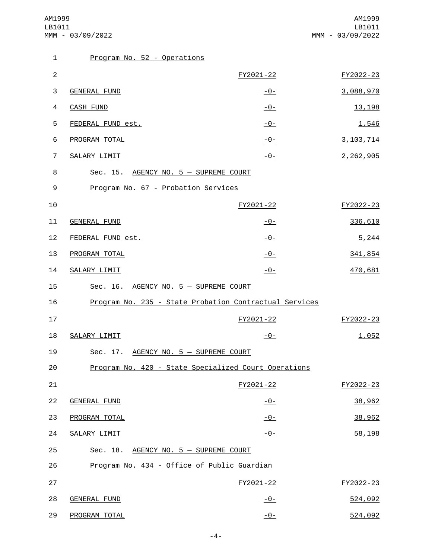| $\mathbf{1}$   | Program No. 52 - Operations                 |                                                        |             |
|----------------|---------------------------------------------|--------------------------------------------------------|-------------|
| $\overline{2}$ |                                             | FY2021-22                                              | FY2022-23   |
| 3              | GENERAL FUND                                | $-0-$                                                  | 3,088,970   |
| 4              | <b>CASH FUND</b>                            | $-0-$                                                  | 13, 198     |
| 5              | FEDERAL FUND est.                           | $-$ 0 –                                                | 1,546       |
| 6              | PROGRAM TOTAL                               | $-0-$                                                  | 3, 103, 714 |
| 7              | SALARY LIMIT                                | $-0-$                                                  | 2,262,905   |
| 8              | Sec. 15. AGENCY NO. 5 - SUPREME COURT       |                                                        |             |
| 9              | Program No. 67 - Probation Services         |                                                        |             |
| 10             |                                             | FY2021-22                                              | FY2022-23   |
| 11             | <b>GENERAL FUND</b>                         | $-0-$                                                  | 336,610     |
| 12             | FEDERAL FUND est.                           | $-0-$                                                  | 5,244       |
| 13             | PROGRAM TOTAL                               | $-0-$                                                  | 341,854     |
| 14             | SALARY LIMIT                                | $-0-$                                                  | 470,681     |
| 15             | Sec. 16. AGENCY NO. 5 - SUPREME COURT       |                                                        |             |
| 16             |                                             | Program No. 235 - State Probation Contractual Services |             |
| 17             |                                             | FY2021-22                                              | FY2022-23   |
| 18             | SALARY LIMIT                                | $-0-$                                                  | 1,052       |
| 19             | Sec. 17. AGENCY NO. 5 - SUPREME COURT       |                                                        |             |
| 20             |                                             | Program No. 420 - State Specialized Court Operations   |             |
| 21             |                                             | FY2021-22                                              | FY2022-23   |
| 22             | <b>GENERAL FUND</b>                         | $-0-$                                                  | 38,962      |
| 23             | PROGRAM TOTAL                               | $-0-$                                                  | 38,962      |
| 24             | SALARY LIMIT                                | $-0-$                                                  | 58,198      |
| 25             | Sec. 18. AGENCY NO. 5 - SUPREME COURT       |                                                        |             |
| 26             | Program No. 434 - Office of Public Guardian |                                                        |             |
| 27             |                                             | FY2021-22                                              | FY2022-23   |
| 28             | <b>GENERAL FUND</b>                         | <u> - 0 - </u>                                         | 524,092     |
| 29             | PROGRAM TOTAL                               | $-0-$                                                  | 524,092     |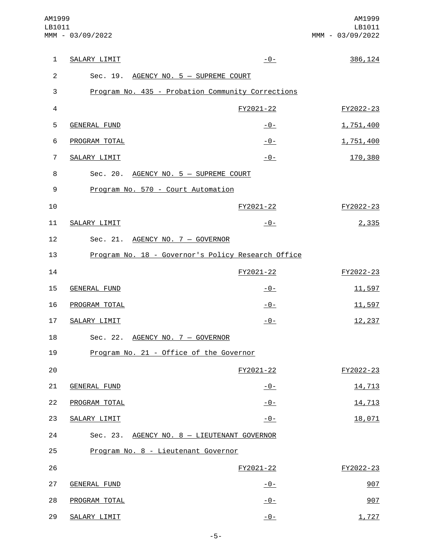| $\mathbf{1}$   | SALARY LIMIT                            | $-0-$                                              | 386, 124  |
|----------------|-----------------------------------------|----------------------------------------------------|-----------|
| 2              | Sec. 19. AGENCY NO. 5 - SUPREME COURT   |                                                    |           |
| 3              |                                         | Program No. 435 - Probation Community Corrections  |           |
| $\overline{4}$ |                                         | FY2021-22                                          | FY2022-23 |
| 5              | <b>GENERAL FUND</b>                     | $-0-$                                              | 1,751,400 |
| 6              | PROGRAM TOTAL                           | $-0-$                                              | 1,751,400 |
| $\overline{7}$ | SALARY LIMIT                            | $-0-$                                              | 170,380   |
| 8              | Sec. 20. AGENCY NO. 5 - SUPREME COURT   |                                                    |           |
| 9              | Program No. 570 - Court Automation      |                                                    |           |
| 10             |                                         | FY2021-22                                          | FY2022-23 |
| 11             | SALARY LIMIT                            | $-0-$                                              | 2,335     |
| 12             | Sec. 21. AGENCY NO. 7 - GOVERNOR        |                                                    |           |
| 13             |                                         | Program No. 18 - Governor's Policy Research Office |           |
| 14             |                                         | FY2021-22                                          | FY2022-23 |
| 15             | <b>GENERAL FUND</b>                     | <u> - 0 - </u>                                     | 11,597    |
| 16             | PROGRAM TOTAL                           | $-0-$                                              | 11,597    |
| 17             | SALARY LIMIT                            | $-0-$                                              | 12,237    |
| 18             | Sec. 22. AGENCY NO. 7 - GOVERNOR        |                                                    |           |
| 19             | Program No. 21 - Office of the Governor |                                                    |           |
| 20             |                                         | FY2021-22                                          | FY2022-23 |
| 21             | <b>GENERAL FUND</b>                     | $-0-$                                              | 14,713    |
| 22             | PROGRAM TOTAL                           | $-0-$                                              | 14,713    |
| 23             | SALARY LIMIT                            | $-0-$                                              | 18,071    |
| 24             |                                         | Sec. 23. AGENCY NO. 8 - LIEUTENANT GOVERNOR        |           |
| 25             | Program No. 8 - Lieutenant Governor     |                                                    |           |
| 26             |                                         | FY2021-22                                          | FY2022-23 |
| 27             | <b>GENERAL FUND</b>                     | $-0-$                                              | 907       |
| 28             | PROGRAM TOTAL                           | $-0-$                                              | 907       |
| 29             | SALARY LIMIT                            | $ \Theta$ –                                        | 1,727     |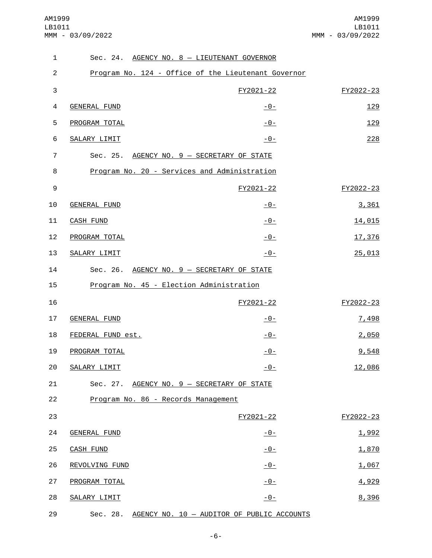AM1999 LB1011 MMM - 03/09/2022

| $\mathbf{1}$     | Sec. 24. AGENCY NO. 8 - LIEUTENANT GOVERNOR         |                |           |
|------------------|-----------------------------------------------------|----------------|-----------|
| $\overline{c}$   | Program No. 124 - Office of the Lieutenant Governor |                |           |
| 3                |                                                     | FY2021-22      | FY2022-23 |
| 4                | <b>GENERAL FUND</b>                                 | $-0-$          | 129       |
| 5                | PROGRAM TOTAL                                       | $-0-$          | 129       |
| 6                | SALARY LIMIT                                        | $-0-$          | 228       |
| $\overline{7}$   | Sec. 25. AGENCY NO. 9 - SECRETARY OF STATE          |                |           |
| 8                | Program No. 20 - Services and Administration        |                |           |
| $\boldsymbol{9}$ |                                                     | FY2021-22      | FY2022-23 |
| 10               | <b>GENERAL FUND</b>                                 | $-0-$          | 3,361     |
| 11               | <b>CASH FUND</b>                                    | $-0-$          | 14,015    |
| 12               | PROGRAM TOTAL                                       | $-0-$          | 17,376    |
| 13               | SALARY LIMIT                                        | $-0-$          | 25,013    |
| 14               | Sec. 26. AGENCY NO. 9 - SECRETARY OF STATE          |                |           |
| 15               | Program No. 45 - Election Administration            |                |           |
| 16               |                                                     | FY2021-22      | FY2022-23 |
| 17               | <b>GENERAL FUND</b>                                 | $-0-$          | 7,498     |
| 18               | FEDERAL FUND est.                                   | -0-            | 2,050     |
| 19               | PROGRAM TOTAL                                       | <u> - 0 - </u> | 9,548     |
| 20               | SALARY LIMIT                                        | $-0-$          | 12,086    |
| 21               | Sec. 27. AGENCY NO. 9 - SECRETARY OF STATE          |                |           |
| 22               | Program No. 86 - Records Management                 |                |           |
| 23               |                                                     | FY2021-22      | FY2022-23 |
| 24               | <b>GENERAL FUND</b>                                 | $-0-$          | 1,992     |
| 25               | <b>CASH FUND</b>                                    | $ \Theta$ –    | 1,870     |
| 26               | REVOLVING FUND                                      | $-0-$          | 1,067     |
| 27               | PROGRAM TOTAL                                       | $-0-$          | 4,929     |
| 28               | SALARY LIMIT                                        | $-0-$          | 8,396     |
| 29               | Sec. 28. AGENCY NO. 10 - AUDITOR OF PUBLIC ACCOUNTS |                |           |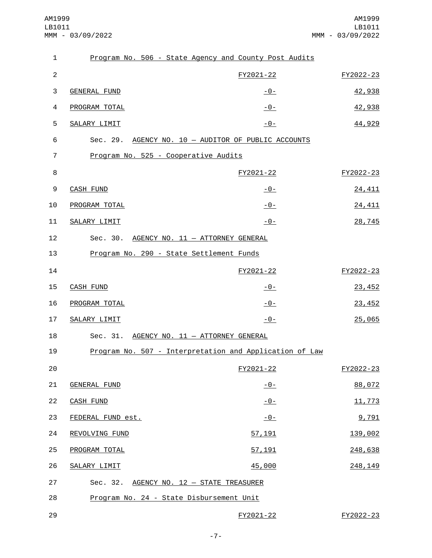| $\mathbf{1}$   | Program No. 506 - State Agency and County Post Audits |                                                         |           |
|----------------|-------------------------------------------------------|---------------------------------------------------------|-----------|
| $\overline{2}$ |                                                       | FY2021-22                                               | FY2022-23 |
| 3              | GENERAL FUND                                          | $-0-$                                                   | 42,938    |
| 4              | PROGRAM TOTAL                                         | $-0-$                                                   | 42,938    |
| 5              | SALARY LIMIT                                          | $-0-$                                                   | 44,929    |
| 6              |                                                       | Sec. 29. AGENCY NO. 10 - AUDITOR OF PUBLIC ACCOUNTS     |           |
| $\overline{7}$ | Program No. 525 - Cooperative Audits                  |                                                         |           |
| 8              |                                                       | FY2021-22                                               | FY2022-23 |
| 9              | <b>CASH FUND</b>                                      | <u> - 0 - </u>                                          | 24,411    |
| 10             | PROGRAM TOTAL                                         | $-0-$                                                   | 24,411    |
| 11             | SALARY LIMIT                                          | $-0-$                                                   | 28,745    |
| 12             | Sec. 30. AGENCY NO. 11 - ATTORNEY GENERAL             |                                                         |           |
| 13             | Program No. 290 - State Settlement Funds              |                                                         |           |
| 14             |                                                       | FY2021-22                                               | FY2022-23 |
| 15             | <b>CASH FUND</b>                                      | $-0-$                                                   | 23,452    |
| 16             | PROGRAM TOTAL                                         | $-0-$                                                   | 23,452    |
| 17             | <b>SALARY LIMIT</b>                                   | $-0-$                                                   | 25,065    |
| 18             | Sec. 31. AGENCY NO. 11 - ATTORNEY GENERAL             |                                                         |           |
| 19             |                                                       | Program No. 507 - Interpretation and Application of Law |           |
| 20             |                                                       | FY2021-22                                               | FY2022-23 |
| 21             | <b>GENERAL FUND</b>                                   | $-0-$                                                   | 88,072    |
| 22             | <b>CASH FUND</b>                                      | $-0-$                                                   | 11,773    |
| 23             | FEDERAL FUND est.                                     | $-0-$                                                   | 9,791     |
| 24             | REVOLVING FUND                                        | 57, 191                                                 | 139,002   |
| 25             | PROGRAM TOTAL                                         | 57, 191                                                 | 248,638   |
| 26             | SALARY LIMIT                                          | 45,000                                                  | 248, 149  |
| 27             | Sec. 32. AGENCY NO. 12 - STATE TREASURER              |                                                         |           |
| 28             | Program No. 24 - State Disbursement Unit              |                                                         |           |
| 29             |                                                       | FY2021-22                                               | FY2022-23 |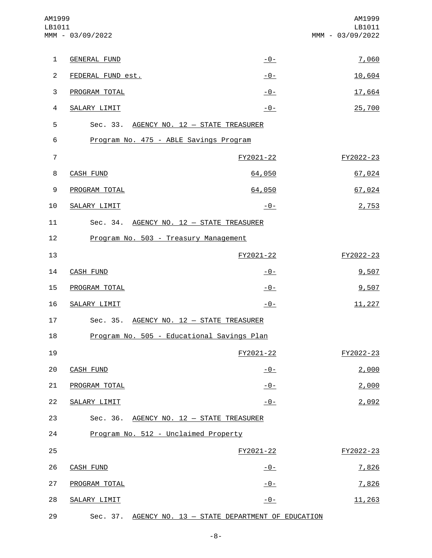| AM1999<br>LB1011 | MMM - 03/09/2022                                       |                | AM1999<br>LB1011<br>MMM - 03/09/2022 |
|------------------|--------------------------------------------------------|----------------|--------------------------------------|
| $\mathbf{1}$     | <b>GENERAL FUND</b>                                    | $-0-$          | 7,060                                |
| $\overline{2}$   | FEDERAL FUND est.                                      | <u> - 0 - </u> | 10,604                               |
| $\sqrt{3}$       | PROGRAM TOTAL                                          | $-0-$          | 17,664                               |
| $\overline{4}$   | SALARY LIMIT                                           | $-0-$          | 25,700                               |
| 5                | Sec. 33. AGENCY NO. 12 - STATE TREASURER               |                |                                      |
| 6                | Program No. 475 - ABLE Savings Program                 |                |                                      |
| $\overline{7}$   |                                                        | FY2021-22      | FY2022-23                            |
| 8                | <b>CASH FUND</b>                                       | 64,050         | 67,024                               |
| 9                | PROGRAM TOTAL                                          | 64,050         | 67,024                               |
| 10               | SALARY LIMIT                                           | $-0-$          | 2,753                                |
| 11               | Sec. 34. AGENCY NO. 12 - STATE TREASURER               |                |                                      |
| 12               | Program No. 503 - Treasury Management                  |                |                                      |
| 13               |                                                        | FY2021-22      | FY2022-23                            |
| 14               | CASH FUND                                              | $-0-$          | 9,507                                |
| 15               | PROGRAM TOTAL                                          | $-0-$          | 9,507                                |
| 16               | SALARY LIMIT                                           | $-0-$          | 11,227                               |
| 17               | Sec. 35. AGENCY NO. 12 - STATE TREASURER               |                |                                      |
| 18               | Program No. 505 - Educational Savings Plan             |                |                                      |
| 19               |                                                        | FY2021-22      | FY2022-23                            |
| 20               | <b>CASH FUND</b>                                       | $-0-$          | 2,000                                |
| 21               | PROGRAM TOTAL                                          | $-0-$          | 2,000                                |
| 22               | SALARY LIMIT                                           | $-0-$          | 2,092                                |
| 23               | Sec. 36. AGENCY NO. 12 - STATE TREASURER               |                |                                      |
| 24               | Program No. 512 - Unclaimed Property                   |                |                                      |
| 25               |                                                        | FY2021-22      | FY2022-23                            |
| 26               | <b>CASH FUND</b>                                       | $-0-$          | 7,826                                |
| 27               | PROGRAM TOTAL                                          | $-0-$          | 7,826                                |
| 28               | SALARY LIMIT                                           | $-0-$          | 11,263                               |
| 29               | Sec. 37. AGENCY NO. 13 - STATE DEPARTMENT OF EDUCATION |                |                                      |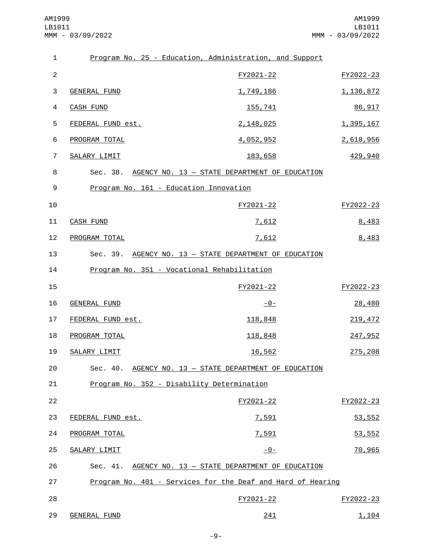| $\mathbf{1}$   |                                            | Program No. 25 - Education, Administration, and Support     |             |
|----------------|--------------------------------------------|-------------------------------------------------------------|-------------|
| $\overline{2}$ |                                            | FY2021-22                                                   | FY2022-23   |
| 3              | <b>GENERAL FUND</b>                        | 1,749,186                                                   | 1, 136, 872 |
| 4              | <b>CASH FUND</b>                           | 155,741                                                     | 86,917      |
| 5              | FEDERAL FUND est.                          | 2,148,025                                                   | 1,395,167   |
| 6              | PROGRAM TOTAL                              | 4,052,952                                                   | 2,618,956   |
| $\overline{7}$ | SALARY LIMIT                               | 183,658                                                     | 429,940     |
| 8              |                                            | Sec. 38. AGENCY NO. 13 - STATE DEPARTMENT OF EDUCATION      |             |
| 9              | Program No. 161 - Education Innovation     |                                                             |             |
| 10             |                                            | FY2021-22                                                   | FY2022-23   |
| 11             | <b>CASH FUND</b>                           | 7,612                                                       | 8,483       |
| 12             | PROGRAM TOTAL                              | 7,612                                                       | 8,483       |
| 13             |                                            | Sec. 39. AGENCY NO. 13 - STATE DEPARTMENT OF EDUCATION      |             |
| 14             |                                            | Program No. 351 - Vocational Rehabilitation                 |             |
| 15             |                                            | FY2021-22                                                   | FY2022-23   |
| 16             | <b>GENERAL FUND</b>                        | $-0-$                                                       | 28,480      |
| 17             | FEDERAL FUND est.                          | 118,848                                                     | 219, 472    |
| 18             | PROGRAM TOTAL                              | 118,848                                                     | 247,952     |
| 19             | SALARY LIMIT                               | 16,562                                                      | 275,208     |
| 20             | Sec. 40.                                   | AGENCY NO. 13 - STATE DEPARTMENT OF EDUCATION               |             |
| 21             | Program No. 352 - Disability Determination |                                                             |             |
| 22             |                                            | FY2021-22                                                   | FY2022-23   |
| 23             | FEDERAL FUND est.                          | 7,591                                                       | 53,552      |
| 24             | PROGRAM TOTAL                              | 7,591                                                       | 53,552      |
| 25             | SALARY LIMIT                               | $-0-$                                                       | 70,965      |
| 26             |                                            | Sec. 41. AGENCY NO. 13 - STATE DEPARTMENT OF EDUCATION      |             |
| 27             |                                            | Program No. 401 - Services for the Deaf and Hard of Hearing |             |
| 28             |                                            | FY2021-22                                                   | FY2022-23   |
| 29             | <b>GENERAL FUND</b>                        | 241                                                         | 1,104       |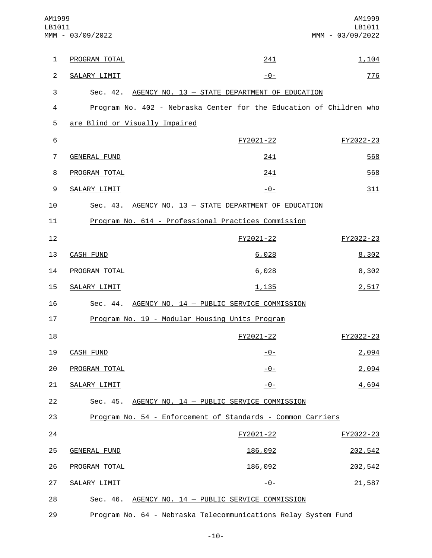| AM1999<br>LB1011 | MMM - 03/09/2022               |                                                                     | AM1999<br>LB1011<br>MMM - 03/09/2022 |
|------------------|--------------------------------|---------------------------------------------------------------------|--------------------------------------|
| $\mathbf{1}$     | PROGRAM TOTAL                  | 241                                                                 | 1,104                                |
| $\overline{2}$   | SALARY LIMIT                   | $-0-$                                                               | 776                                  |
| 3                |                                | Sec. 42. AGENCY NO. 13 - STATE DEPARTMENT OF EDUCATION              |                                      |
| 4                |                                | Program No. 402 - Nebraska Center for the Education of Children who |                                      |
| 5                | are Blind or Visually Impaired |                                                                     |                                      |
| 6                |                                | FY2021-22                                                           | FY2022-23                            |
| $\overline{7}$   | <b>GENERAL FUND</b>            | 241                                                                 | 568                                  |
| 8                | PROGRAM TOTAL                  | 241                                                                 | 568                                  |
| 9                | SALARY LIMIT                   | -0-                                                                 | 311                                  |
| 10               | Sec. 43.                       | AGENCY NO. 13 - STATE DEPARTMENT OF EDUCATION                       |                                      |
| 11               |                                | Program No. 614 - Professional Practices Commission                 |                                      |
| 12               |                                | FY2021-22                                                           | FY2022-23                            |
| 13               | CASH FUND                      | 6,028                                                               | 8,302                                |
| 14               | PROGRAM TOTAL                  | 6,028                                                               | 8,302                                |
| 15               | SALARY LIMIT                   | 1,135                                                               | 2,517                                |
| 16               |                                | Sec. 44. AGENCY NO. 14 - PUBLIC SERVICE COMMISSION                  |                                      |
| 17               |                                | Program No. 19 - Modular Housing Units Program                      |                                      |
| 18               |                                | FY2021-22                                                           | FY2022-23                            |
| 19               | <b>CASH FUND</b>               | $-0-$                                                               | 2,094                                |
| 20               | PROGRAM TOTAL                  | $-0-$                                                               | 2,094                                |
| 21               | SALARY LIMIT                   | $-0-$                                                               | 4,694                                |
| 22               |                                | Sec. 45. AGENCY NO. 14 - PUBLIC SERVICE COMMISSION                  |                                      |
| 23               |                                | Program No. 54 - Enforcement of Standards - Common Carriers         |                                      |
| 24               |                                | FY2021-22                                                           | FY2022-23                            |
| 25               | <b>GENERAL FUND</b>            | 186,092                                                             | 202,542                              |
| 26               | PROGRAM TOTAL                  | 186,092                                                             | 202,542                              |
| 27               | SALARY LIMIT                   | $-0-$                                                               | 21,587                               |
| 28               | Sec. 46.                       | AGENCY NO. 14 - PUBLIC SERVICE COMMISSION                           |                                      |
| 29               |                                | Program No. 64 - Nebraska Telecommunications Relay System Fund      |                                      |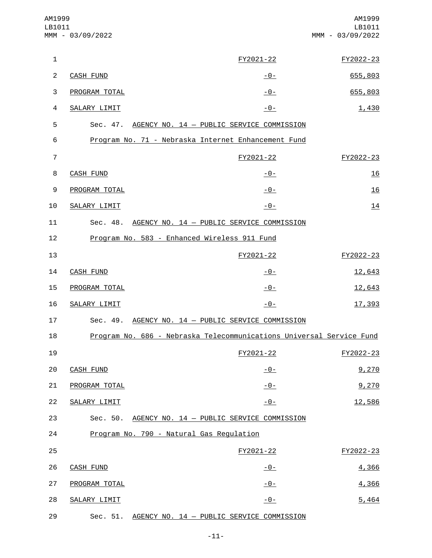| AM1999<br>LB1011 | MMM - 03/09/2022 |                                                                      | AM1999<br>LB1011<br>MMM - 03/09/2022 |
|------------------|------------------|----------------------------------------------------------------------|--------------------------------------|
| $\mathbf 1$      |                  | FY2021-22                                                            | FY2022-23                            |
| $\overline{c}$   | <b>CASH FUND</b> | $-0-$                                                                | 655,803                              |
| 3                | PROGRAM TOTAL    | $-0-$                                                                | 655,803                              |
| 4                | SALARY LIMIT     | $-0-$                                                                | 1,430                                |
| 5                |                  | Sec. 47. AGENCY NO. 14 - PUBLIC SERVICE COMMISSION                   |                                      |
| 6                |                  | Program No. 71 - Nebraska Internet Enhancement Fund                  |                                      |
| $\overline{7}$   |                  | FY2021-22                                                            | FY2022-23                            |
| 8                | <b>CASH FUND</b> | $-0-$                                                                | 16                                   |
| 9                | PROGRAM TOTAL    | $-0-$                                                                | 16                                   |
| 10               | SALARY LIMIT     | $-0-$                                                                | 14                                   |
| 11               | Sec. 48.         | AGENCY NO. 14 - PUBLIC SERVICE COMMISSION                            |                                      |
| 12               |                  | Program No. 583 - Enhanced Wireless 911 Fund                         |                                      |
| 13               |                  | FY2021-22                                                            | FY2022-23                            |
| 14               | <b>CASH FUND</b> | <u> - 0 - </u>                                                       | 12,643                               |
| 15               | PROGRAM TOTAL    | $-0-$                                                                | 12,643                               |
| 16               | SALARY LIMIT     | $-0-$                                                                | 17,393                               |
| 17               | Sec. 49.         | AGENCY NO. 14 - PUBLIC SERVICE COMMISSION                            |                                      |
| 18               |                  | Program No. 686 - Nebraska Telecommunications Universal Service Fund |                                      |
| 19               |                  | FY2021-22                                                            | FY2022-23                            |
| 20               | <b>CASH FUND</b> | $-0-$                                                                | 9,270                                |
| 21               | PROGRAM TOTAL    | $-0-$                                                                | 9,270                                |
| 22               | SALARY LIMIT     | $-0-$                                                                | 12,586                               |
| 23               |                  | Sec. 50. AGENCY NO. 14 - PUBLIC SERVICE COMMISSION                   |                                      |
| 24               |                  | Program No. 790 - Natural Gas Regulation                             |                                      |
| 25               |                  | FY2021-22                                                            | FY2022-23                            |
| 26               | <b>CASH FUND</b> | $-0-$                                                                | 4,366                                |
| 27               | PROGRAM TOTAL    | $-0-$                                                                | 4,366                                |
| 28               | SALARY LIMIT     | $-0-$                                                                | 5,464                                |
| 29               | Sec. 51.         | AGENCY NO. 14 - PUBLIC SERVICE COMMISSION                            |                                      |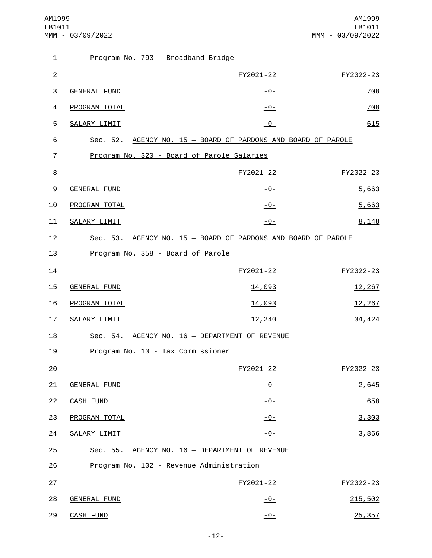| $\mathbf{1}$     | Program No. 793 - Broadband Bridge         |                                                               |           |
|------------------|--------------------------------------------|---------------------------------------------------------------|-----------|
| $\overline{2}$   |                                            | FY2021-22                                                     | FY2022-23 |
| 3                | GENERAL FUND                               | <u>-0-</u>                                                    | 708       |
| 4                | PROGRAM TOTAL                              | $-0-$                                                         | 708       |
| 5                | SALARY LIMIT                               | $-0-$                                                         | 615       |
| 6                |                                            | Sec. 52. AGENCY NO. 15 - BOARD OF PARDONS AND BOARD OF PAROLE |           |
| 7                | Program No. 320 - Board of Parole Salaries |                                                               |           |
| 8                |                                            | FY2021-22                                                     | FY2022-23 |
| $\boldsymbol{9}$ | <b>GENERAL FUND</b>                        | $-0-$                                                         | 5,663     |
| 10               | PROGRAM TOTAL                              | $-0-$                                                         | 5,663     |
| 11               | SALARY LIMIT                               | $-0-$                                                         | 8,148     |
| 12               |                                            | Sec. 53. AGENCY NO. 15 - BOARD OF PARDONS AND BOARD OF PAROLE |           |
| 13               | Program No. 358 - Board of Parole          |                                                               |           |
| 14               |                                            | FY2021-22                                                     | FY2022-23 |
| 15               | <b>GENERAL FUND</b>                        | 14,093                                                        | 12,267    |
| 16               | PROGRAM TOTAL                              | 14,093                                                        | 12,267    |
| 17               | SALARY LIMIT                               | 12,240                                                        | 34,424    |
| 18               |                                            | Sec. 54. AGENCY NO. 16 - DEPARTMENT OF REVENUE                |           |
| 19               | Program No. 13 - Tax Commissioner          |                                                               |           |
| 20               |                                            | FY2021-22                                                     | FY2022-23 |
| 21               | <b>GENERAL FUND</b>                        | $-0-$                                                         | 2,645     |
| 22               | <b>CASH FUND</b>                           | $-0-$                                                         | 658       |
| 23               | PROGRAM TOTAL                              | $-0-$                                                         | 3,303     |
| 24               | SALARY LIMIT                               | $-0-$                                                         | 3,866     |
| 25               |                                            | Sec. 55. AGENCY NO. 16 - DEPARTMENT OF REVENUE                |           |
| 26               | Program No. 102 - Revenue Administration   |                                                               |           |
| 27               |                                            | FY2021-22                                                     | FY2022-23 |
| 28               | <b>GENERAL FUND</b>                        | $-0-$                                                         | 215,502   |
| 29               | <b>CASH FUND</b>                           | $-0-$                                                         | 25,357    |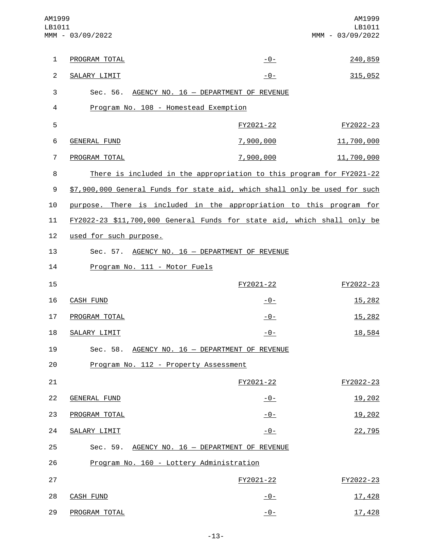| AM1999<br>LB1011 | MMM - 03/09/2022                                                           |               | AM1999<br>LB1011<br>MMM - 03/09/2022 |
|------------------|----------------------------------------------------------------------------|---------------|--------------------------------------|
| $\mathbf{1}$     | PROGRAM TOTAL                                                              | $-0-$         | 240,859                              |
| $\overline{c}$   | SALARY LIMIT                                                               | $-0-$         | 315,052                              |
| 3                | Sec. 56. AGENCY NO. 16 - DEPARTMENT OF REVENUE                             |               |                                      |
| 4                | Program No. 108 - Homestead Exemption                                      |               |                                      |
| 5                |                                                                            | FY2021-22     | FY2022-23                            |
| 6                | <b>GENERAL FUND</b>                                                        | 7,900,000     | 11,700,000                           |
| $\overline{7}$   | PROGRAM TOTAL                                                              | 7,900,000     | 11,700,000                           |
| 8                | There is included in the appropriation to this program for FY2021-22       |               |                                      |
| 9                | \$7,900,000 General Funds for state aid, which shall only be used for such |               |                                      |
| 10               | purpose. There is included in the appropriation to this program for        |               |                                      |
| 11               | FY2022-23 \$11,700,000 General Funds for state aid, which shall only be    |               |                                      |
| 12               | used for such purpose.                                                     |               |                                      |
| 13               | Sec. 57. AGENCY NO. 16 - DEPARTMENT OF REVENUE                             |               |                                      |
| 14               | Program No. 111 - Motor Fuels                                              |               |                                      |
| 15               |                                                                            | FY2021-22     | FY2022-23                            |
| 16               | <b>CASH FUND</b>                                                           | $-0-$         | 15,282                               |
| 17               | PROGRAM TOTAL                                                              | $-0-$         | 15,282                               |
| 18               | SALARY LIMIT                                                               | <u>- 0 - </u> | 18,584                               |
| 19               | AGENCY NO. 16 - DEPARTMENT OF REVENUE<br>Sec. 58.                          |               |                                      |
| 20               | Program No. 112 - Property Assessment                                      |               |                                      |
| 21               |                                                                            | FY2021-22     | FY2022-23                            |
| 22               | <b>GENERAL FUND</b>                                                        | $-0-$         | 19,202                               |
| 23               | PROGRAM TOTAL                                                              | $-0-$         | 19,202                               |
| 24               | SALARY LIMIT                                                               | $-0-$         | 22,795                               |
| 25               | Sec. 59. AGENCY NO. 16 - DEPARTMENT OF REVENUE                             |               |                                      |
| 26               | Program No. 160 - Lottery Administration                                   |               |                                      |
| 27               |                                                                            | FY2021-22     | FY2022-23                            |
| 28               | <b>CASH FUND</b>                                                           | $-0-$         | 17,428                               |
| 29               | PROGRAM TOTAL                                                              | $-0-$         | 17,428                               |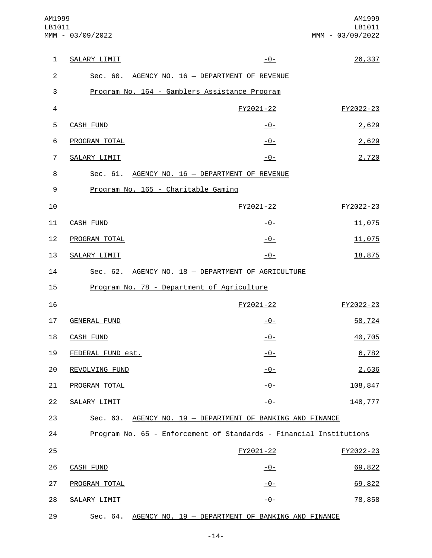| $\mathbf{1}$   | SALARY LIMIT        | $-0-$                                                              | 26,337    |
|----------------|---------------------|--------------------------------------------------------------------|-----------|
| $\overline{2}$ |                     | Sec. 60. AGENCY NO. 16 - DEPARTMENT OF REVENUE                     |           |
| 3              |                     | Program No. 164 - Gamblers Assistance Program                      |           |
| $\overline{4}$ |                     | FY2021-22                                                          | FY2022-23 |
| 5              | <b>CASH FUND</b>    | $-0-$                                                              | 2,629     |
| 6              | PROGRAM TOTAL       | $-0-$                                                              | 2,629     |
| $\overline{7}$ | SALARY LIMIT        | $-0-$                                                              | 2,720     |
| 8              |                     | Sec. 61. AGENCY NO. 16 - DEPARTMENT OF REVENUE                     |           |
| 9              |                     | Program No. 165 - Charitable Gaming                                |           |
| 10             |                     | FY2021-22                                                          | FY2022-23 |
| 11             | <b>CASH FUND</b>    | <u> - 0 - </u>                                                     | 11,075    |
| 12             | PROGRAM TOTAL       | $-0-$                                                              | 11,075    |
| 13             | SALARY LIMIT        | $-0-$                                                              | 18,875    |
| 14             |                     | Sec. 62. AGENCY NO. 18 - DEPARTMENT OF AGRICULTURE                 |           |
| 15             |                     | Program No. 78 - Department of Agriculture                         |           |
| 16             |                     | FY2021-22                                                          | FY2022-23 |
| 17             | <b>GENERAL FUND</b> | $-0-$                                                              | 58,724    |
| 18             | <b>CASH FUND</b>    | $-0-$                                                              | 40,705    |
| 19             | FEDERAL FUND est.   | $-0-$                                                              | 6,782     |
| 20             | REVOLVING FUND      | $-0-$                                                              | 2,636     |
| 21             | PROGRAM TOTAL       | <u>- 0 - </u>                                                      | 108,847   |
| 22             | SALARY LIMIT        | <u>- 0 - </u>                                                      | 148,777   |
| 23             | Sec. 63.            | AGENCY NO. 19 - DEPARTMENT OF BANKING AND FINANCE                  |           |
| 24             |                     | Program No. 65 - Enforcement of Standards - Financial Institutions |           |
| 25             |                     | FY2021-22                                                          | FY2022-23 |
| 26             | <b>CASH FUND</b>    | $-0-$                                                              | 69,822    |
| 27             | PROGRAM TOTAL       | $-0-$                                                              | 69,822    |
| 28             | SALARY LIMIT        | <u> - 0 - </u>                                                     | 78,858    |
| 29             |                     | Sec. 64. AGENCY NO. 19 - DEPARTMENT OF BANKING AND FINANCE         |           |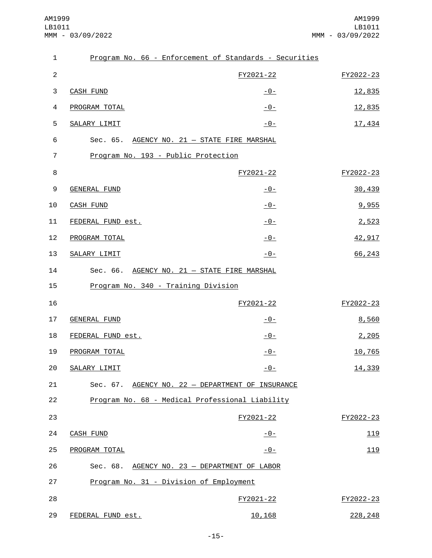| $\mathbf{1}$   |                                              | Program No. 66 - Enforcement of Standards - Securities |           |
|----------------|----------------------------------------------|--------------------------------------------------------|-----------|
| $\overline{c}$ |                                              | FY2021-22                                              | FY2022-23 |
| 3              | <b>CASH FUND</b>                             | $-0-$                                                  | 12,835    |
| 4              | PROGRAM TOTAL                                | $-0-$                                                  | 12,835    |
| 5              | SALARY LIMIT                                 | $-0-$                                                  | 17,434    |
| 6              | Sec. 65. AGENCY NO. 21 - STATE FIRE MARSHAL  |                                                        |           |
| 7              | Program No. 193 - Public Protection          |                                                        |           |
| 8              |                                              | FY2021-22                                              | FY2022-23 |
| 9              | <b>GENERAL FUND</b>                          | $-0-$                                                  | 30,439    |
| 10             | <b>CASH FUND</b>                             | $-0-$                                                  | 9,955     |
| 11             | FEDERAL FUND est.                            | $-0-$                                                  | 2,523     |
| 12             | PROGRAM TOTAL                                | $-0-$                                                  | 42,917    |
| 13             | SALARY LIMIT                                 | $-0-$                                                  | 66,243    |
| 14             | Sec. 66. AGENCY NO. 21 - STATE FIRE MARSHAL  |                                                        |           |
| 15             | Program No. 340 - Training Division          |                                                        |           |
| 16             |                                              | FY2021-22                                              | FY2022-23 |
| 17             | <b>GENERAL FUND</b>                          | $-0-$                                                  | 8,560     |
| 18             | FEDERAL FUND est.                            | $-0-$                                                  | 2,205     |
| 19             | PROGRAM TOTAL                                | $-0-$                                                  | 10,765    |
|                | 20 SALARY LIMIT                              | $-0-$                                                  | 14,339    |
| 21             |                                              | Sec. 67. AGENCY NO. 22 - DEPARTMENT OF INSURANCE       |           |
| 22             |                                              | Program No. 68 - Medical Professional Liability        |           |
| 23             |                                              | FY2021-22                                              | FY2022-23 |
| 24             | <b>CASH FUND</b>                             | <u> - 0 - </u>                                         | 119       |
| 25             | PROGRAM TOTAL                                | $-0-$                                                  | 119       |
| 26             | Sec. 68. AGENCY NO. 23 - DEPARTMENT OF LABOR |                                                        |           |
| 27             | Program No. 31 - Division of Employment      |                                                        |           |
| 28             |                                              | FY2021-22                                              | FY2022-23 |
| 29             | FEDERAL FUND est.                            | 10,168                                                 | 228, 248  |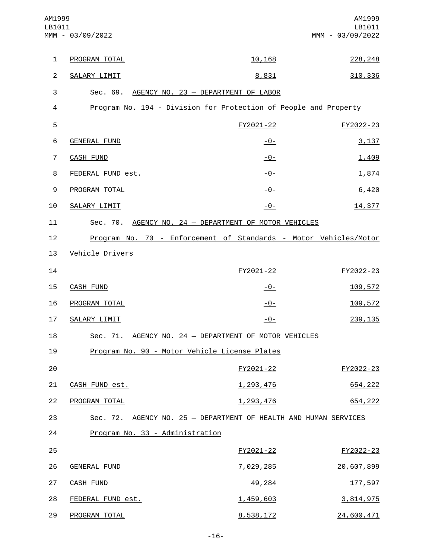| AM1999<br>LB1011 | MMM - 03/09/2022                                                 |                | AM1999<br>LB1011<br>MMM - 03/09/2022 |
|------------------|------------------------------------------------------------------|----------------|--------------------------------------|
| $\mathbf{1}$     | PROGRAM TOTAL                                                    | 10,168         | 228, 248                             |
| $\overline{2}$   | SALARY LIMIT                                                     | 8,831          | 310,336                              |
| 3                | Sec. 69. AGENCY NO. 23 - DEPARTMENT OF LABOR                     |                |                                      |
| 4                | Program No. 194 - Division for Protection of People and Property |                |                                      |
| 5                |                                                                  | FY2021-22      | FY2022-23                            |
| 6                | <b>GENERAL FUND</b>                                              | <u>- 0 - </u>  | 3,137                                |
| $\overline{7}$   | <b>CASH FUND</b>                                                 | $-0-$          | 1,409                                |
| 8                | FEDERAL FUND est.                                                | $-0-$          | 1,874                                |
| 9                | PROGRAM TOTAL                                                    | $-0-$          | 6,420                                |
| 10               | SALARY LIMIT                                                     | $-0-$          | 14,377                               |
| 11               | Sec. 70. AGENCY NO. 24 - DEPARTMENT OF MOTOR VEHICLES            |                |                                      |
| 12               | Program No. 70 - Enforcement of Standards - Motor Vehicles/Motor |                |                                      |
| 13               | Vehicle Drivers                                                  |                |                                      |
| 14               |                                                                  | FY2021-22      | FY2022-23                            |
| 15               | <b>CASH FUND</b>                                                 | <u> - 0 - </u> | 109,572                              |
| 16               | PROGRAM TOTAL                                                    | <u> - 0 - </u> | 109,572                              |
| 17               | SALARY LIMIT                                                     | <u> - 0 - </u> | 239, 135                             |
| 18               | Sec. 71. AGENCY NO. 24 - DEPARTMENT OF MOTOR VEHICLES            |                |                                      |
| 19               | Program No. 90 - Motor Vehicle License Plates                    |                |                                      |
| 20               |                                                                  | FY2021-22      | FY2022-23                            |
| 21               | CASH FUND est.                                                   | 1,293,476      | 654,222                              |
| 22               | PROGRAM TOTAL                                                    | 1,293,476      | 654,222                              |
| 23               | Sec. 72. AGENCY NO. 25 - DEPARTMENT OF HEALTH AND HUMAN SERVICES |                |                                      |
| 24               | Program No. 33 - Administration                                  |                |                                      |
| 25               |                                                                  | FY2021-22      | FY2022-23                            |
| 26               | <b>GENERAL FUND</b>                                              | 7,029,285      | 20,607,899                           |
| 27               | <b>CASH FUND</b>                                                 | 49,284         | 177,597                              |
| 28               | FEDERAL FUND est.                                                | 1,459,603      | 3,814,975                            |
| 29               | PROGRAM TOTAL                                                    | 8,538,172      | 24,600,471                           |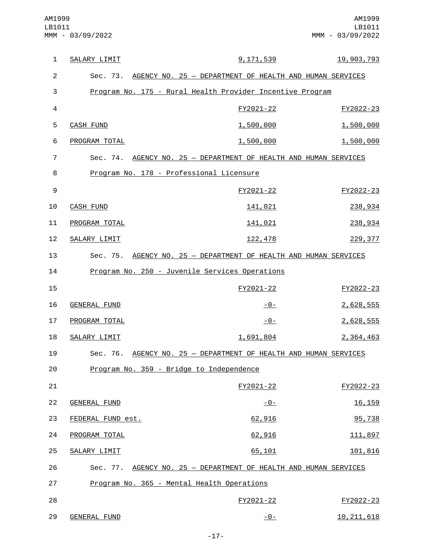| $\mathbf{1}$   | SALARY LIMIT        | <u>9,171,539</u>                                                 | 19,903,793   |
|----------------|---------------------|------------------------------------------------------------------|--------------|
| $\overline{2}$ |                     | Sec. 73. AGENCY NO. 25 - DEPARTMENT OF HEALTH AND HUMAN SERVICES |              |
| 3              |                     | Program No. 175 - Rural Health Provider Incentive Program        |              |
| $\overline{4}$ |                     | FY2021-22                                                        | FY2022-23    |
| 5              | <b>CASH FUND</b>    | 1,500,000                                                        | 1,500,000    |
| 6              | PROGRAM TOTAL       | 1,500,000                                                        | 1,500,000    |
| $\overline{7}$ |                     | Sec. 74. AGENCY NO. 25 - DEPARTMENT OF HEALTH AND HUMAN SERVICES |              |
| 8              |                     | Program No. 178 - Professional Licensure                         |              |
| $\mathsf g$    |                     | FY2021-22                                                        | FY2022-23    |
| 10             | <b>CASH FUND</b>    | 141,021                                                          | 238,934      |
| 11             | PROGRAM TOTAL       | 141,021                                                          | 238,934      |
| 12             | SALARY LIMIT        | 122,478                                                          | 229, 377     |
| 13             |                     | Sec. 75. AGENCY NO. 25 - DEPARTMENT OF HEALTH AND HUMAN SERVICES |              |
| 14             |                     | Program No. 250 - Juvenile Services Operations                   |              |
| 15             |                     | FY2021-22                                                        | FY2022-23    |
| 16             | <b>GENERAL FUND</b> | $-0-$                                                            | 2,628,555    |
| 17             | PROGRAM TOTAL       | $-0-$                                                            | 2,628,555    |
| 18             | SALARY LIMIT        | 1,691,804                                                        | 2,364,463    |
| 19             |                     | Sec. 76. AGENCY NO. 25 - DEPARTMENT OF HEALTH AND HUMAN SERVICES |              |
| 20             |                     | Program No. 359 - Bridge to Independence                         |              |
| 21             |                     | FY2021-22                                                        | FY2022-23    |
| 22             | <b>GENERAL FUND</b> | $-0-$                                                            | 16, 159      |
| 23             | FEDERAL FUND est.   | 62,916                                                           | 95,738       |
| 24             | PROGRAM TOTAL       | 62,916                                                           | 111,897      |
| 25             | SALARY LIMIT        | 65,101                                                           | 101,816      |
| 26             |                     | Sec. 77. AGENCY NO. 25 - DEPARTMENT OF HEALTH AND HUMAN SERVICES |              |
| 27             |                     | Program No. 365 - Mental Health Operations                       |              |
| 28             |                     | FY2021-22                                                        | FY2022-23    |
| 29             | GENERAL FUND        | -0-                                                              | 10, 211, 618 |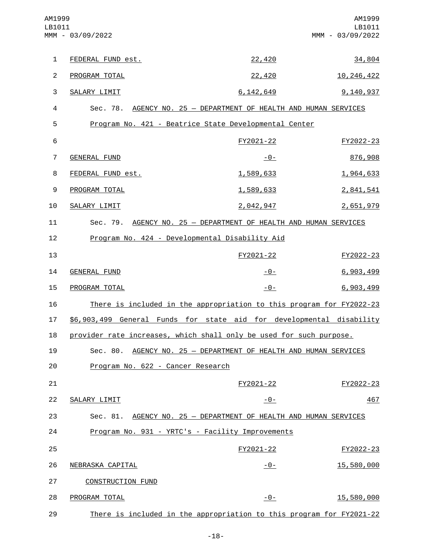| AM1999<br>LB1011 | MMM - 03/09/2022                                                     |                                                         | AM1999<br>LB1011<br>MMM - 03/09/2022 |
|------------------|----------------------------------------------------------------------|---------------------------------------------------------|--------------------------------------|
| $\mathbf{1}$     | FEDERAL FUND est.                                                    | 22,420                                                  | 34,804                               |
| $\overline{c}$   | PROGRAM TOTAL                                                        | 22,420                                                  | 10, 246, 422                         |
| 3                | SALARY LIMIT                                                         | 6, 142, 649                                             | 9,140,937                            |
| 4                | Sec. 78. AGENCY NO. 25 - DEPARTMENT OF HEALTH AND HUMAN SERVICES     |                                                         |                                      |
| 5                | Program No. 421 - Beatrice State Developmental Center                |                                                         |                                      |
| $\,6$            |                                                                      | FY2021-22                                               | FY2022-23                            |
| $\overline{7}$   | GENERAL FUND                                                         | $-0-$                                                   | 876,908                              |
| 8                | FEDERAL FUND est.                                                    | 1,589,633                                               | 1,964,633                            |
| $\boldsymbol{9}$ | PROGRAM TOTAL                                                        | 1,589,633                                               | 2,841,541                            |
| 10               | SALARY LIMIT                                                         | 2,042,947                                               | 2,651,979                            |
| 11               | Sec. 79. AGENCY NO. 25 - DEPARTMENT OF HEALTH AND HUMAN SERVICES     |                                                         |                                      |
| 12               | Program No. 424 - Developmental Disability Aid                       |                                                         |                                      |
| 13               |                                                                      | FY2021-22                                               | FY2022-23                            |
| 14               | GENERAL FUND                                                         | -0-                                                     | 6,903,499                            |
| 15               | PROGRAM TOTAL                                                        | $-0-$                                                   | 6,903,499                            |
| 16               | There is included in the appropriation to this program for FY2022-23 |                                                         |                                      |
| 17               | \$6,903,499 General Funds for state aid for developmental disability |                                                         |                                      |
| 18               | provider rate increases, which shall only be used for such purpose.  |                                                         |                                      |
| 19               | Sec. 80.                                                             | AGENCY NO. 25 - DEPARTMENT OF HEALTH AND HUMAN SERVICES |                                      |
| 20               | Program No. 622 - Cancer Research                                    |                                                         |                                      |
| 21               |                                                                      | FY2021-22                                               | FY2022-23                            |
| 22               | SALARY LIMIT                                                         | $-0-$                                                   | 467                                  |
| 23               | Sec. 81.                                                             | AGENCY NO. 25 - DEPARTMENT OF HEALTH AND HUMAN SERVICES |                                      |
| 24               | Program No. 931 - YRTC's - Facility Improvements                     |                                                         |                                      |
| 25               |                                                                      | FY2021-22                                               | FY2022-23                            |
| 26               | NEBRASKA CAPITAL                                                     | $-0-$                                                   | 15,580,000                           |
| 27               | <b>CONSTRUCTION FUND</b>                                             |                                                         |                                      |
| 28               | PROGRAM TOTAL                                                        | $-0-$                                                   | 15,580,000                           |
| 29               | There is included in the appropriation to this program for FY2021-22 |                                                         |                                      |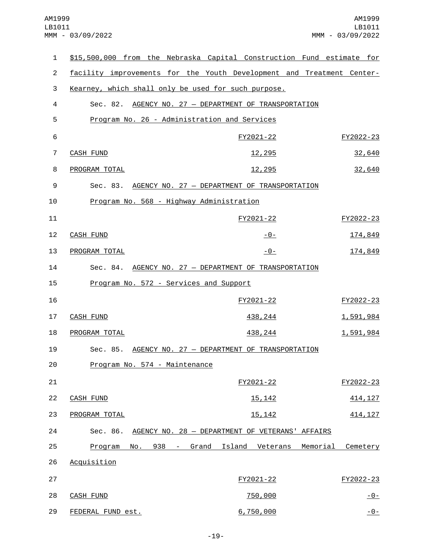| $\mathbf{1}$    | \$15,500,000 from the Nebraska Capital Construction Fund estimate for |                                              |  |                                                       |          |           |               |
|-----------------|-----------------------------------------------------------------------|----------------------------------------------|--|-------------------------------------------------------|----------|-----------|---------------|
| $\overline{2}$  | facility improvements for the Youth Development and Treatment Center- |                                              |  |                                                       |          |           |               |
| 3               | Kearney, which shall only be used for such purpose.                   |                                              |  |                                                       |          |           |               |
| 4               |                                                                       |                                              |  | Sec. 82. AGENCY NO. 27 - DEPARTMENT OF TRANSPORTATION |          |           |               |
| 5               |                                                                       | Program No. 26 - Administration and Services |  |                                                       |          |           |               |
| $6\phantom{1}6$ |                                                                       |                                              |  | FY2021-22                                             |          | FY2022-23 |               |
| 7               | <b>CASH FUND</b>                                                      |                                              |  | <u>12,295</u>                                         |          |           | 32,640        |
| 8               | PROGRAM TOTAL                                                         |                                              |  | 12,295                                                |          |           | 32,640        |
| 9               |                                                                       |                                              |  | Sec. 83. AGENCY NO. 27 - DEPARTMENT OF TRANSPORTATION |          |           |               |
| 10              |                                                                       | Program No. 568 - Highway Administration     |  |                                                       |          |           |               |
| 11              |                                                                       |                                              |  | FY2021-22                                             |          | FY2022-23 |               |
| 12              | <b>CASH FUND</b>                                                      |                                              |  | -0-                                                   |          |           | 174,849       |
| 13              | PROGRAM TOTAL                                                         |                                              |  | <u>- 0 - </u>                                         |          |           | 174,849       |
| 14              |                                                                       |                                              |  | Sec. 84. AGENCY NO. 27 - DEPARTMENT OF TRANSPORTATION |          |           |               |
| 15              |                                                                       | Program No. 572 - Services and Support       |  |                                                       |          |           |               |
| 16              |                                                                       |                                              |  | FY2021-22                                             |          | FY2022-23 |               |
| 17              | <b>CASH FUND</b>                                                      |                                              |  | 438, 244                                              |          | 1,591,984 |               |
| 18              | PROGRAM TOTAL                                                         |                                              |  | 438,244                                               |          | 1,591,984 |               |
| 19              |                                                                       |                                              |  | Sec. 85. AGENCY NO. 27 - DEPARTMENT OF TRANSPORTATION |          |           |               |
| 20              |                                                                       | Program No. 574 - Maintenance                |  |                                                       |          |           |               |
| 21              |                                                                       |                                              |  | FY2021-22                                             |          | FY2022-23 |               |
| 22              | <b>CASH FUND</b>                                                      |                                              |  | 15, 142                                               |          |           | 414, 127      |
| 23              | PROGRAM TOTAL                                                         |                                              |  | 15, 142                                               |          |           | 414, 127      |
| 24              | Sec. 86.                                                              |                                              |  | AGENCY NO. 28 - DEPARTMENT OF VETERANS' AFFAIRS       |          |           |               |
| 25              | Program                                                               | No. 938 -                                    |  | Grand Island Veterans                                 | Memorial | Cemetery  |               |
| 26              | Acquisition                                                           |                                              |  |                                                       |          |           |               |
| 27              |                                                                       |                                              |  | FY2021-22                                             |          | FY2022-23 |               |
| 28              | <b>CASH FUND</b>                                                      |                                              |  | 750,000                                               |          |           | <u>- 0 - </u> |
| 29              | FEDERAL FUND est.                                                     |                                              |  | 6,750,000                                             |          |           | $-0-$         |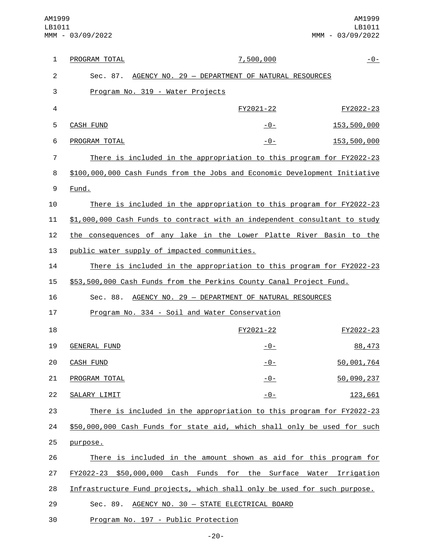| 1  | PROGRAM TOTAL                                                              | 7,500,000 | $-0-$       |
|----|----------------------------------------------------------------------------|-----------|-------------|
| 2  | AGENCY NO. 29 - DEPARTMENT OF NATURAL RESOURCES<br>Sec. 87.                |           |             |
| 3  | Program No. 319 - Water Projects                                           |           |             |
| 4  |                                                                            | FY2021-22 | FY2022-23   |
| 5  | <b>CASH FUND</b>                                                           | $-0-$     | 153,500,000 |
| 6  | PROGRAM TOTAL                                                              | $-0-$     | 153,500,000 |
| 7  | There is included in the appropriation to this program for FY2022-23       |           |             |
| 8  | \$100,000,000 Cash Funds from the Jobs and Economic Development Initiative |           |             |
| 9  | Fund.                                                                      |           |             |
| 10 | There is included in the appropriation to this program for FY2022-23       |           |             |
| 11 | \$1,000,000 Cash Funds to contract with an independent consultant to study |           |             |
| 12 | the consequences of any lake in the Lower Platte River Basin to the        |           |             |
| 13 | public water supply of impacted communities.                               |           |             |
| 14 | There is included in the appropriation to this program for FY2022-23       |           |             |
| 15 | \$53,500,000 Cash Funds from the Perkins County Canal Project Fund.        |           |             |
| 16 | AGENCY NO. 29 - DEPARTMENT OF NATURAL RESOURCES<br>Sec. 88.                |           |             |
| 17 | Program No. 334 - Soil and Water Conservation                              |           |             |
| 18 |                                                                            | FY2021-22 | FY2022-23   |
| 19 | <b>GENERAL FUND</b>                                                        | $-0-$     | 88,473      |
| 20 | CASH FUND                                                                  | $-0-$     | 50,001,764  |
| 21 | PROGRAM TOTAL                                                              | $-0-$     | 50,090,237  |
| 22 | SALARY LIMIT                                                               | $-0-$     | 123,661     |
| 23 | There is included in the appropriation to this program for FY2022-23       |           |             |
| 24 | \$50,000,000 Cash Funds for state aid, which shall only be used for such   |           |             |
| 25 | purpose.                                                                   |           |             |
| 26 | There is included in the amount shown as aid for this program for          |           |             |
| 27 | FY2022-23 \$50,000,000 Cash Funds for the Surface Water Irrigation         |           |             |
| 28 | Infrastructure Fund projects, which shall only be used for such purpose.   |           |             |
| 29 | AGENCY NO. 30 - STATE ELECTRICAL BOARD<br>Sec. 89.                         |           |             |
| 30 | Program No. 197 - Public Protection                                        |           |             |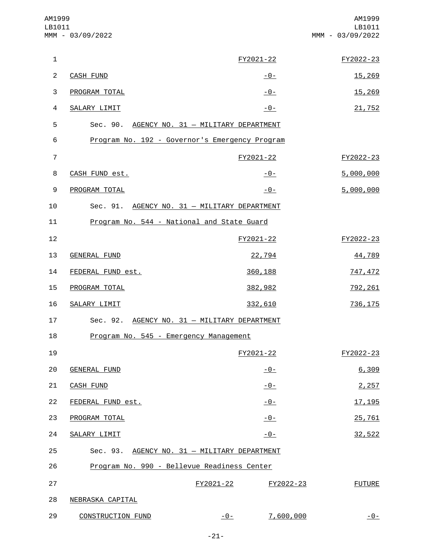| AM1999<br>LB1011 | MMM - 03/09/2022                               |           |                | AM1999<br>LB1011<br>MMM - 03/09/2022 |
|------------------|------------------------------------------------|-----------|----------------|--------------------------------------|
| 1                |                                                |           | FY2021-22      | FY2022-23                            |
| $\overline{c}$   | <b>CASH FUND</b>                               |           | -0-            | 15,269                               |
| 3                | PROGRAM TOTAL                                  |           | $-0-$          | 15,269                               |
| $\overline{4}$   | SALARY LIMIT                                   |           | $-0-$          | 21,752                               |
| 5                | Sec. 90. AGENCY NO. 31 - MILITARY DEPARTMENT   |           |                |                                      |
| 6                | Program No. 192 - Governor's Emergency Program |           |                |                                      |
| $\overline{7}$   |                                                |           | FY2021-22      | FY2022-23                            |
| 8                | CASH FUND est.                                 |           | <u> - 0 - </u> | 5,000,000                            |
| 9                | PROGRAM TOTAL                                  |           | $-0-$          | 5,000,000                            |
| 10               | Sec. 91. AGENCY NO. 31 - MILITARY DEPARTMENT   |           |                |                                      |
| 11               | Program No. 544 - National and State Guard     |           |                |                                      |
| 12               |                                                |           | FY2021-22      | FY2022-23                            |
| 13               | <b>GENERAL FUND</b>                            |           | 22,794         | 44,789                               |
| 14               | FEDERAL FUND est.                              |           | 360,188        | 747,472                              |
| 15               | PROGRAM TOTAL                                  |           | 382,982        | 792, 261                             |
| 16               | SALARY LIMIT                                   |           | 332,610        | 736, 175                             |
| 17               | Sec. 92. AGENCY NO. 31 - MILITARY DEPARTMENT   |           |                |                                      |
| 18               | Program No. 545 - Emergency Management         |           |                |                                      |
| 19               |                                                |           | FY2021-22      | FY2022-23                            |
| 20               | <b>GENERAL FUND</b>                            |           | $-0-$          | 6,309                                |
| 21               | <b>CASH FUND</b>                               |           | $-0-$          | 2,257                                |
| 22               | FEDERAL FUND est.                              |           | $-0-$          | 17, 195                              |
| 23               | PROGRAM TOTAL                                  |           | $-0-$          | 25,761                               |
| 24               | SALARY LIMIT                                   |           | $-0-$          | 32,522                               |
| 25               | Sec. 93. AGENCY NO. 31 - MILITARY DEPARTMENT   |           |                |                                      |
| 26               | Program No. 990 - Bellevue Readiness Center    |           |                |                                      |
| 27               |                                                | FY2021-22 | FY2022-23      | <b>FUTURE</b>                        |
| 28               | NEBRASKA CAPITAL                               |           |                |                                      |
| 29               | <b>CONSTRUCTION FUND</b>                       | $-0-$     | 7,600,000      | $-0-$                                |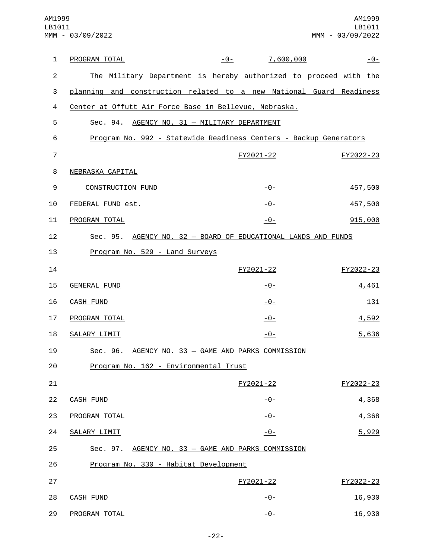| 1              | PROGRAM TOTAL                                                       | $-0-$ | 7,600,000      |           | $-0-$       |
|----------------|---------------------------------------------------------------------|-------|----------------|-----------|-------------|
| $\overline{2}$ | The Military Department is hereby authorized to proceed with the    |       |                |           |             |
| 3              | planning and construction related to a new National Guard Readiness |       |                |           |             |
| 4              | Center at Offutt Air Force Base in Bellevue, Nebraska.              |       |                |           |             |
| 5              | Sec. 94. AGENCY NO. 31 - MILITARY DEPARTMENT                        |       |                |           |             |
| 6              | Program No. 992 - Statewide Readiness Centers - Backup Generators   |       |                |           |             |
| $\overline{7}$ |                                                                     |       | FY2021-22      | FY2022-23 |             |
| 8              | NEBRASKA CAPITAL                                                    |       |                |           |             |
| 9              | <b>CONSTRUCTION FUND</b>                                            |       | $-0-$          |           | 457,500     |
| 10             | FEDERAL FUND est.                                                   |       | $-0-$          |           | 457,500     |
| 11             | PROGRAM TOTAL                                                       |       | $-0-$          |           | 915,000     |
| 12             | Sec. 95. AGENCY NO. 32 - BOARD OF EDUCATIONAL LANDS AND FUNDS       |       |                |           |             |
| 13             | Program No. 529 - Land Surveys                                      |       |                |           |             |
| 14             |                                                                     |       | FY2021-22      | FY2022-23 |             |
| 15             | <b>GENERAL FUND</b>                                                 |       | <u> - 0 - </u> |           | 4,461       |
| 16             | <b>CASH FUND</b>                                                    |       | $-0-$          |           | <u> 131</u> |
| 17             | PROGRAM TOTAL                                                       |       | $-0-$          |           | 4,592       |
| 18             | SALARY LIMIT                                                        |       | <u> - 0 - </u> |           | 5,636       |
| 19             | Sec. 96. AGENCY NO. 33 - GAME AND PARKS COMMISSION                  |       |                |           |             |
| 20             | Program No. 162 - Environmental Trust                               |       |                |           |             |
| 21             |                                                                     |       | FY2021-22      | FY2022-23 |             |
| 22             | <b>CASH FUND</b>                                                    |       | $-0-$          |           | 4,368       |
| 23             | PROGRAM TOTAL                                                       |       | $-0-$          |           | 4,368       |
| 24             | SALARY LIMIT                                                        |       | $-0-$          |           | 5,929       |
| 25             | Sec. 97. AGENCY NO. 33 - GAME AND PARKS COMMISSION                  |       |                |           |             |
| 26             | Program No. 330 - Habitat Development                               |       |                |           |             |
| 27             |                                                                     |       | FY2021-22      | FY2022-23 |             |
| 28             | <b>CASH FUND</b>                                                    |       | $-0-$          |           | 16,930      |
| 29             | PROGRAM TOTAL                                                       |       | $-0-$          |           | 16,930      |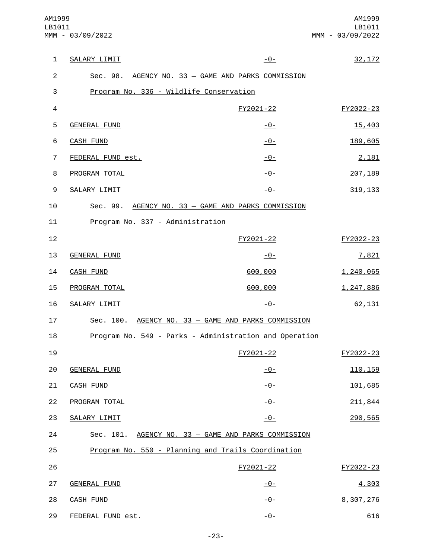| $\mathbf{1}$   | SALARY LIMIT                            | $-0-$                                                  | 32, 172   |
|----------------|-----------------------------------------|--------------------------------------------------------|-----------|
| $\overline{2}$ |                                         | Sec. 98. AGENCY NO. 33 - GAME AND PARKS COMMISSION     |           |
| $\sqrt{3}$     | Program No. 336 - Wildlife Conservation |                                                        |           |
| 4              |                                         | FY2021-22                                              | FY2022-23 |
| 5              | <b>GENERAL FUND</b>                     | <u>-0-</u>                                             | 15,403    |
| 6              | <b>CASH FUND</b>                        | $-0-$                                                  | 189,605   |
| $\overline{7}$ | FEDERAL FUND est.                       | $-0-$                                                  | 2,181     |
| 8              | PROGRAM TOTAL                           | $-0-$                                                  | 207, 189  |
| 9              | SALARY LIMIT                            | $-0-$                                                  | 319, 133  |
| 10             |                                         | Sec. 99. AGENCY NO. 33 - GAME AND PARKS COMMISSION     |           |
| 11             | Program No. 337 - Administration        |                                                        |           |
| 12             |                                         | FY2021-22                                              | FY2022-23 |
| 13             | <b>GENERAL FUND</b>                     | $-0-$                                                  | 7,821     |
| 14             | <b>CASH FUND</b>                        | 600,000                                                | 1,240,065 |
| 15             | PROGRAM TOTAL                           | 600,000                                                | 1,247,886 |
| 16             | SALARY LIMIT                            | $-0-$                                                  | 62,131    |
| 17             |                                         | Sec. 100. AGENCY NO. 33 - GAME AND PARKS COMMISSION    |           |
| 18             |                                         | Program No. 549 - Parks - Administration and Operation |           |
| 19             |                                         | FY2021-22                                              | FY2022-23 |
| 20             | <b>GENERAL FUND</b>                     | $-0-$                                                  | 110, 159  |
| 21             | <b>CASH FUND</b>                        | $-0-$                                                  | 101,685   |
| 22             | PROGRAM TOTAL                           | $-0-$                                                  | 211,844   |
| 23             | SALARY LIMIT                            | $-0-$                                                  | 290,565   |
| 24             | Sec. 101.                               | AGENCY NO. 33 - GAME AND PARKS COMMISSION              |           |
| 25             |                                         | Program No. 550 - Planning and Trails Coordination     |           |
| 26             |                                         | FY2021-22                                              | FY2022-23 |
| 27             | <b>GENERAL FUND</b>                     | $-0-$                                                  | 4,303     |
| 28             | <b>CASH FUND</b>                        | $-0-$                                                  | 8,307,276 |
| 29             | FEDERAL FUND est.                       | $-0-$                                                  | 616       |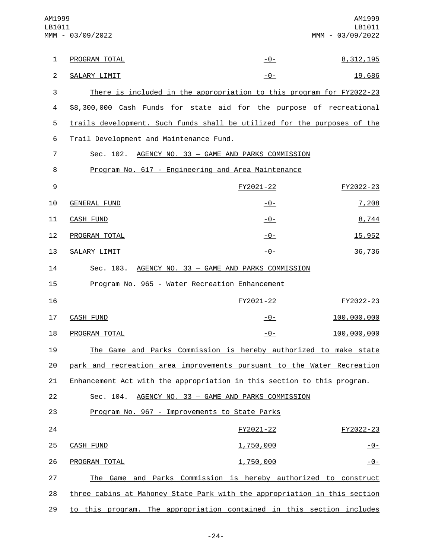| AM1999<br>LB1011 | MMM - 03/09/2022                                                          |                | AM1999<br>LB1011<br>MMM - 03/09/2022 |
|------------------|---------------------------------------------------------------------------|----------------|--------------------------------------|
| 1                | PROGRAM TOTAL                                                             | $-0-$          | 8, 312, 195                          |
| $\overline{2}$   | SALARY LIMIT                                                              | $-0-$          | 19,686                               |
| 3                | There is included in the appropriation to this program for FY2022-23      |                |                                      |
| $\overline{4}$   | \$8,300,000 Cash Funds for state aid for the purpose of recreational      |                |                                      |
| 5                | trails development. Such funds shall be utilized for the purposes of the  |                |                                      |
| 6                | Trail Development and Maintenance Fund.                                   |                |                                      |
| $\overline{7}$   | Sec. 102. AGENCY NO. 33 - GAME AND PARKS COMMISSION                       |                |                                      |
| 8                | Program No. 617 - Engineering and Area Maintenance                        |                |                                      |
| 9                |                                                                           | FY2021-22      | FY2022-23                            |
| 10               | <b>GENERAL FUND</b>                                                       | -0-            | 7,208                                |
| 11               | <b>CASH FUND</b>                                                          | $-0-$          | 8,744                                |
| 12               | PROGRAM TOTAL                                                             | <u> - 0 - </u> | 15,952                               |
| 13               | SALARY LIMIT                                                              | <u> - 0 - </u> | 36,736                               |
| 14               | Sec. 103. AGENCY NO. 33 - GAME AND PARKS COMMISSION                       |                |                                      |
| 15               | Program No. 965 - Water Recreation Enhancement                            |                |                                      |
| 16               |                                                                           | FY2021-22      | FY2022-23                            |
| 17               | <b>CASH FUND</b>                                                          | -0-            | 100,000,000                          |
| 18               | PROGRAM TOTAL                                                             | $-0-$          | 100,000,000                          |
| 19               | The Game and Parks Commission is hereby authorized to make state          |                |                                      |
| 20               | park and recreation area improvements pursuant to the Water Recreation    |                |                                      |
| 21               | Enhancement Act with the appropriation in this section to this program.   |                |                                      |
| 22               | Sec. 104. AGENCY NO. 33 - GAME AND PARKS COMMISSION                       |                |                                      |
| 23               | Program No. 967 - Improvements to State Parks                             |                |                                      |
| 24               |                                                                           | FY2021-22      | FY2022-23                            |
| 25               | <b>CASH FUND</b>                                                          | 1,750,000      | <u>- 0 - </u>                        |
| 26               | PROGRAM TOTAL                                                             | 1,750,000      | <u> - 0 - </u>                       |
| 27               | The Game and Parks Commission is hereby authorized to construct           |                |                                      |
| 28               | three cabins at Mahoney State Park with the appropriation in this section |                |                                      |
| 29               | to this program. The appropriation contained in this section includes     |                |                                      |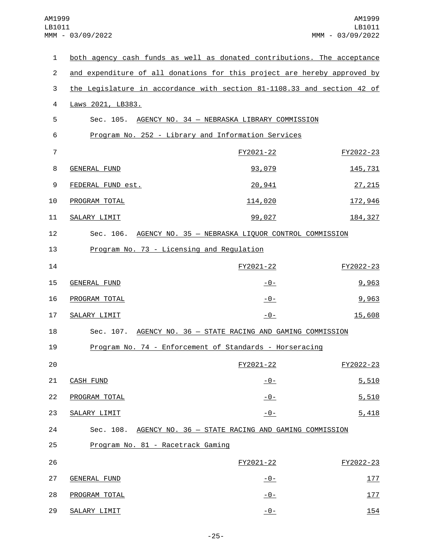| 1              | both agency cash funds as well as donated contributions. The acceptance  |                                             |           |
|----------------|--------------------------------------------------------------------------|---------------------------------------------|-----------|
| $\overline{2}$ | and expenditure of all donations for this project are hereby approved by |                                             |           |
| 3              | the Legislature in accordance with section 81-1108.33 and section 42 of  |                                             |           |
| 4              | Laws 2021, LB383.                                                        |                                             |           |
| 5              | Sec. 105.                                                                | AGENCY NO. 34 - NEBRASKA LIBRARY COMMISSION |           |
| 6              | Program No. 252 - Library and Information Services                       |                                             |           |
| $\overline{7}$ |                                                                          | FY2021-22                                   | FY2022-23 |
| 8              | <b>GENERAL FUND</b>                                                      | 93,079                                      | 145,731   |
| 9              | FEDERAL FUND est.                                                        | 20,941                                      | 27, 215   |
| 10             | PROGRAM TOTAL                                                            | 114,020                                     | 172,946   |
| 11             | SALARY LIMIT                                                             | 99,027                                      | 184, 327  |
| 12             | Sec. 106. AGENCY NO. 35 - NEBRASKA LIQUOR CONTROL COMMISSION             |                                             |           |
| 13             | Program No. 73 - Licensing and Regulation                                |                                             |           |
| 14             |                                                                          | FY2021-22                                   | FY2022-23 |
| 15             | <b>GENERAL FUND</b>                                                      | <u>- 0 - </u>                               | 9,963     |
| 16             | PROGRAM TOTAL                                                            | <u> - 0 - </u>                              | 9,963     |
| 17             | SALARY LIMIT                                                             | $-0-$                                       | 15,608    |
| 18             | Sec. 107. AGENCY NO. 36 - STATE RACING AND GAMING COMMISSION             |                                             |           |
| 19             | Program No. 74 - Enforcement of Standards - Horseracing                  |                                             |           |
| 20             |                                                                          | FY2021-22                                   | FY2022-23 |
| 21             | <b>CASH FUND</b>                                                         | $-0-$                                       | 5,510     |
| 22             | PROGRAM TOTAL                                                            | $-0-$                                       | 5,510     |
| 23             | SALARY LIMIT                                                             | $-0-$                                       | 5,418     |
| 24             | Sec. 108. AGENCY NO. 36 - STATE RACING AND GAMING COMMISSION             |                                             |           |
| 25             | Program No. 81 - Racetrack Gaming                                        |                                             |           |
| 26             |                                                                          | FY2021-22                                   | FY2022-23 |
| 27             | <b>GENERAL FUND</b>                                                      | <u> - 0 - </u>                              | 177       |
| 28             | PROGRAM TOTAL                                                            | $-0-$                                       | 177       |
| 29             | SALARY LIMIT                                                             | $-0-$                                       | 154       |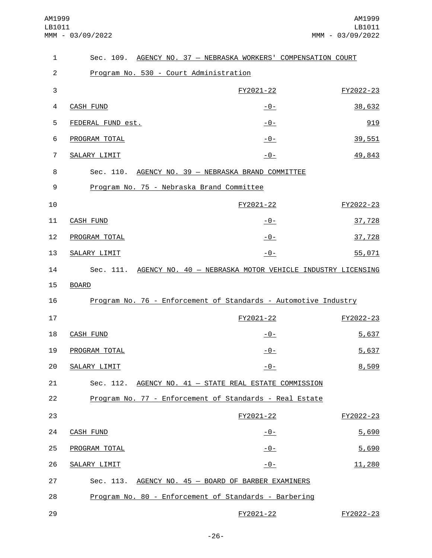| $\mathbf{1}$   |                                           | Sec. 109. AGENCY NO. 37 - NEBRASKA WORKERS' COMPENSATION COURT      |           |
|----------------|-------------------------------------------|---------------------------------------------------------------------|-----------|
| $\overline{2}$ | Program No. 530 - Court Administration    |                                                                     |           |
| 3              |                                           | FY2021-22                                                           | FY2022-23 |
| 4              | <b>CASH FUND</b>                          | <u>-0-</u>                                                          | 38,632    |
| 5              | FEDERAL FUND est.                         | $-0-$                                                               | 919       |
| 6              | PROGRAM TOTAL                             | $-0-$                                                               | 39,551    |
| 7              | SALARY LIMIT                              | $-0-$                                                               | 49,843    |
| 8              |                                           | Sec. 110. AGENCY NO. 39 - NEBRASKA BRAND COMMITTEE                  |           |
| 9              | Program No. 75 - Nebraska Brand Committee |                                                                     |           |
| 10             |                                           | FY2021-22                                                           | FY2022-23 |
| 11             | <b>CASH FUND</b>                          | $-0-$                                                               | 37,728    |
| 12             | PROGRAM TOTAL                             | $-0-$                                                               | 37,728    |
| 13             | SALARY LIMIT                              | $-0-$                                                               | 55,071    |
| 14             |                                           | Sec. 111. AGENCY NO. 40 - NEBRASKA MOTOR VEHICLE INDUSTRY LICENSING |           |
| 15             | <b>BOARD</b>                              |                                                                     |           |
| 16             |                                           | Program No. 76 - Enforcement of Standards - Automotive Industry     |           |
| 17             |                                           | FY2021-22                                                           | FY2022-23 |
| 18             | <b>CASH FUND</b>                          | <u> - 0 - </u>                                                      | 5,637     |
| 19             | PROGRAM TOTAL                             | $-0-$                                                               | 5,637     |
| 20             | SALARY LIMIT                              | $-0-$                                                               | 8,509     |
| 21             |                                           | Sec. 112. AGENCY NO. 41 - STATE REAL ESTATE COMMISSION              |           |
| 22             |                                           | Program No. 77 - Enforcement of Standards - Real Estate             |           |
| 23             |                                           | FY2021-22                                                           | FY2022-23 |
| 24             | CASH FUND                                 | <u> - 0 - </u>                                                      | 5,690     |
| 25             | PROGRAM TOTAL                             | <u> - 0 - </u>                                                      | 5,690     |
| 26             | SALARY LIMIT                              | <u>- 0 - </u>                                                       | 11,280    |
| 27             |                                           | Sec. 113. AGENCY NO. 45 - BOARD OF BARBER EXAMINERS                 |           |
| 28             |                                           | Program No. 80 - Enforcement of Standards - Barbering               |           |
| 29             |                                           | FY2021-22                                                           | FY2022-23 |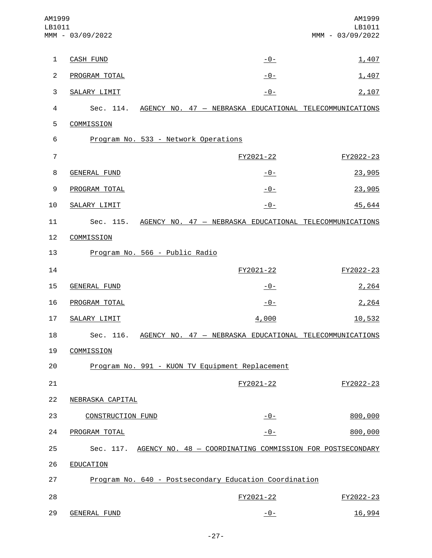| AM1999<br>LB1011 | MMM - 03/09/2022         |                                                                     | AM1999<br>LB1011<br>MMM - 03/09/2022 |
|------------------|--------------------------|---------------------------------------------------------------------|--------------------------------------|
| $\mathbf{1}$     | <b>CASH FUND</b>         | $-0-$                                                               | 1,407                                |
| $\overline{2}$   | PROGRAM TOTAL            | $-0-$                                                               | 1,407                                |
| 3                | SALARY LIMIT             | $-0-$                                                               | 2,107                                |
| 4                |                          | Sec. 114. AGENCY NO. 47 - NEBRASKA EDUCATIONAL TELECOMMUNICATIONS   |                                      |
| 5                | COMMISSION               |                                                                     |                                      |
| 6                |                          | Program No. 533 - Network Operations                                |                                      |
| $\overline{7}$   |                          | FY2021-22                                                           | FY2022-23                            |
| 8                | <b>GENERAL FUND</b>      | $-0-$                                                               | 23,905                               |
| 9                | PROGRAM TOTAL            | $-0-$                                                               | 23,905                               |
| 10               | <b>SALARY LIMIT</b>      | $-0-$                                                               | 45,644                               |
| 11               | Sec. 115.                | AGENCY NO. 47 - NEBRASKA EDUCATIONAL TELECOMMUNICATIONS             |                                      |
| 12               | COMMISSION               |                                                                     |                                      |
| 13               |                          | Program No. 566 - Public Radio                                      |                                      |
| 14               |                          | FY2021-22                                                           | FY2022-23                            |
| 15               | GENERAL FUND             | $-0-$                                                               | 2,264                                |
| 16               | PROGRAM TOTAL            | $-0-$                                                               | 2,264                                |
| 17               | SALARY LIMIT             | 4,000                                                               | 10,532                               |
| 18               |                          | Sec. 116. AGENCY NO. 47 - NEBRASKA EDUCATIONAL TELECOMMUNICATIONS   |                                      |
| 19               | COMMISSION               |                                                                     |                                      |
| 20               |                          | Program No. 991 - KUON TV Equipment Replacement                     |                                      |
| 21               |                          | FY2021-22                                                           | FY2022-23                            |
| 22               | NEBRASKA CAPITAL         |                                                                     |                                      |
| 23               | <b>CONSTRUCTION FUND</b> | $-0-$                                                               | 800,000                              |
| 24               | PROGRAM TOTAL            | $-0-$                                                               | 800,000                              |
| 25               |                          | Sec. 117. AGENCY NO. 48 - COORDINATING COMMISSION FOR POSTSECONDARY |                                      |
| 26               | EDUCATION                |                                                                     |                                      |
| 27               |                          | Program No. 640 - Postsecondary Education Coordination              |                                      |
| 28               |                          | FY2021-22                                                           | FY2022-23                            |
| 29               | <b>GENERAL FUND</b>      | $-0-$                                                               | 16,994                               |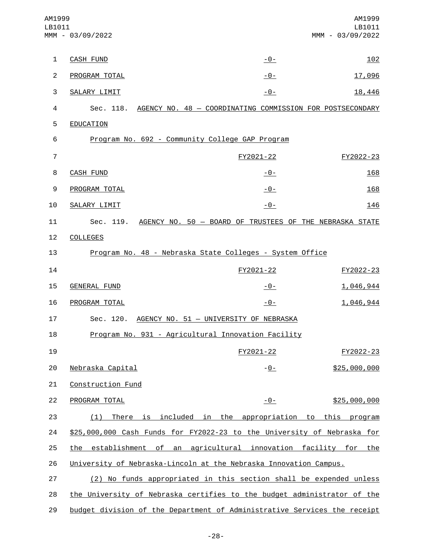| AM1999<br>LB1011 | MMM - 03/09/2022                                                         |                                                                     | AM1999<br>LB1011<br>MMM - 03/09/2022 |
|------------------|--------------------------------------------------------------------------|---------------------------------------------------------------------|--------------------------------------|
| 1                | <b>CASH FUND</b>                                                         | -0-                                                                 | 102                                  |
| $\overline{2}$   | PROGRAM TOTAL                                                            | -0-                                                                 | 17,096                               |
| 3                | SALARY LIMIT                                                             | $-0-$                                                               | 18,446                               |
| 4                |                                                                          | Sec. 118. AGENCY NO. 48 - COORDINATING COMMISSION FOR POSTSECONDARY |                                      |
| 5                | EDUCATION                                                                |                                                                     |                                      |
| 6                | Program No. 692 - Community College GAP Program                          |                                                                     |                                      |
| $\overline{7}$   |                                                                          | FY2021-22                                                           | FY2022-23                            |
| 8                | <b>CASH FUND</b>                                                         | -0-                                                                 | 168                                  |
| 9                | PROGRAM TOTAL                                                            | -0-                                                                 | 168                                  |
| 10               | SALARY LIMIT                                                             | $-0-$                                                               | 146                                  |
| 11               |                                                                          | Sec. 119. AGENCY NO. 50 - BOARD OF TRUSTEES OF THE NEBRASKA STATE   |                                      |
| 12               | <b>COLLEGES</b>                                                          |                                                                     |                                      |
| 13               |                                                                          | Program No. 48 - Nebraska State Colleges - System Office            |                                      |
| 14               |                                                                          | FY2021-22                                                           | FY2022-23                            |
| 15               | <b>GENERAL FUND</b>                                                      | -0-                                                                 | 1,046,944                            |
| 16               | PROGRAM TOTAL                                                            | $-0-$                                                               | 1,046,944                            |
| 17               |                                                                          | Sec. 120. AGENCY NO. 51 - UNIVERSITY OF NEBRASKA                    |                                      |
| 18               |                                                                          | Program No. 931 - Agricultural Innovation Facility                  |                                      |
| 19               |                                                                          | FY2021-22                                                           | FY2022-23                            |
| 20               | Nebraska Capital                                                         | <u>- 0 - </u>                                                       | \$25,000,000                         |
| 21               | Construction Fund                                                        |                                                                     |                                      |
| 22               | PROGRAM TOTAL                                                            | $-0-$                                                               | \$25,000,000                         |
| 23               | (1)                                                                      | There is included in the appropriation to this program              |                                      |
| 24               | \$25,000,000 Cash Funds for FY2022-23 to the University of Nebraska for  |                                                                     |                                      |
| 25               | the establishment of an agricultural innovation facility for the         |                                                                     |                                      |
| 26               | University of Nebraska-Lincoln at the Nebraska Innovation Campus.        |                                                                     |                                      |
| 27               |                                                                          | (2) No funds appropriated in this section shall be expended unless  |                                      |
| 28               | the University of Nebraska certifies to the budget administrator of the  |                                                                     |                                      |
| 29               | budget division of the Department of Administrative Services the receipt |                                                                     |                                      |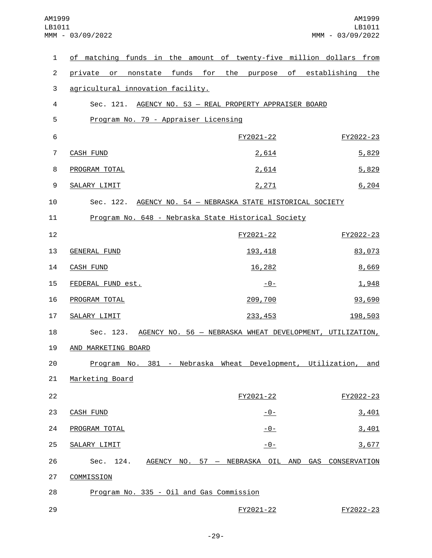| $\mathbf{1}$   | of matching funds in the amount of twenty-five million dollars from |                                                   |           |
|----------------|---------------------------------------------------------------------|---------------------------------------------------|-----------|
| $\overline{2}$ | private or nonstate funds for the purpose of establishing the       |                                                   |           |
| 3              | agricultural innovation facility.                                   |                                                   |           |
| 4              | Sec. 121. AGENCY NO. 53 - REAL PROPERTY APPRAISER BOARD             |                                                   |           |
| 5              | Program No. 79 - Appraiser Licensing                                |                                                   |           |
| $\,6$          |                                                                     | FY2021-22                                         | FY2022-23 |
| $\overline{7}$ | CASH FUND                                                           | 2,614                                             | 5,829     |
| 8              | PROGRAM TOTAL                                                       | 2,614                                             | 5,829     |
| 9              | SALARY LIMIT                                                        | 2,271                                             | 6,204     |
| 10             | Sec. 122. AGENCY NO. 54 - NEBRASKA STATE HISTORICAL SOCIETY         |                                                   |           |
| 11             | Program No. 648 - Nebraska State Historical Society                 |                                                   |           |
| 12             |                                                                     | FY2021-22                                         | FY2022-23 |
| 13             | <b>GENERAL FUND</b>                                                 | 193, 418                                          | 83,073    |
| 14             | <b>CASH FUND</b>                                                    | 16,282                                            | 8,669     |
| 15             | FEDERAL FUND est.                                                   | <u> - 0 - </u>                                    | 1,948     |
| 16             | PROGRAM TOTAL                                                       | 209,700                                           | 93,690    |
| 17             | SALARY LIMIT                                                        | 233, 453                                          | 198,503   |
| 18             | Sec. 123. AGENCY NO. 56 - NEBRASKA WHEAT DEVELOPMENT, UTILIZATION,  |                                                   |           |
| 19             | AND MARKETING BOARD                                                 |                                                   |           |
| 20             | Program No. 381 - Nebraska Wheat Development, Utilization, and      |                                                   |           |
| 21             | Marketing Board                                                     |                                                   |           |
| 22             |                                                                     | FY2021-22                                         | FY2022-23 |
| 23             | <b>CASH FUND</b>                                                    | <u>-0-</u>                                        | 3,401     |
| 24             | PROGRAM TOTAL                                                       | $-0-$                                             | 3,401     |
| 25             | SALARY LIMIT                                                        | $-0-$                                             | 3,677     |
| 26             | Sec. 124.                                                           | AGENCY NO. 57 - NEBRASKA OIL AND GAS CONSERVATION |           |
| 27             | COMMISSION                                                          |                                                   |           |
| 28             | Program No. 335 - Oil and Gas Commission                            |                                                   |           |
| 29             |                                                                     | FY2021-22                                         | FY2022-23 |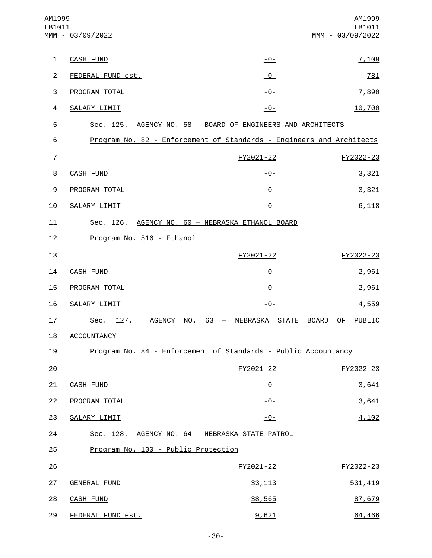| AM1999<br>LB1011 | MMM - 03/09/2022                    |                                                                      | AM1999<br>LB1011<br>MMM - 03/09/2022 |
|------------------|-------------------------------------|----------------------------------------------------------------------|--------------------------------------|
| $\mathbf{1}$     | <b>CASH FUND</b>                    | $-0-$                                                                | 7,109                                |
| $\overline{2}$   | FEDERAL FUND est.                   | $-0-$                                                                | 781                                  |
| 3                | PROGRAM TOTAL                       | $-0-$                                                                | 7,890                                |
| $\overline{a}$   | SALARY LIMIT                        | $-0-$                                                                | 10,700                               |
| 5                |                                     | Sec. 125. AGENCY NO. 58 - BOARD OF ENGINEERS AND ARCHITECTS          |                                      |
| 6                |                                     | Program No. 82 - Enforcement of Standards - Engineers and Architects |                                      |
| $\overline{7}$   |                                     | FY2021-22                                                            | FY2022-23                            |
| 8                | <b>CASH FUND</b>                    | <u>-0-</u>                                                           | 3,321                                |
| 9                | PROGRAM TOTAL                       | -0-                                                                  | 3,321                                |
| 10               | SALARY LIMIT                        | $-0-$                                                                | 6,118                                |
| 11               |                                     | Sec. 126. AGENCY NO. 60 - NEBRASKA ETHANOL BOARD                     |                                      |
| 12               | Program No. 516 - Ethanol           |                                                                      |                                      |
| 13               |                                     | FY2021-22                                                            | FY2022-23                            |
| 14               | <b>CASH FUND</b>                    | <u> - 0 - </u>                                                       | 2,961                                |
| 15               | PROGRAM TOTAL                       | $-0-$                                                                | 2,961                                |
| 16               | SALARY LIMIT                        | $-0-$                                                                | 4,559                                |
| 17               | Sec.<br>127.<br><b>AGENCY</b>       | NO.<br>63 - NEBRASKA STATE                                           | BOARD OF<br>PUBLIC                   |
| 18               | <b>ACCOUNTANCY</b>                  |                                                                      |                                      |
| 19               |                                     | Program No. 84 - Enforcement of Standards - Public Accountancy       |                                      |
| 20               |                                     | FY2021-22                                                            | FY2022-23                            |
| 21               | <b>CASH FUND</b>                    | $-0-$                                                                | 3,641                                |
| 22               | PROGRAM TOTAL                       | $-0-$                                                                | 3,641                                |
| 23               | SALARY LIMIT                        | $-0-$                                                                | 4,102                                |
| 24               |                                     | Sec. 128. AGENCY NO. 64 - NEBRASKA STATE PATROL                      |                                      |
| 25               | Program No. 100 - Public Protection |                                                                      |                                      |
| 26               |                                     | FY2021-22                                                            | FY2022-23                            |
| 27               | <b>GENERAL FUND</b>                 | 33, 113                                                              | 531,419                              |
| 28               | <b>CASH FUND</b>                    | 38,565                                                               | 87,679                               |
| 29               | FEDERAL FUND est.                   | 9,621                                                                | 64,466                               |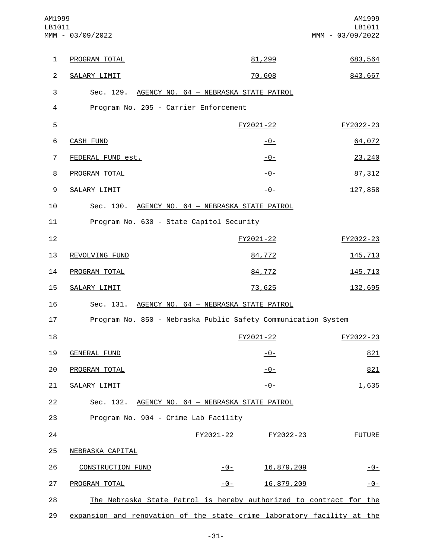| AM1999<br>LB1011 | MMM - 03/09/2022                                                       |                | AM1999<br>LB1011<br>MMM - 03/09/2022 |
|------------------|------------------------------------------------------------------------|----------------|--------------------------------------|
| $\mathbf{1}$     | PROGRAM TOTAL                                                          | 81,299         | 683,564                              |
| $\overline{2}$   | SALARY LIMIT                                                           | 70,608         | 843,667                              |
| 3                | Sec. 129. AGENCY NO. 64 - NEBRASKA STATE PATROL                        |                |                                      |
| 4                | Program No. 205 - Carrier Enforcement                                  |                |                                      |
| 5                |                                                                        | FY2021-22      | FY2022-23                            |
| 6                | <b>CASH FUND</b>                                                       | $-0-$          | 64,072                               |
| $\overline{7}$   | FEDERAL FUND est.                                                      | <u> - 0 - </u> | 23,240                               |
| 8                | PROGRAM TOTAL                                                          | $-0-$          | 87, 312                              |
| 9                | SALARY LIMIT                                                           | $-0-$          | 127,858                              |
| 10               | Sec. 130. AGENCY NO. 64 - NEBRASKA STATE PATROL                        |                |                                      |
| 11               | Program No. 630 - State Capitol Security                               |                |                                      |
| 12               |                                                                        | FY2021-22      | FY2022-23                            |
| 13               | REVOLVING FUND                                                         | 84,772         | 145,713                              |
| 14               | PROGRAM TOTAL                                                          | 84,772         | 145,713                              |
| 15               | SALARY LIMIT                                                           | 73,625         | 132,695                              |
| 16               | Sec. 131. AGENCY NO. 64 - NEBRASKA STATE PATROL                        |                |                                      |
| 17               | Program No. 850 - Nebraska Public Safety Communication System          |                |                                      |
| 18               |                                                                        | FY2021-22      | FY2022-23                            |
| 19               | <b>GENERAL FUND</b>                                                    | $-0-$          | 821                                  |
| 20               | PROGRAM TOTAL                                                          | $-0-$          | 821                                  |
| 21               | SALARY LIMIT                                                           | $-0-$          | 1,635                                |
| 22               | Sec. 132. AGENCY NO. 64 - NEBRASKA STATE PATROL                        |                |                                      |
| 23               | Program No. 904 - Crime Lab Facility                                   |                |                                      |
| 24               |                                                                        | FY2021-22      | <b>FUTURE</b><br>FY2022-23           |
| 25               | NEBRASKA CAPITAL                                                       |                |                                      |
| 26               | <b>CONSTRUCTION FUND</b>                                               | $-0-$          | 16,879,209<br>$-0-$                  |
| 27               | PROGRAM TOTAL                                                          | $-0-$          | 16,879,209<br>$-0-$                  |
| 28               | The Nebraska State Patrol is hereby authorized to contract for the     |                |                                      |
| 29               | expansion and renovation of the state crime laboratory facility at the |                |                                      |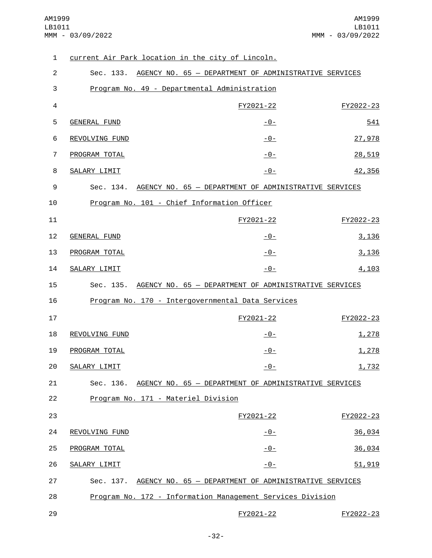| 1              | current Air Park location in the city of Lincoln.               |                |           |
|----------------|-----------------------------------------------------------------|----------------|-----------|
| $\overline{2}$ | Sec. 133. AGENCY NO. 65 - DEPARTMENT OF ADMINISTRATIVE SERVICES |                |           |
| 3              | Program No. 49 - Departmental Administration                    |                |           |
| $\overline{4}$ |                                                                 | FY2021-22      | FY2022-23 |
| 5              | <b>GENERAL FUND</b>                                             | $-0-$          | 541       |
| 6              | REVOLVING FUND                                                  | $-0-$          | 27,978    |
| 7              | PROGRAM TOTAL                                                   | $-0-$          | 28,519    |
| 8              | SALARY LIMIT                                                    | $-0-$          | 42,356    |
| 9              | Sec. 134. AGENCY NO. 65 - DEPARTMENT OF ADMINISTRATIVE SERVICES |                |           |
| 10             | Program No. 101 - Chief Information Officer                     |                |           |
| 11             |                                                                 | FY2021-22      | FY2022-23 |
| 12             | <b>GENERAL FUND</b>                                             | $-0-$          | 3,136     |
| 13             | PROGRAM TOTAL                                                   | $-0-$          | 3,136     |
| 14             | SALARY LIMIT                                                    | $-0-$          | 4,103     |
| 15             | Sec. 135. AGENCY NO. 65 - DEPARTMENT OF ADMINISTRATIVE SERVICES |                |           |
| 16             | Program No. 170 - Intergovernmental Data Services               |                |           |
| 17             |                                                                 | FY2021-22      | FY2022-23 |
| 18             | REVOLVING FUND                                                  | $-0-$          | 1,278     |
| 19             | PROGRAM TOTAL                                                   | $-0-$          | 1,278     |
| 20             | SALARY LIMIT                                                    | $-0-$          | 1,732     |
| 21             | Sec. 136. AGENCY NO. 65 - DEPARTMENT OF ADMINISTRATIVE SERVICES |                |           |
| 22             | Program No. 171 - Materiel Division                             |                |           |
| 23             |                                                                 | FY2021-22      | FY2022-23 |
| 24             | REVOLVING FUND                                                  | <u> - 0 - </u> | 36,034    |
| 25             | PROGRAM TOTAL                                                   | $-0-$          | 36,034    |
| 26             | SALARY LIMIT                                                    | $-0-$          | 51,919    |
| 27             | Sec. 137. AGENCY NO. 65 - DEPARTMENT OF ADMINISTRATIVE SERVICES |                |           |
| 28             | Program No. 172 - Information Management Services Division      |                |           |
| 29             |                                                                 | FY2021-22      | FY2022-23 |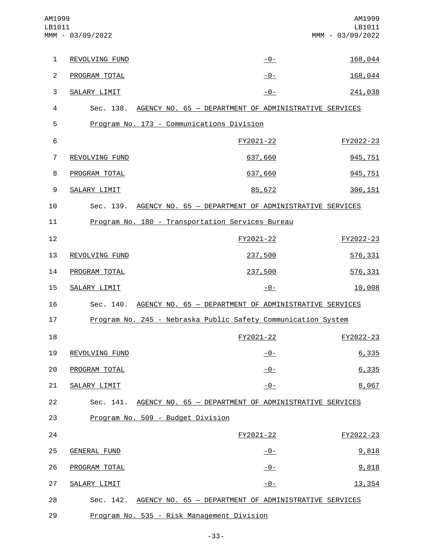| AM1999<br>LB1011 | MMM - 03/09/2022    |                                                                 | AM1999<br>LB1011<br>MMM - 03/09/2022 |
|------------------|---------------------|-----------------------------------------------------------------|--------------------------------------|
| $\mathbf{1}$     | REVOLVING FUND      | $-0-$                                                           | 168,044                              |
| $\overline{2}$   | PROGRAM TOTAL       | $-0-$                                                           | 168,044                              |
| 3                | SALARY LIMIT        | $-0-$                                                           | 241,038                              |
| 4                |                     | Sec. 138. AGENCY NO. 65 - DEPARTMENT OF ADMINISTRATIVE SERVICES |                                      |
| 5                |                     | Program No. 173 - Communications Division                       |                                      |
| 6                |                     | FY2021-22                                                       | FY2022-23                            |
| $\overline{7}$   | REVOLVING FUND      | 637,660                                                         | 945,751                              |
| 8                | PROGRAM TOTAL       | 637,660                                                         | 945,751                              |
| 9                | SALARY LIMIT        | 85,672                                                          | 306, 151                             |
| 10               |                     | Sec. 139. AGENCY NO. 65 - DEPARTMENT OF ADMINISTRATIVE SERVICES |                                      |
| 11               |                     | Program No. 180 - Transportation Services Bureau                |                                      |
| 12               |                     | FY2021-22                                                       | FY2022-23                            |
| 13               | REVOLVING FUND      | 237,500                                                         | 576,331                              |
| 14               | PROGRAM TOTAL       | 237,500                                                         | 576,331                              |
| 15               | SALARY LIMIT        | $-0-$                                                           | 10,008                               |
| 16               | Sec. 140.           | AGENCY NO. 65 - DEPARTMENT OF ADMINISTRATIVE SERVICES           |                                      |
| 17               |                     | Program No. 245 - Nebraska Public Safety Communication System   |                                      |
| 18               |                     | FY2021-22                                                       | FY2022-23                            |
| 19               | REVOLVING FUND      | $-0-$                                                           | 6,335                                |
| 20               | PROGRAM TOTAL       | $-0-$                                                           | 6,335                                |
| 21               | SALARY LIMIT        | $-0-$                                                           | 8,067                                |
| 22               |                     | Sec. 141. AGENCY NO. 65 - DEPARTMENT OF ADMINISTRATIVE SERVICES |                                      |
| 23               |                     | Program No. 509 - Budget Division                               |                                      |
| 24               |                     | FY2021-22                                                       | FY2022-23                            |
| 25               | <b>GENERAL FUND</b> | <u> - 0 - </u>                                                  | 9,818                                |
| 26               | PROGRAM TOTAL       | $-0-$                                                           | 9,818                                |
| 27               | SALARY LIMIT        | <u>- 0 - </u>                                                   | 13, 354                              |
| 28               |                     | Sec. 142. AGENCY NO. 65 - DEPARTMENT OF ADMINISTRATIVE SERVICES |                                      |
| 29               |                     | Program No. 535 - Risk Management Division                      |                                      |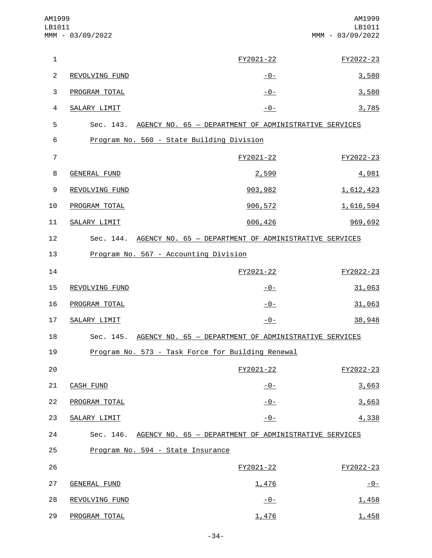| AM1999<br>LB1011 | MMM - 03/09/2022    |                                                                 | AM1999<br>LB1011<br>MMM - 03/09/2022 |
|------------------|---------------------|-----------------------------------------------------------------|--------------------------------------|
| $\mathbf 1$      |                     | FY2021-22                                                       | FY2022-23                            |
| $\overline{c}$   | REVOLVING FUND      | <u>- 0 - </u>                                                   | 3,580                                |
| $\mathsf 3$      | PROGRAM TOTAL       | <u> - 0 - </u>                                                  | 3,580                                |
| $\overline{4}$   | SALARY LIMIT        | $-0-$                                                           | 3,785                                |
| 5                |                     | Sec. 143. AGENCY NO. 65 - DEPARTMENT OF ADMINISTRATIVE SERVICES |                                      |
| 6                |                     | Program No. 560 - State Building Division                       |                                      |
| $\overline{7}$   |                     | FY2021-22                                                       | FY2022-23                            |
| 8                | <b>GENERAL FUND</b> | 2,590                                                           | 4,081                                |
| 9                | REVOLVING FUND      | 903,982                                                         | 1,612,423                            |
| 10               | PROGRAM TOTAL       | 906, 572                                                        | 1,616,504                            |
| 11               | SALARY LIMIT        | 606,426                                                         | 969,692                              |
| 12               |                     | Sec. 144. AGENCY NO. 65 - DEPARTMENT OF ADMINISTRATIVE SERVICES |                                      |
| 13               |                     | Program No. 567 - Accounting Division                           |                                      |
| 14               |                     | FY2021-22                                                       | FY2022-23                            |
| 15               | REVOLVING FUND      | $-0-$                                                           | 31,063                               |
| 16               | PROGRAM TOTAL       | $-0-$                                                           | 31,063                               |
| 17               | SALARY LIMIT        | $-0-$                                                           | 38,948                               |
| 18               |                     | Sec. 145. AGENCY NO. 65 - DEPARTMENT OF ADMINISTRATIVE SERVICES |                                      |
| 19               |                     | Program No. 573 - Task Force for Building Renewal               |                                      |
| 20               |                     | FY2021-22                                                       | FY2022-23                            |
| 21               | <b>CASH FUND</b>    | <u> - 0 - </u>                                                  | 3,663                                |
| 22               | PROGRAM TOTAL       | $-0-$                                                           | 3,663                                |
| 23               | SALARY LIMIT        | $-0-$                                                           | 4,338                                |
| 24               |                     | Sec. 146. AGENCY NO. 65 - DEPARTMENT OF ADMINISTRATIVE SERVICES |                                      |
| 25               |                     | Program No. 594 - State Insurance                               |                                      |
| 26               |                     | FY2021-22                                                       | FY2022-23                            |
| 27               | <b>GENERAL FUND</b> | 1,476                                                           | $-0-$                                |
| 28               | REVOLVING FUND      | $-0-$                                                           | 1,458                                |
| 29               | PROGRAM TOTAL       | 1,476                                                           | 1,458                                |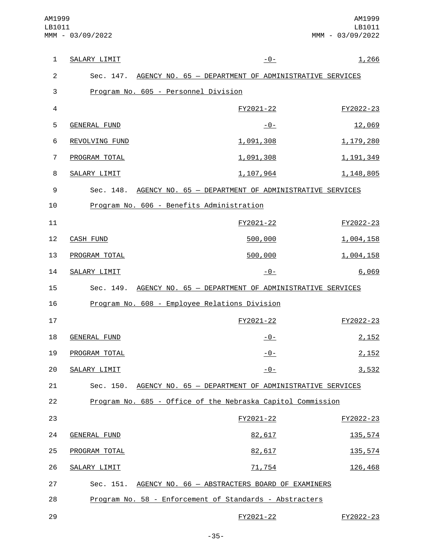| $\mathbf{1}$        | SALARY LIMIT        | $-0-$                                                                                                   | 1,266       |
|---------------------|---------------------|---------------------------------------------------------------------------------------------------------|-------------|
|                     |                     |                                                                                                         |             |
| $\overline{c}$<br>3 |                     | Sec. 147. AGENCY NO. 65 - DEPARTMENT OF ADMINISTRATIVE SERVICES<br>Program No. 605 - Personnel Division |             |
|                     |                     |                                                                                                         |             |
| 4                   |                     | FY2021-22                                                                                               | FY2022-23   |
| 5                   | <b>GENERAL FUND</b> | $-0-$                                                                                                   | 12,069      |
| 6                   | REVOLVING FUND      | 1,091,308                                                                                               | 1,179,280   |
| $\overline{7}$      | PROGRAM TOTAL       | 1,091,308                                                                                               | 1, 191, 349 |
| 8                   | SALARY LIMIT        | 1,107,964                                                                                               | 1, 148, 805 |
| 9                   |                     | Sec. 148. AGENCY NO. 65 - DEPARTMENT OF ADMINISTRATIVE SERVICES                                         |             |
| 10                  |                     | Program No. 606 - Benefits Administration                                                               |             |
| 11                  |                     | FY2021-22                                                                                               | FY2022-23   |
| 12                  | <b>CASH FUND</b>    | 500,000                                                                                                 | 1,004,158   |
| 13                  | PROGRAM TOTAL       | 500,000                                                                                                 | 1,004,158   |
| 14                  | SALARY LIMIT        | $-0-$                                                                                                   | 6,069       |
| 15                  |                     | Sec. 149. AGENCY NO. 65 - DEPARTMENT OF ADMINISTRATIVE SERVICES                                         |             |
| 16                  |                     | Program No. 608 - Employee Relations Division                                                           |             |
| 17                  |                     | FY2021-22                                                                                               | FY2022-23   |
| 18                  | <b>GENERAL FUND</b> | $-0-$                                                                                                   | 2,152       |
| 19                  | PROGRAM TOTAL       | $-0-$                                                                                                   | 2,152       |
| 20                  | SALARY LIMIT        | $-0-$                                                                                                   | 3,532       |
| 21                  | Sec. 150.           | AGENCY NO. 65 - DEPARTMENT OF ADMINISTRATIVE SERVICES                                                   |             |
| 22                  |                     | Program No. 685 - Office of the Nebraska Capitol Commission                                             |             |
| 23                  |                     | FY2021-22                                                                                               | FY2022-23   |
| 24                  | <b>GENERAL FUND</b> | 82,617                                                                                                  | 135,574     |
| 25                  | PROGRAM TOTAL       | 82,617                                                                                                  | 135,574     |
| 26                  | SALARY LIMIT        | 71,754                                                                                                  | 126,468     |
| 27                  |                     | Sec. 151. AGENCY NO. 66 - ABSTRACTERS BOARD OF EXAMINERS                                                |             |
| 28                  |                     | Program No. 58 - Enforcement of Standards - Abstracters                                                 |             |
| 29                  |                     | FY2021-22                                                                                               | FY2022-23   |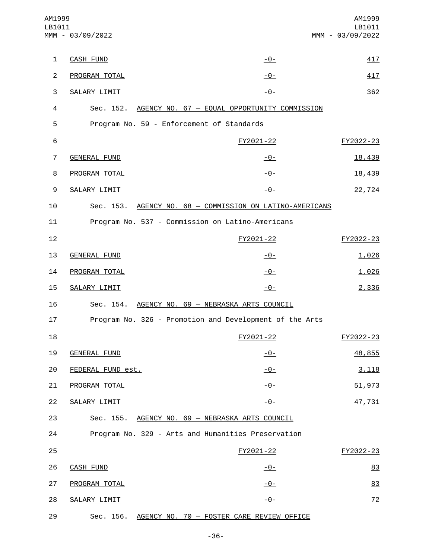| AM1999<br>LB1011 | MMM - 03/09/2022    |                                                          | AM1999<br>LB1011<br>MMM - 03/09/2022 |
|------------------|---------------------|----------------------------------------------------------|--------------------------------------|
| $\mathbf{1}$     | <b>CASH FUND</b>    | <u> - 0 - </u>                                           | 417                                  |
| 2                | PROGRAM TOTAL       | $-0-$                                                    | 417                                  |
| 3                | SALARY LIMIT        | $-0-$                                                    | 362                                  |
| 4                |                     | Sec. 152. AGENCY NO. 67 - EQUAL OPPORTUNITY COMMISSION   |                                      |
| 5                |                     | Program No. 59 - Enforcement of Standards                |                                      |
| 6                |                     | FY2021-22                                                | FY2022-23                            |
| $\overline{7}$   | GENERAL FUND        | <u> - 0 - </u>                                           | 18,439                               |
| 8                | PROGRAM TOTAL       | $-0-$                                                    | 18,439                               |
| 9                | SALARY LIMIT        | $-0-$                                                    | 22,724                               |
| 10               |                     | Sec. 153. AGENCY NO. 68 - COMMISSION ON LATINO-AMERICANS |                                      |
| 11               |                     | Program No. 537 - Commission on Latino-Americans         |                                      |
| 12               |                     | FY2021-22                                                | FY2022-23                            |
| 13               | <b>GENERAL FUND</b> | -0-                                                      | 1,026                                |
| 14               | PROGRAM TOTAL       | -0-                                                      | 1,026                                |
| 15               | SALARY LIMIT        | $-0-$                                                    | 2,336                                |
| 16               |                     | Sec. 154. AGENCY NO. 69 - NEBRASKA ARTS COUNCIL          |                                      |
| 17               |                     | Program No. 326 - Promotion and Development of the Arts  |                                      |
| 18               |                     | FY2021-22                                                | FY2022-23                            |
| 19               | <b>GENERAL FUND</b> | $-0-$                                                    | 48,855                               |
| 20               | FEDERAL FUND est.   | $-0-$                                                    | 3,118                                |
| 21               | PROGRAM TOTAL       | $-0-$                                                    | 51,973                               |
| 22               | SALARY LIMIT        | $-0-$                                                    | 47,731                               |
| 23               |                     | Sec. 155. AGENCY NO. 69 - NEBRASKA ARTS COUNCIL          |                                      |
| 24               |                     | Program No. 329 - Arts and Humanities Preservation       |                                      |
| 25               |                     | FY2021-22                                                | FY2022-23                            |
| 26               | <b>CASH FUND</b>    | $-0-$                                                    | 83                                   |
| 27               | PROGRAM TOTAL       | <u>- 0 - </u>                                            | 83                                   |
| 28               | SALARY LIMIT        | $-0-$                                                    | 72                                   |
| 29               |                     | Sec. 156. AGENCY NO. 70 - FOSTER CARE REVIEW OFFICE      |                                      |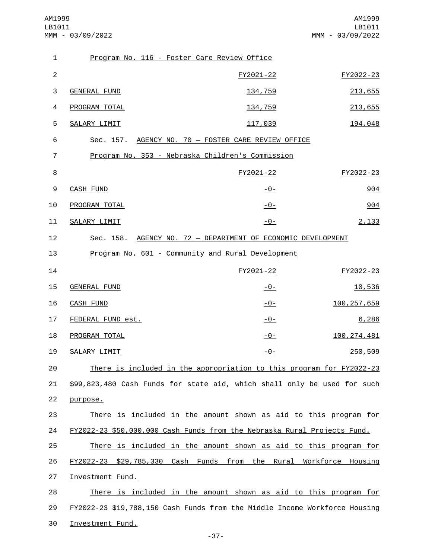AM1999 LB1011 MMM - 03/09/2022

| $\mathbf{1}$   | Program No. 116 - Foster Care Review Office                                |                |               |
|----------------|----------------------------------------------------------------------------|----------------|---------------|
| 2              |                                                                            | FY2021-22      | FY2022-23     |
| 3              | <b>GENERAL FUND</b>                                                        | 134,759        | 213,655       |
| 4              | PROGRAM TOTAL                                                              | 134,759        | 213,655       |
| 5              | SALARY LIMIT                                                               | 117,039        | 194,048       |
| 6              | Sec. 157. AGENCY NO. 70 - FOSTER CARE REVIEW OFFICE                        |                |               |
| $\overline{7}$ | Program No. 353 - Nebraska Children's Commission                           |                |               |
| 8              |                                                                            | FY2021-22      | FY2022-23     |
| 9              | <b>CASH FUND</b>                                                           | <u> - 0 - </u> | 904           |
| 10             | PROGRAM TOTAL                                                              | $-0-$          | 904           |
| 11             | SALARY LIMIT                                                               | $-0-$          | 2,133         |
| 12             | Sec. 158. AGENCY NO. 72 - DEPARTMENT OF ECONOMIC DEVELOPMENT               |                |               |
| 13             | Program No. 601 - Community and Rural Development                          |                |               |
| 14             |                                                                            | FY2021-22      | FY2022-23     |
| 15             | <b>GENERAL FUND</b>                                                        | $-0-$          | 10,536        |
| 16             | <b>CASH FUND</b>                                                           | $-0-$          | 100, 257, 659 |
| 17             | FEDERAL FUND est.                                                          | $-0-$          | 6,286         |
| 18             | PROGRAM TOTAL                                                              | $-0-$          | 100, 274, 481 |
| 19             | SALARY LIMIT                                                               | -0-            | 250,509       |
| 20             | There is included in the appropriation to this program for FY2022-23       |                |               |
| 21             | \$99,823,480 Cash Funds for state aid, which shall only be used for such   |                |               |
| 22             | purpose.                                                                   |                |               |
| 23             | There is included in the amount shown as aid to this program for           |                |               |
| 24             | FY2022-23 \$50,000,000 Cash Funds from the Nebraska Rural Projects Fund.   |                |               |
| 25             | There is included in the amount shown as aid to this program for           |                |               |
| 26             | FY2022-23 \$29,785,330 Cash Funds from the Rural Workforce Housing         |                |               |
| 27             | Investment Fund.                                                           |                |               |
| 28             | There is included in the amount shown as aid to this program for           |                |               |
| 29             | FY2022-23 \$19,788,150 Cash Funds from the Middle Income Workforce Housing |                |               |
| 30             | Investment Fund.                                                           |                |               |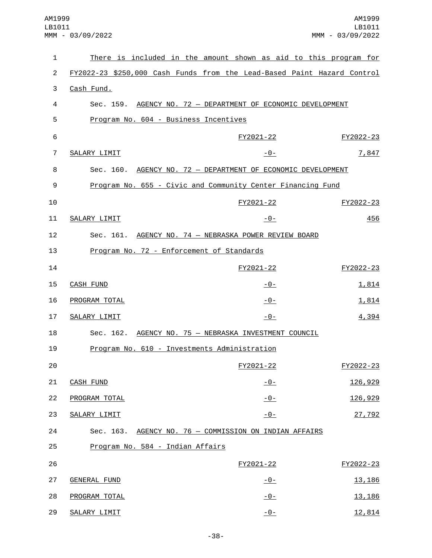| 1              |                                                                         | There is included in the amount shown as aid to this program for |                |
|----------------|-------------------------------------------------------------------------|------------------------------------------------------------------|----------------|
| $\overline{2}$ | FY2022-23 \$250,000 Cash Funds from the Lead-Based Paint Hazard Control |                                                                  |                |
| 3              | Cash Fund.                                                              |                                                                  |                |
| 4              |                                                                         | Sec. 159. AGENCY NO. 72 - DEPARTMENT OF ECONOMIC DEVELOPMENT     |                |
| 5              | Program No. 604 - Business Incentives                                   |                                                                  |                |
| 6              |                                                                         | FY2021-22                                                        | FY2022-23      |
| 7              | SALARY LIMIT                                                            | $-0-$                                                            | 7,847          |
| 8              |                                                                         | Sec. 160. AGENCY NO. 72 - DEPARTMENT OF ECONOMIC DEVELOPMENT     |                |
| 9              |                                                                         | Program No. 655 - Civic and Community Center Financing Fund      |                |
| 10             |                                                                         | FY2021-22                                                        | FY2022-23      |
| 11             | SALARY LIMIT                                                            | $-0-$                                                            | 456            |
| 12             |                                                                         | Sec. 161. AGENCY NO. 74 - NEBRASKA POWER REVIEW BOARD            |                |
| 13             | Program No. 72 - Enforcement of Standards                               |                                                                  |                |
| 14             |                                                                         | FY2021-22                                                        | FY2022-23      |
| 15             | <b>CASH FUND</b>                                                        | <u> - 0 - </u>                                                   | 1,814          |
| 16             | PROGRAM TOTAL                                                           | $-0-$                                                            | 1,814          |
| 17             | SALARY LIMIT                                                            | $-0-$                                                            | 4,394          |
| 18             |                                                                         | Sec. 162. AGENCY NO. 75 - NEBRASKA INVESTMENT COUNCIL            |                |
| 19             | Program No. 610 - Investments Administration                            |                                                                  |                |
| 20             |                                                                         | FY2021-22                                                        | FY2022-23      |
| 21             | <b>CASH FUND</b>                                                        | $-0-$                                                            | 126,929        |
| 22             | PROGRAM TOTAL                                                           | $-0-$                                                            | 126,929        |
| 23             | <b>SALARY LIMIT</b>                                                     | $-0-$                                                            | 27,792         |
| 24             |                                                                         | Sec. 163. AGENCY NO. 76 - COMMISSION ON INDIAN AFFAIRS           |                |
| 25             | Program No. 584 - Indian Affairs                                        |                                                                  |                |
| 26             |                                                                         | FY2021-22                                                        | FY2022-23      |
| 27             | <b>GENERAL FUND</b>                                                     | <u>- 0 - </u>                                                    | 13, 186        |
| 28             | PROGRAM TOTAL                                                           | $-0-$                                                            | <u>13, 186</u> |
| 29             | SALARY LIMIT                                                            | $-0-$                                                            | 12,814         |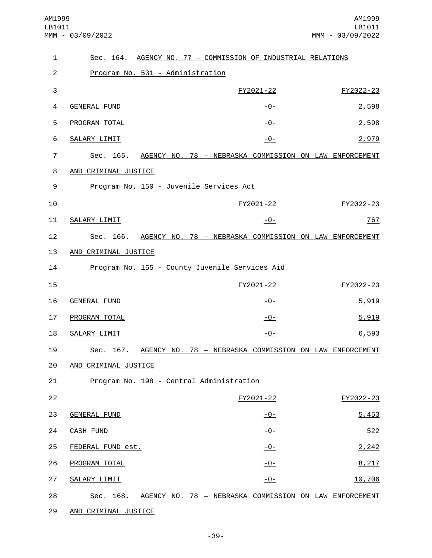| $\mathbf{1}$   | Sec. 164. AGENCY NO. 77 - COMMISSION OF INDUSTRIAL RELATIONS     |                |           |
|----------------|------------------------------------------------------------------|----------------|-----------|
| $\overline{2}$ | Program No. 531 - Administration                                 |                |           |
| 3              |                                                                  | FY2021-22      | FY2022-23 |
| 4              | GENERAL FUND                                                     | <u>-0-</u>     | 2,598     |
| 5              | PROGRAM TOTAL                                                    | $-0-$          | 2,598     |
| 6              | SALARY LIMIT                                                     | $-0-$          | 2,979     |
| $\overline{7}$ | Sec. 165. AGENCY NO. 78 - NEBRASKA COMMISSION ON LAW ENFORCEMENT |                |           |
| 8              | AND CRIMINAL JUSTICE                                             |                |           |
| 9              | Program No. 150 - Juvenile Services Act                          |                |           |
| 10             |                                                                  | FY2021-22      | FY2022-23 |
| 11             | SALARY LIMIT                                                     | $-0-$          | 767       |
| 12             | Sec. 166. AGENCY NO. 78 - NEBRASKA COMMISSION ON LAW ENFORCEMENT |                |           |
| 13             | AND CRIMINAL JUSTICE                                             |                |           |
| 14             | Program No. 155 - County Juvenile Services Aid                   |                |           |
| 15             |                                                                  | FY2021-22      | FY2022-23 |
| 16             | GENERAL FUND                                                     | <u> - 0 - </u> | 5,919     |
| 17             | PROGRAM TOTAL                                                    | <u> - 0 - </u> | 5,919     |
| 18             | SALARY LIMIT                                                     | $-0-$          | 6,593     |
| 19             | Sec. 167. AGENCY NO. 78 - NEBRASKA COMMISSION ON LAW ENFORCEMENT |                |           |
| 20             | AND CRIMINAL JUSTICE                                             |                |           |
| 21             | Program No. 198 - Central Administration                         |                |           |
| 22             |                                                                  | FY2021-22      | FY2022-23 |
| 23             | <b>GENERAL FUND</b>                                              | <u>- 0 - </u>  | 5,453     |
| 24             | <b>CASH FUND</b>                                                 | $-0-$          | 522       |
| 25             | FEDERAL FUND est.                                                | $-0-$          | 2,242     |
| 26             | PROGRAM TOTAL                                                    | $-0-$          | 8,217     |
| 27             | SALARY LIMIT                                                     | $-0-$          | 10,706    |
| 28             | Sec. 168. AGENCY NO. 78 - NEBRASKA COMMISSION ON LAW ENFORCEMENT |                |           |
| 29             | AND CRIMINAL JUSTICE                                             |                |           |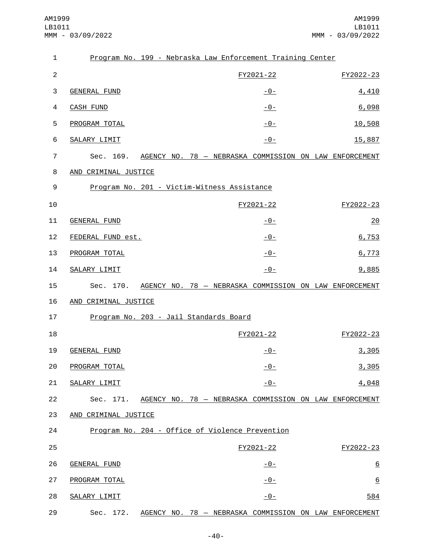| 1              |                      | Program No. 199 - Nebraska Law Enforcement Training Center       |                 |
|----------------|----------------------|------------------------------------------------------------------|-----------------|
| $\overline{c}$ |                      | FY2021-22                                                        | FY2022-23       |
| 3              | <b>GENERAL FUND</b>  | <u>-0-</u>                                                       | 4,410           |
| 4              | <b>CASH FUND</b>     | $-0-$                                                            | 6,098           |
| 5              | PROGRAM TOTAL        | $-0-$                                                            | 10,508          |
| 6              | <b>SALARY LIMIT</b>  | $-0-$                                                            | 15,887          |
| 7              | Sec. 169.            | AGENCY NO. 78 - NEBRASKA COMMISSION ON LAW ENFORCEMENT           |                 |
| 8              | AND CRIMINAL JUSTICE |                                                                  |                 |
| 9              |                      | Program No. 201 - Victim-Witness Assistance                      |                 |
| 10             |                      | FY2021-22                                                        | FY2022-23       |
| 11             | <b>GENERAL FUND</b>  | <u>-0-</u>                                                       | 20              |
| 12             | FEDERAL FUND est.    | $-0-$                                                            | 6,753           |
| 13             | PROGRAM TOTAL        | $-0-$                                                            | 6,773           |
| 14             | SALARY LIMIT         | $-0-$                                                            | 9,885           |
| 15             |                      | Sec. 170. AGENCY NO. 78 - NEBRASKA COMMISSION ON LAW ENFORCEMENT |                 |
| 16             | AND CRIMINAL JUSTICE |                                                                  |                 |
| 17             |                      | Program No. 203 - Jail Standards Board                           |                 |
| 18             |                      | FY2021-22                                                        | FY2022-23       |
| 19             | <b>GENERAL FUND</b>  | $-0-$                                                            | 3,305           |
| 20             | PROGRAM TOTAL        | $-0-$                                                            | 3,305           |
| 21             | <b>SALARY LIMIT</b>  | $-0-$                                                            | 4,048           |
| 22             |                      | Sec. 171. AGENCY NO. 78 - NEBRASKA COMMISSION ON LAW ENFORCEMENT |                 |
| 23             | AND CRIMINAL JUSTICE |                                                                  |                 |
| 24             |                      | Program No. 204 - Office of Violence Prevention                  |                 |
| 25             |                      | FY2021-22                                                        | FY2022-23       |
| 26             | <b>GENERAL FUND</b>  | <u> - 0 - </u>                                                   | $\underline{6}$ |
| 27             | PROGRAM TOTAL        | $-0-$                                                            | $\underline{6}$ |
| 28             | SALARY LIMIT         | <u>- 0 - </u>                                                    | 584             |
| 29             | Sec.<br>172.         | AGENCY NO. 78 - NEBRASKA COMMISSION ON LAW ENFORCEMENT           |                 |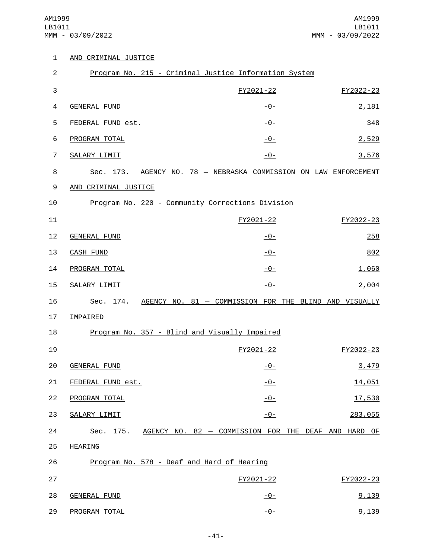|  | AND CRIMINAL JUSTICE |  |
|--|----------------------|--|
|  |                      |  |

| $\overline{c}$ |                      | Program No. 215 - Criminal Justice Information System            |           |
|----------------|----------------------|------------------------------------------------------------------|-----------|
| 3              |                      | FY2021-22                                                        | FY2022-23 |
| 4              | <b>GENERAL FUND</b>  | <u> - 0 - </u>                                                   | 2,181     |
| 5              | FEDERAL FUND est.    | $-0-$                                                            | 348       |
| 6              | PROGRAM TOTAL        | $-0-$                                                            | 2,529     |
| 7              | SALARY LIMIT         | $-0-$                                                            | 3,576     |
| 8              |                      | Sec. 173. AGENCY NO. 78 - NEBRASKA COMMISSION ON LAW ENFORCEMENT |           |
| 9              | AND CRIMINAL JUSTICE |                                                                  |           |
| 10             |                      | Program No. 220 - Community Corrections Division                 |           |
| 11             |                      | FY2021-22                                                        | FY2022-23 |
| 12             | <b>GENERAL FUND</b>  | $-0-$                                                            | 258       |
| 13             | <b>CASH FUND</b>     | $-0-$                                                            | 802       |
| 14             | PROGRAM TOTAL        | $-0-$                                                            | 1,060     |
| 15             | SALARY LIMIT         | $-0-$                                                            | 2,004     |
| 16             |                      | Sec. 174. AGENCY NO. 81 - COMMISSION FOR THE BLIND AND VISUALLY  |           |
| 17             | <b>IMPAIRED</b>      |                                                                  |           |
| 18             |                      | Program No. 357 - Blind and Visually Impaired                    |           |
| 19             |                      | FY2021-22                                                        | FY2022-23 |
| 20             | <b>GENERAL FUND</b>  | -0-                                                              | 3,479     |
| 21             | FEDERAL FUND est.    | $-0-$                                                            | 14,051    |
| 22             | PROGRAM TOTAL        | $-0-$                                                            | 17,530    |
| 23             | SALARY LIMIT         | $-0-$                                                            | 283,055   |
| 24             |                      | Sec. 175. AGENCY NO. 82 - COMMISSION FOR THE DEAF AND HARD OF    |           |
| 25             | <b>HEARING</b>       |                                                                  |           |
| 26             |                      | Program No. 578 - Deaf and Hard of Hearing                       |           |
| 27             |                      | FY2021-22                                                        | FY2022-23 |
| 28             | <b>GENERAL FUND</b>  | <u> - 0 - </u>                                                   | 9,139     |
| 29             | PROGRAM TOTAL        | $-0-$                                                            | 9,139     |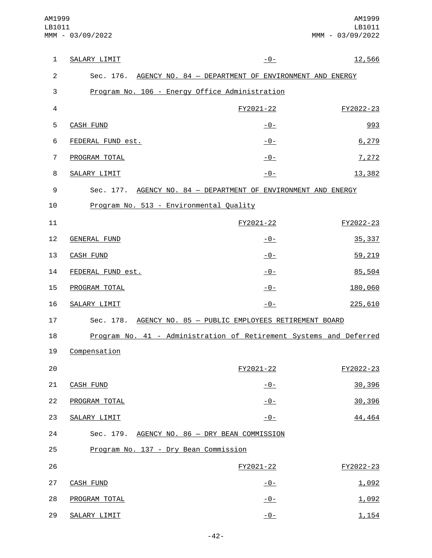| $\mathbf{1}$   | SALARY LIMIT                                   | $-0-$                                                              | 12,566    |
|----------------|------------------------------------------------|--------------------------------------------------------------------|-----------|
| $\overline{2}$ |                                                | Sec. 176. AGENCY NO. 84 - DEPARTMENT OF ENVIRONMENT AND ENERGY     |           |
| 3              | Program No. 106 - Energy Office Administration |                                                                    |           |
| $\overline{4}$ |                                                | FY2021-22                                                          | FY2022-23 |
| 5              | <b>CASH FUND</b>                               | <u> - 0 - </u>                                                     | 993       |
| 6              | FEDERAL FUND est.                              | $-0-$                                                              | 6, 279    |
| $\overline{7}$ | PROGRAM TOTAL                                  | $-0-$                                                              | 7,272     |
| 8              | SALARY LIMIT                                   | $-0-$                                                              | 13,382    |
| 9              |                                                | Sec. 177. AGENCY NO. 84 - DEPARTMENT OF ENVIRONMENT AND ENERGY     |           |
| 10             | Program No. 513 - Environmental Quality        |                                                                    |           |
| 11             |                                                | FY2021-22                                                          | FY2022-23 |
| 12             | <b>GENERAL FUND</b>                            | $-0-$                                                              | 35, 337   |
| 13             | <b>CASH FUND</b>                               | $-0-$                                                              | 59,219    |
| 14             | FEDERAL FUND est.                              | $-0-$                                                              | 85,504    |
| 15             | PROGRAM TOTAL                                  | $-0-$                                                              | 180,060   |
| 16             | SALARY LIMIT                                   | $-0-$                                                              | 225,610   |
| 17             |                                                | Sec. 178. AGENCY NO. 85 - PUBLIC EMPLOYEES RETIREMENT BOARD        |           |
| 18             |                                                | Program No. 41 - Administration of Retirement Systems and Deferred |           |
| 19             | Compensation                                   |                                                                    |           |
| 20             |                                                | FY2021-22                                                          | FY2022-23 |
| 21             | <b>CASH FUND</b>                               | $-0-$                                                              | 30,396    |
| 22             | PROGRAM TOTAL                                  | $-0-$                                                              | 30,396    |
| 23             | SALARY LIMIT                                   | $-0-$                                                              | 44,464    |
| 24             | Sec. 179. AGENCY NO. 86 - DRY BEAN COMMISSION  |                                                                    |           |
| 25             | Program No. 137 - Dry Bean Commission          |                                                                    |           |
| 26             |                                                | FY2021-22                                                          | FY2022-23 |
| 27             | <b>CASH FUND</b>                               | $-0-$                                                              | 1,092     |
| 28             | PROGRAM TOTAL                                  | $-0-$                                                              | 1,092     |
| 29             | SALARY LIMIT                                   | $-0-$                                                              | 1,154     |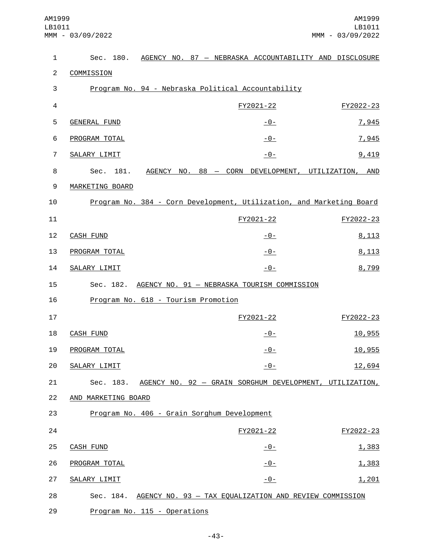| $\mathbf{1}$   |                                             |  |  | Sec. 180. AGENCY NO. 87 - NEBRASKA ACCOUNTABILITY AND DISCLOSURE     |           |
|----------------|---------------------------------------------|--|--|----------------------------------------------------------------------|-----------|
| $\overline{2}$ | COMMISSION                                  |  |  |                                                                      |           |
| 3              |                                             |  |  | Program No. 94 - Nebraska Political Accountability                   |           |
| $\overline{4}$ |                                             |  |  | FY2021-22                                                            | FY2022-23 |
| 5              | <b>GENERAL FUND</b>                         |  |  | $-0-$                                                                | 7,945     |
| 6              | PROGRAM TOTAL                               |  |  | $-0-$                                                                | 7,945     |
| $\overline{7}$ | SALARY LIMIT                                |  |  | $-0-$                                                                | 9,419     |
| 8              | 181.<br>Sec.                                |  |  | AGENCY NO. 88 - CORN DEVELOPMENT, UTILIZATION, AND                   |           |
| 9              | MARKETING BOARD                             |  |  |                                                                      |           |
| 10             |                                             |  |  | Program No. 384 - Corn Development, Utilization, and Marketing Board |           |
| 11             |                                             |  |  | FY2021-22                                                            | FY2022-23 |
| 12             | CASH FUND                                   |  |  | $-0-$                                                                | 8,113     |
| 13             | PROGRAM TOTAL                               |  |  | $-0-$                                                                | 8,113     |
| 14             | SALARY LIMIT                                |  |  | $-0-$                                                                | 8,799     |
| 15             |                                             |  |  | Sec. 182. AGENCY NO. 91 - NEBRASKA TOURISM COMMISSION                |           |
| 16             | Program No. 618 - Tourism Promotion         |  |  |                                                                      |           |
| 17             |                                             |  |  | FY2021-22                                                            | FY2022-23 |
| 18             | <b>CASH FUND</b>                            |  |  | $-0-$                                                                | 10,955    |
| 19             | PROGRAM TOTAL                               |  |  | <u>- 0 - </u>                                                        | 10,955    |
| 20             | SALARY LIMIT                                |  |  | <u>- 0 -</u>                                                         | 12,694    |
| 21             |                                             |  |  | Sec. 183. AGENCY NO. 92 - GRAIN SORGHUM DEVELOPMENT, UTILIZATION,    |           |
| 22             | AND MARKETING BOARD                         |  |  |                                                                      |           |
| 23             | Program No. 406 - Grain Sorghum Development |  |  |                                                                      |           |
| 24             |                                             |  |  | FY2021-22                                                            | FY2022-23 |
| 25             | <b>CASH FUND</b>                            |  |  | <u>- 0 - </u>                                                        | 1,383     |
| 26             | PROGRAM TOTAL                               |  |  | $-0-$                                                                | 1,383     |
| 27             | SALARY LIMIT                                |  |  | $-0-$                                                                | 1,201     |
| 28             |                                             |  |  | Sec. 184. AGENCY NO. 93 - TAX EQUALIZATION AND REVIEW COMMISSION     |           |
| 29             | Program No. 115 - Operations                |  |  |                                                                      |           |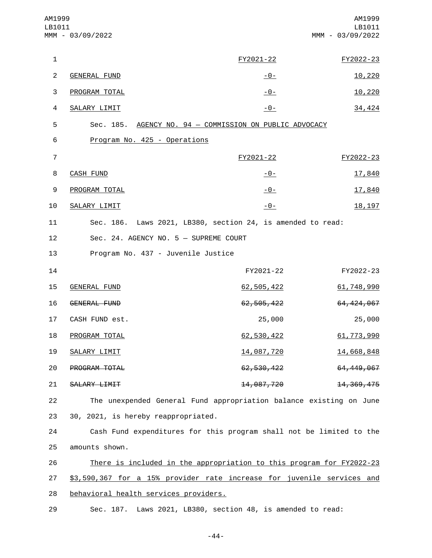| AM1999<br>LB1011 | MMM - 03/09/2022                                                       |                | AM1999<br>LB1011<br>MMM - 03/09/2022 |
|------------------|------------------------------------------------------------------------|----------------|--------------------------------------|
| 1                |                                                                        | FY2021-22      | FY2022-23                            |
| $\overline{c}$   | <b>GENERAL FUND</b>                                                    | <u> - 0 - </u> | 10,220                               |
| 3                | PROGRAM TOTAL                                                          | <u>- 0 - </u>  | 10,220                               |
| 4                | SALARY LIMIT                                                           | $-0-$          | 34,424                               |
| 5                | Sec. 185. AGENCY NO. 94 - COMMISSION ON PUBLIC ADVOCACY                |                |                                      |
| 6                | Program No. 425 - Operations                                           |                |                                      |
| $\overline{7}$   |                                                                        | FY2021-22      | FY2022-23                            |
| 8                | <b>CASH FUND</b>                                                       | $-0-$          | 17,840                               |
| 9                | PROGRAM TOTAL                                                          | $-0-$          | 17,840                               |
| 10               | SALARY LIMIT                                                           | $-0-$          | 18, 197                              |
| 11               | Sec. 186. Laws 2021, LB380, section 24, is amended to read:            |                |                                      |
| 12               | Sec. 24. AGENCY NO. 5 - SUPREME COURT                                  |                |                                      |
| 13               | Program No. 437 - Juvenile Justice                                     |                |                                      |
| 14               |                                                                        | FY2021-22      | FY2022-23                            |
| 15               | <b>GENERAL FUND</b>                                                    | 62,505,422     | 61,748,990                           |
| 16               | <b>GENERAL FUND</b>                                                    | 62, 505, 422   | 64, 424, 067                         |
| 17               | CASH FUND est.                                                         | 25,000         | 25,000                               |
| 18               | PROGRAM TOTAL                                                          | 62,530,422     | 61, 773, 990                         |
| 19               | SALARY LIMIT                                                           | 14,087,720     | 14,668,848                           |
| 20               | PROGRAM TOTAL                                                          | 62, 530, 422   | 64, 449, 067                         |
| 21               | SALARY LIMIT                                                           | 14,087,720     | 14, 369, 475                         |
| 22               | The unexpended General Fund appropriation balance existing on June     |                |                                      |
| 23               | 30, 2021, is hereby reappropriated.                                    |                |                                      |
| 24               | Cash Fund expenditures for this program shall not be limited to the    |                |                                      |
| 25               | amounts shown.                                                         |                |                                      |
| 26               | There is included in the appropriation to this program for FY2022-23   |                |                                      |
| 27               | \$3,590,367 for a 15% provider rate increase for juvenile services and |                |                                      |
| 28               | behavioral health services providers.                                  |                |                                      |
| 29               | Sec. 187. Laws 2021, LB380, section 48, is amended to read:            |                |                                      |

-44-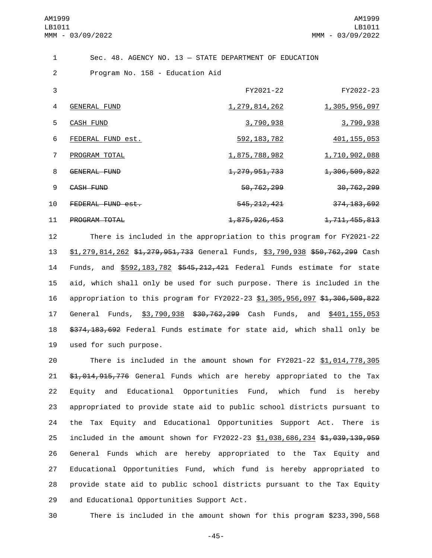| $\mathbf{1}$ |                                 | $Sec. 48. AGENCY NO. 13 - STATE DEPARTMENT OF EDUCATION$ |                          |
|--------------|---------------------------------|----------------------------------------------------------|--------------------------|
| 2            | Program No. 158 - Education Aid |                                                          |                          |
| 3            |                                 | FY2021-22                                                | FY2022-23                |
| 4            | <b>GENERAL FUND</b>             | 1, 279, 814, 262                                         | 1,305,956,097            |
| 5            | <b>CASH FUND</b>                | 3,790,938                                                | 3,790,938                |
| 6            | FEDERAL FUND est.               | 592, 183, 782                                            | 401, 155, 053            |
| 7            | PROGRAM TOTAL                   | 1,875,788,982                                            | 1,710,902,088            |
| 8            | GENERAL FUND                    | <del>1, 279, 951, 733</del>                              | <del>1,306,509,822</del> |
| 9            | CASH FUND                       | 50,762,299                                               | <del>30,762,299</del>    |
| 10           | FEDERAL FUND est.               | 545, 212, 421                                            | 374, 183, 692            |
| 11           | <b>PROGRAM TOTAL</b>            | <del>1,875,926,453</del>                                 | <del>1,711,455,813</del> |

 There is included in the appropriation to this program for FY2021-22 13 \$1,279,814,262 \$1,279,951,733 General Funds, \$3,790,938 \$50,762,299 Cash Funds, and \$592,183,782 \$545,212,421 Federal Funds estimate for state aid, which shall only be used for such purpose. There is included in the 16 appropriation to this program for FY2022-23 \$1,305,956,097 \$1,306,509,822 General Funds, \$3,790,938 \$30,762,299 Cash Funds, and \$401,155,053 \$374,183,692 Federal Funds estimate for state aid, which shall only be 19 used for such purpose.

 There is included in the amount shown for FY2021-22 \$1,014,778,305 21 \$1,014,915,776 General Funds which are hereby appropriated to the Tax Equity and Educational Opportunities Fund, which fund is hereby appropriated to provide state aid to public school districts pursuant to the Tax Equity and Educational Opportunities Support Act. There is 25 included in the amount shown for FY2022-23 \$1,038,686,234 \$1,039,139,959 General Funds which are hereby appropriated to the Tax Equity and Educational Opportunities Fund, which fund is hereby appropriated to provide state aid to public school districts pursuant to the Tax Equity 29 and Educational Opportunities Support Act.

30 There is included in the amount shown for this program \$233,390,568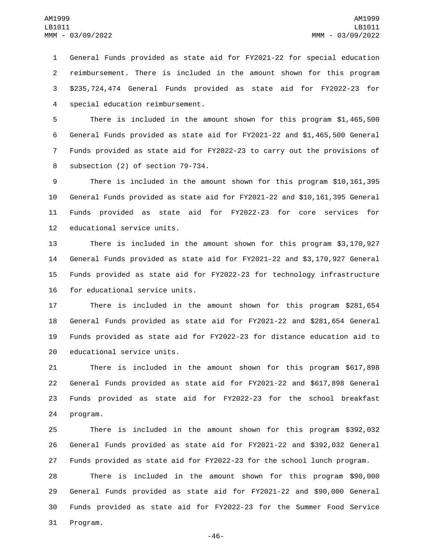General Funds provided as state aid for FY2021-22 for special education reimbursement. There is included in the amount shown for this program \$235,724,474 General Funds provided as state aid for FY2022-23 for special education reimbursement.4

 There is included in the amount shown for this program \$1,465,500 General Funds provided as state aid for FY2021-22 and \$1,465,500 General Funds provided as state aid for FY2022-23 to carry out the provisions of 8 subsection (2) of section 79-734.

 There is included in the amount shown for this program \$10,161,395 General Funds provided as state aid for FY2021-22 and \$10,161,395 General Funds provided as state aid for FY2022-23 for core services for 12 educational service units.

 There is included in the amount shown for this program \$3,170,927 General Funds provided as state aid for FY2021-22 and \$3,170,927 General Funds provided as state aid for FY2022-23 for technology infrastructure 16 for educational service units.

 There is included in the amount shown for this program \$281,654 General Funds provided as state aid for FY2021-22 and \$281,654 General Funds provided as state aid for FY2022-23 for distance education aid to 20 educational service units.

 There is included in the amount shown for this program \$617,898 General Funds provided as state aid for FY2021-22 and \$617,898 General Funds provided as state aid for FY2022-23 for the school breakfast 24 program.

 There is included in the amount shown for this program \$392,032 General Funds provided as state aid for FY2021-22 and \$392,032 General Funds provided as state aid for FY2022-23 for the school lunch program.

 There is included in the amount shown for this program \$90,000 General Funds provided as state aid for FY2021-22 and \$90,000 General Funds provided as state aid for FY2022-23 for the Summer Food Service 31 Program.

-46-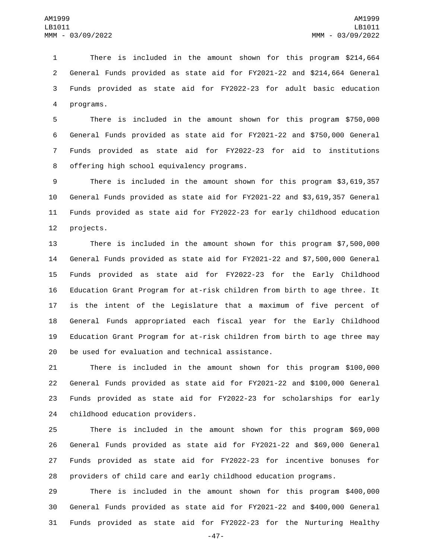There is included in the amount shown for this program \$214,664 General Funds provided as state aid for FY2021-22 and \$214,664 General Funds provided as state aid for FY2022-23 for adult basic education 4 programs.

 There is included in the amount shown for this program \$750,000 General Funds provided as state aid for FY2021-22 and \$750,000 General Funds provided as state aid for FY2022-23 for aid to institutions 8 offering high school equivalency programs.

 There is included in the amount shown for this program \$3,619,357 General Funds provided as state aid for FY2021-22 and \$3,619,357 General Funds provided as state aid for FY2022-23 for early childhood education 12 projects.

 There is included in the amount shown for this program \$7,500,000 General Funds provided as state aid for FY2021-22 and \$7,500,000 General Funds provided as state aid for FY2022-23 for the Early Childhood Education Grant Program for at-risk children from birth to age three. It is the intent of the Legislature that a maximum of five percent of General Funds appropriated each fiscal year for the Early Childhood Education Grant Program for at-risk children from birth to age three may 20 be used for evaluation and technical assistance.

 There is included in the amount shown for this program \$100,000 General Funds provided as state aid for FY2021-22 and \$100,000 General Funds provided as state aid for FY2022-23 for scholarships for early 24 childhood education providers.

 There is included in the amount shown for this program \$69,000 General Funds provided as state aid for FY2021-22 and \$69,000 General Funds provided as state aid for FY2022-23 for incentive bonuses for providers of child care and early childhood education programs.

 There is included in the amount shown for this program \$400,000 General Funds provided as state aid for FY2021-22 and \$400,000 General Funds provided as state aid for FY2022-23 for the Nurturing Healthy

-47-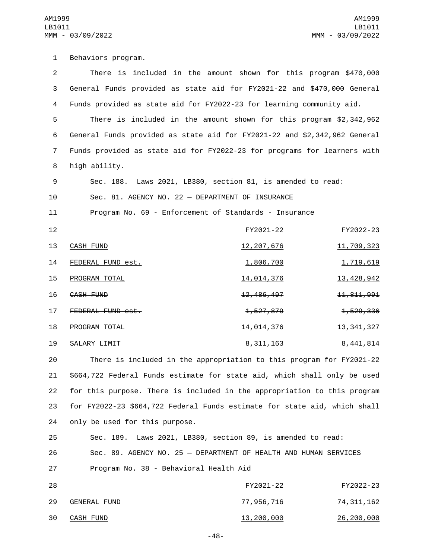1 Behaviors program. 2 There is included in the amount shown for this program \$470,000 3 General Funds provided as state aid for FY2021-22 and \$470,000 General 4 Funds provided as state aid for FY2022-23 for learning community aid. 5 There is included in the amount shown for this program \$2,342,962 6 General Funds provided as state aid for FY2021-22 and \$2,342,962 General 7 Funds provided as state aid for FY2022-23 for programs for learners with 8 high ability. 9 Sec. 188. Laws 2021, LB380, section 81, is amended to read: 10 Sec. 81. AGENCY NO. 22 — DEPARTMENT OF INSURANCE 11 Program No. 69 - Enforcement of Standards - Insurance 12 FY2021-22 FY2022-23 13 CASH FUND 12, 207, 676 11, 709, 323 14 FEDERAL FUND est. 1,806,700 1,806,700 1,719,619 15 PROGRAM TOTAL 2014 14,014,376 13,428,942 16 CASH FUND 12,486,497 12,486,497 11,811,991 17 FEDERAL FUND est. 18 PROGRAM TOTAL 18 14,014,376 14,014,376 13,341,327 19 SALARY LIMIT 2008 8,311,163 8,441,814 20 There is included in the appropriation to this program for FY2021-22 21 \$664,722 Federal Funds estimate for state aid, which shall only be used 22 for this purpose. There is included in the appropriation to this program 23 for FY2022-23 \$664,722 Federal Funds estimate for state aid, which shall 24 only be used for this purpose. 25 Sec. 189. Laws 2021, LB380, section 89, is amended to read: 26 Sec. 89. AGENCY NO. 25 — DEPARTMENT OF HEALTH AND HUMAN SERVICES 27 Program No. 38 - Behavioral Health Aid 28 FY2021-22 FY2022-23 29 GENERAL FUND<br>29 GENERAL FUND

-48-

30 CASH FUND 30 26,200,000 26,200,000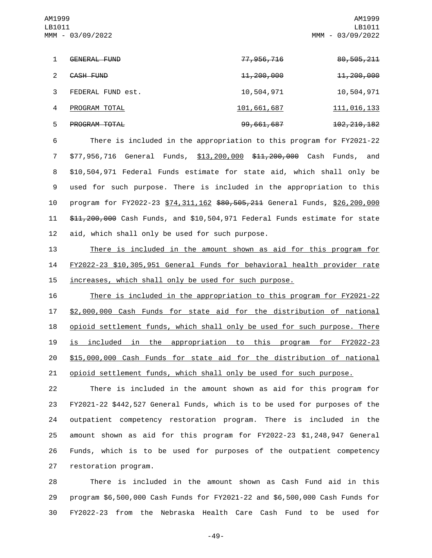AM1999 LB1011 MMM - 03/09/2022

AM1999 LB1011 MMM - 03/09/2022

| 1             | GENERAL FUND         | <del>77,956,716</del> | 80,505,211               |
|---------------|----------------------|-----------------------|--------------------------|
| $\mathcal{P}$ | CASH FUND            | <del>11,200,000</del> | <del>11,200,000</del>    |
| 3             | FEDERAL FUND est.    | 10,504,971            | 10,504,971               |
| 4             | PROGRAM TOTAL        | 101,661,687           | <u>111,016,133</u>       |
| 5             | <b>PROGRAM TOTAL</b> | 99,661,687            | <del>102, 210, 182</del> |

 There is included in the appropriation to this program for FY2021-22 \$77,956,716 General Funds, \$13,200,000 \$11,200,000 Cash Funds, and \$10,504,971 Federal Funds estimate for state aid, which shall only be used for such purpose. There is included in the appropriation to this 10 program for FY2022-23 \$74,311,162 \$80,505,211 General Funds, \$26,200,000 \$11,200,000 Cash Funds, and \$10,504,971 Federal Funds estimate for state 12 aid, which shall only be used for such purpose.

13 There is included in the amount shown as aid for this program for 14 FY2022-23 \$10,305,951 General Funds for behavioral health provider rate 15 increases, which shall only be used for such purpose.

 There is included in the appropriation to this program for FY2021-22 \$2,000,000 Cash Funds for state aid for the distribution of national 18 opioid settlement funds, which shall only be used for such purpose. There is included in the appropriation to this program for FY2022-23 \$15,000,000 Cash Funds for state aid for the distribution of national opioid settlement funds, which shall only be used for such purpose.

 There is included in the amount shown as aid for this program for FY2021-22 \$442,527 General Funds, which is to be used for purposes of the outpatient competency restoration program. There is included in the amount shown as aid for this program for FY2022-23 \$1,248,947 General Funds, which is to be used for purposes of the outpatient competency 27 restoration program.

28 There is included in the amount shown as Cash Fund aid in this 29 program \$6,500,000 Cash Funds for FY2021-22 and \$6,500,000 Cash Funds for 30 FY2022-23 from the Nebraska Health Care Cash Fund to be used for

-49-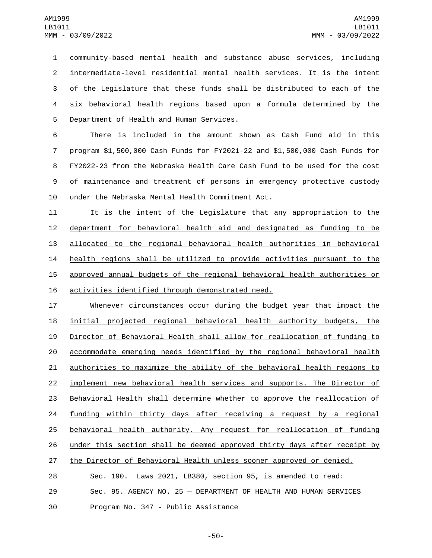community-based mental health and substance abuse services, including intermediate-level residential mental health services. It is the intent of the Legislature that these funds shall be distributed to each of the six behavioral health regions based upon a formula determined by the 5 Department of Health and Human Services.

 There is included in the amount shown as Cash Fund aid in this program \$1,500,000 Cash Funds for FY2021-22 and \$1,500,000 Cash Funds for FY2022-23 from the Nebraska Health Care Cash Fund to be used for the cost of maintenance and treatment of persons in emergency protective custody 10 under the Nebraska Mental Health Commitment Act.

 It is the intent of the Legislature that any appropriation to the department for behavioral health aid and designated as funding to be allocated to the regional behavioral health authorities in behavioral health regions shall be utilized to provide activities pursuant to the approved annual budgets of the regional behavioral health authorities or 16 activities identified through demonstrated need.

 Whenever circumstances occur during the budget year that impact the initial projected regional behavioral health authority budgets, the Director of Behavioral Health shall allow for reallocation of funding to accommodate emerging needs identified by the regional behavioral health authorities to maximize the ability of the behavioral health regions to implement new behavioral health services and supports. The Director of Behavioral Health shall determine whether to approve the reallocation of 24 funding within thirty days after receiving a request by a regional behavioral health authority. Any request for reallocation of funding under this section shall be deemed approved thirty days after receipt by 27 the Director of Behavioral Health unless sooner approved or denied. Sec. 190. Laws 2021, LB380, section 95, is amended to read:

 Sec. 95. AGENCY NO. 25 — DEPARTMENT OF HEALTH AND HUMAN SERVICES 30 Program No. 347 - Public Assistance

-50-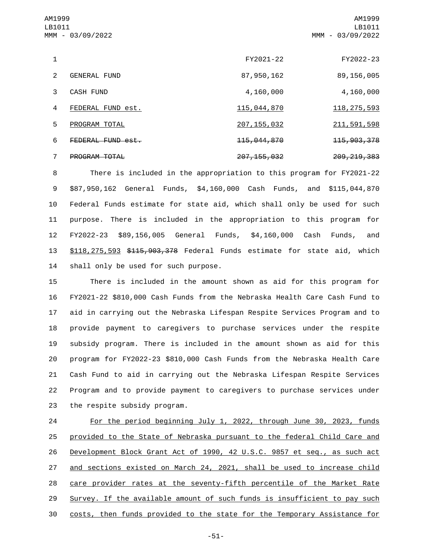| AM1999<br>LB1011 | MMM - 03/09/2022     |                        | AM1999<br>LB1011<br>MMM - 03/09/2022 |
|------------------|----------------------|------------------------|--------------------------------------|
| 1                |                      | FY2021-22              | FY2022-23                            |
| $\mathcal{P}$    | <b>GENERAL FUND</b>  | 87, 950, 162           | 89, 156, 005                         |
| 3                | <b>CASH FUND</b>     | 4,160,000              | 4,160,000                            |
| 4                | FEDERAL FUND est.    | 115,044,870            | 118, 275, 593                        |
| 5                | PROGRAM TOTAL        | 207, 155, 032          | 211, 591, 598                        |
| 6                | FEDERAL FUND est.    | <del>115,044,870</del> | <del>115, 903, 378</del>             |
| 7                | <b>PROGRAM TOTAL</b> | 207, 155, 032          | 209, 219, 383                        |

 There is included in the appropriation to this program for FY2021-22 \$87,950,162 General Funds, \$4,160,000 Cash Funds, and \$115,044,870 Federal Funds estimate for state aid, which shall only be used for such purpose. There is included in the appropriation to this program for FY2022-23 \$89,156,005 General Funds, \$4,160,000 Cash Funds, and 13 \$118,275,593 \$<del>115,903,378</del> Federal Funds estimate for state aid, which 14 shall only be used for such purpose.

 There is included in the amount shown as aid for this program for FY2021-22 \$810,000 Cash Funds from the Nebraska Health Care Cash Fund to aid in carrying out the Nebraska Lifespan Respite Services Program and to provide payment to caregivers to purchase services under the respite subsidy program. There is included in the amount shown as aid for this program for FY2022-23 \$810,000 Cash Funds from the Nebraska Health Care Cash Fund to aid in carrying out the Nebraska Lifespan Respite Services Program and to provide payment to caregivers to purchase services under 23 the respite subsidy program.

 For the period beginning July 1, 2022, through June 30, 2023, funds provided to the State of Nebraska pursuant to the federal Child Care and Development Block Grant Act of 1990, 42 U.S.C. 9857 et seq., as such act and sections existed on March 24, 2021, shall be used to increase child care provider rates at the seventy-fifth percentile of the Market Rate Survey. If the available amount of such funds is insufficient to pay such costs, then funds provided to the state for the Temporary Assistance for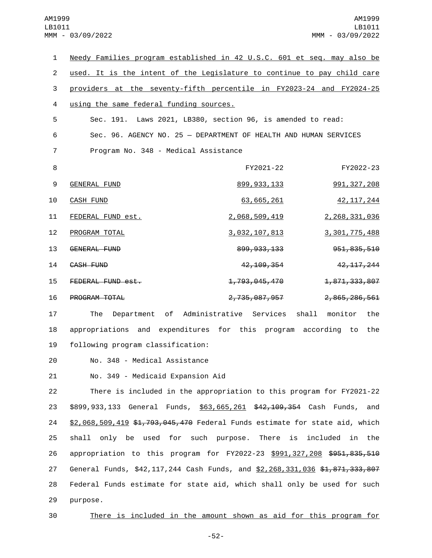| $\mathbf{1}$   | Needy Families program established in 42 U.S.C. 601 et seq. may also be |              |
|----------------|-------------------------------------------------------------------------|--------------|
| $\overline{2}$ | used. It is the intent of the Legislature to continue to pay child care |              |
| 3              | providers at the seventy-fifth percentile in FY2023-24 and FY2024-25    |              |
| $\overline{4}$ | using the same federal funding sources.                                 |              |
| 5              | Sec. 191. Laws 2021, LB380, section 96, is amended to read:             |              |
| 6              | Sec. 96. AGENCY NO. 25 - DEPARTMENT OF HEALTH AND HUMAN SERVICES        |              |
| 7              | Program No. 348 - Medical Assistance                                    |              |
| 8              | FY2021-22                                                               | FY2022-23    |
| 9              | 991, 327, 208<br><b>GENERAL FUND</b><br>899, 933, 133                   |              |
| 10             | <b>CASH FUND</b><br>63,665,261                                          | 42, 117, 244 |
| 11             | FEDERAL FUND est.<br>2,068,509,419<br>2,268,331,036                     |              |
| 12             | 3, 301, 775, 488<br>PROGRAM TOTAL<br><u>3,032,107,813</u>               |              |
| 13             | GENERAL FUND<br>899, 933, 133<br>951, 835, 510                          |              |
| 14             | CASH FUND<br>4 <del>2, 109, 35</del> 4                                  | 42, 117, 244 |
| 15             | 1,871,333,807<br>FEDERAL FUND est.<br><del>1,793,045,470</del>          |              |
| 16             | 2,735,087,957<br>2,865,286,561<br>PROGRAM TOTAL                         |              |
| 17             | Department of Administrative Services<br>shall<br>monitor<br>The        | the          |
| 18             | appropriations and expenditures for this program according to           | the          |
| 19             | following program classification:                                       |              |
| 20             | No. 348 - Medical Assistance                                            |              |

21 No. 349 - Medicaid Expansion Aid

22 There is included in the appropriation to this program for FY2021-22 23 \$899,933,133 General Funds, \$63,665,261 \$42,109,354 Cash Funds, and 24 \$2,068,509,419 \$1,793,045,470 Federal Funds estimate for state aid, which 25 shall only be used for such purpose. There is included in the 26 appropriation to this program for FY2022-23 \$991,327,208 \$951,835,510 27 General Funds, \$42,117,244 Cash Funds, and \$2,268,331,036 \$1,871,333,807 28 Federal Funds estimate for state aid, which shall only be used for such 29 purpose.

30 There is included in the amount shown as aid for this program for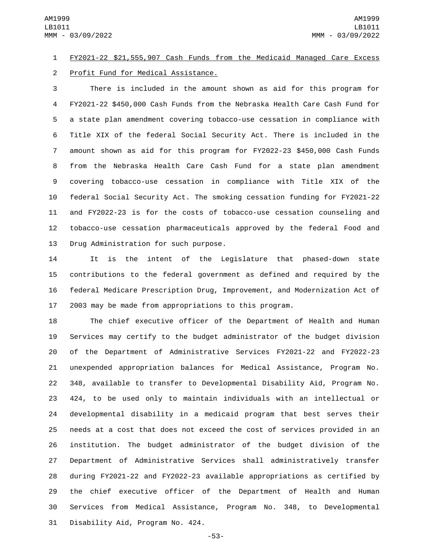## FY2021-22 \$21,555,907 Cash Funds from the Medicaid Managed Care Excess 2 Profit Fund for Medical Assistance.

 There is included in the amount shown as aid for this program for FY2021-22 \$450,000 Cash Funds from the Nebraska Health Care Cash Fund for a state plan amendment covering tobacco-use cessation in compliance with Title XIX of the federal Social Security Act. There is included in the amount shown as aid for this program for FY2022-23 \$450,000 Cash Funds from the Nebraska Health Care Cash Fund for a state plan amendment covering tobacco-use cessation in compliance with Title XIX of the federal Social Security Act. The smoking cessation funding for FY2021-22 and FY2022-23 is for the costs of tobacco-use cessation counseling and tobacco-use cessation pharmaceuticals approved by the federal Food and 13 Drug Administration for such purpose.

 It is the intent of the Legislature that phased-down state contributions to the federal government as defined and required by the federal Medicare Prescription Drug, Improvement, and Modernization Act of 2003 may be made from appropriations to this program.

 The chief executive officer of the Department of Health and Human Services may certify to the budget administrator of the budget division of the Department of Administrative Services FY2021-22 and FY2022-23 unexpended appropriation balances for Medical Assistance, Program No. 348, available to transfer to Developmental Disability Aid, Program No. 424, to be used only to maintain individuals with an intellectual or developmental disability in a medicaid program that best serves their needs at a cost that does not exceed the cost of services provided in an institution. The budget administrator of the budget division of the Department of Administrative Services shall administratively transfer during FY2021-22 and FY2022-23 available appropriations as certified by the chief executive officer of the Department of Health and Human Services from Medical Assistance, Program No. 348, to Developmental 31 Disability Aid, Program No. 424.

-53-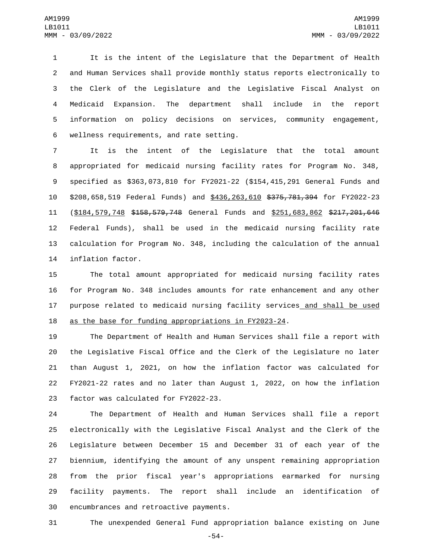It is the intent of the Legislature that the Department of Health and Human Services shall provide monthly status reports electronically to the Clerk of the Legislature and the Legislative Fiscal Analyst on Medicaid Expansion. The department shall include in the report information on policy decisions on services, community engagement, wellness requirements, and rate setting.6

 It is the intent of the Legislature that the total amount appropriated for medicaid nursing facility rates for Program No. 348, specified as \$363,073,810 for FY2021-22 (\$154,415,291 General Funds and \$208,658,519 Federal Funds) and \$436,263,610 \$375,781,394 for FY2022-23 11 (\$184,579,748 \$158,579,748 General Funds and \$251,683,862 \$217,201,646 Federal Funds), shall be used in the medicaid nursing facility rate calculation for Program No. 348, including the calculation of the annual 14 inflation factor.

 The total amount appropriated for medicaid nursing facility rates for Program No. 348 includes amounts for rate enhancement and any other purpose related to medicaid nursing facility services and shall be used 18 as the base for funding appropriations in FY2023-24.

 The Department of Health and Human Services shall file a report with the Legislative Fiscal Office and the Clerk of the Legislature no later than August 1, 2021, on how the inflation factor was calculated for FY2021-22 rates and no later than August 1, 2022, on how the inflation 23 factor was calculated for FY2022-23.

 The Department of Health and Human Services shall file a report electronically with the Legislative Fiscal Analyst and the Clerk of the Legislature between December 15 and December 31 of each year of the biennium, identifying the amount of any unspent remaining appropriation from the prior fiscal year's appropriations earmarked for nursing facility payments. The report shall include an identification of 30 encumbrances and retroactive payments.

The unexpended General Fund appropriation balance existing on June

-54-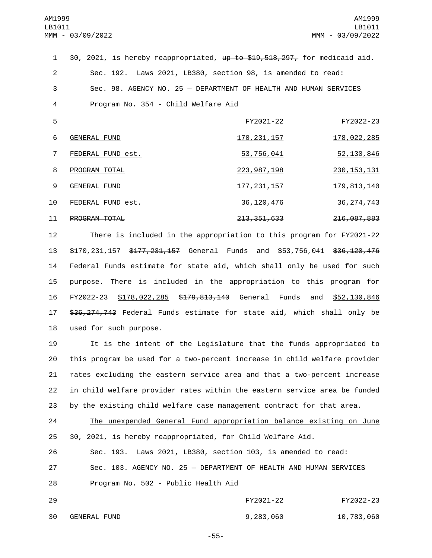30, 2021, is hereby reappropriated, up to \$19,518,297, for medicaid aid. Sec. 192. Laws 2021, LB380, section 98, is amended to read: Sec. 98. AGENCY NO. 25 — DEPARTMENT OF HEALTH AND HUMAN SERVICES 4 Program No. 354 - Child Welfare Aid

| 5  |                   | FY2021-22                | FY2022-23                |
|----|-------------------|--------------------------|--------------------------|
| 6  | GENERAL FUND      | <u>170, 231, 157</u>     | 178,022,285              |
|    | FEDERAL FUND est. | <u>53,756,041</u>        | 52, 130, 846             |
| 8  | PROGRAM TOTAL     | 223, 987, 198            | <u>230, 153, 131</u>     |
| 9  | GENERAL FUND      | <del>177, 231, 157</del> | <del>179, 813, 140</del> |
| 10 | FEDERAL FUND est. | <del>36, 120, 476</del>  | <del>36, 274, 743</del>  |
| 11 | PROGRAM TOTAL     | <del>213, 351, 633</del> | <del>216,087,883</del>   |

 There is included in the appropriation to this program for FY2021-22 13 \$170,231,157 \$177,231,157 General Funds and \$53,756,041 \$36,120,476 Federal Funds estimate for state aid, which shall only be used for such purpose. There is included in the appropriation to this program for FY2022-23 \$178,022,285 \$179,813,140 General Funds and \$52,130,846 \$36,274,743 Federal Funds estimate for state aid, which shall only be 18 used for such purpose.

 It is the intent of the Legislature that the funds appropriated to this program be used for a two-percent increase in child welfare provider rates excluding the eastern service area and that a two-percent increase in child welfare provider rates within the eastern service area be funded by the existing child welfare case management contract for that area.

| 24 | The unexpended General Fund appropriation balance existing on June |
|----|--------------------------------------------------------------------|
| 25 | 30, 2021, is hereby reappropriated, for Child Welfare Aid.         |
| 26 | Sec. 193. Laws 2021, LB380, section 103, is amended to read:       |
| 27 | Sec. 103. AGENCY NO. 25 - DEPARTMENT OF HEALTH AND HUMAN SERVICES  |
| 28 | Program No. 502 - Public Health Aid                                |

| 29 |              | FY2021-22 | FY2022-23  |
|----|--------------|-----------|------------|
| 30 | GENERAL FUND | 9,283,060 | 10,783,060 |

-55-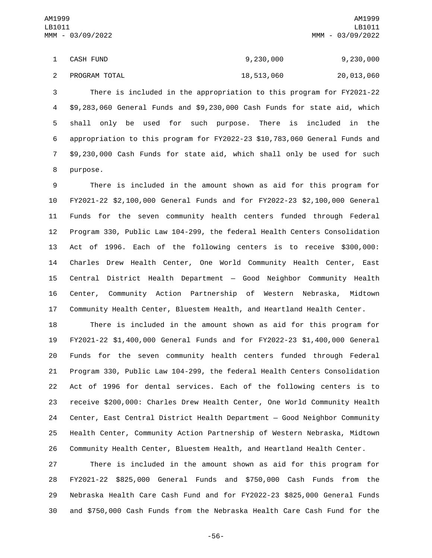1 CASH FUND 9, 230, 000 9, 230, 000 2 PROGRAM TOTAL 20 20,013,060 20,013,060

 There is included in the appropriation to this program for FY2021-22 \$9,283,060 General Funds and \$9,230,000 Cash Funds for state aid, which shall only be used for such purpose. There is included in the appropriation to this program for FY2022-23 \$10,783,060 General Funds and \$9,230,000 Cash Funds for state aid, which shall only be used for such 8 purpose.

 There is included in the amount shown as aid for this program for FY2021-22 \$2,100,000 General Funds and for FY2022-23 \$2,100,000 General Funds for the seven community health centers funded through Federal Program 330, Public Law 104-299, the federal Health Centers Consolidation Act of 1996. Each of the following centers is to receive \$300,000: Charles Drew Health Center, One World Community Health Center, East Central District Health Department — Good Neighbor Community Health Center, Community Action Partnership of Western Nebraska, Midtown Community Health Center, Bluestem Health, and Heartland Health Center.

 There is included in the amount shown as aid for this program for FY2021-22 \$1,400,000 General Funds and for FY2022-23 \$1,400,000 General Funds for the seven community health centers funded through Federal Program 330, Public Law 104-299, the federal Health Centers Consolidation Act of 1996 for dental services. Each of the following centers is to receive \$200,000: Charles Drew Health Center, One World Community Health Center, East Central District Health Department — Good Neighbor Community Health Center, Community Action Partnership of Western Nebraska, Midtown Community Health Center, Bluestem Health, and Heartland Health Center.

 There is included in the amount shown as aid for this program for FY2021-22 \$825,000 General Funds and \$750,000 Cash Funds from the Nebraska Health Care Cash Fund and for FY2022-23 \$825,000 General Funds and \$750,000 Cash Funds from the Nebraska Health Care Cash Fund for the

-56-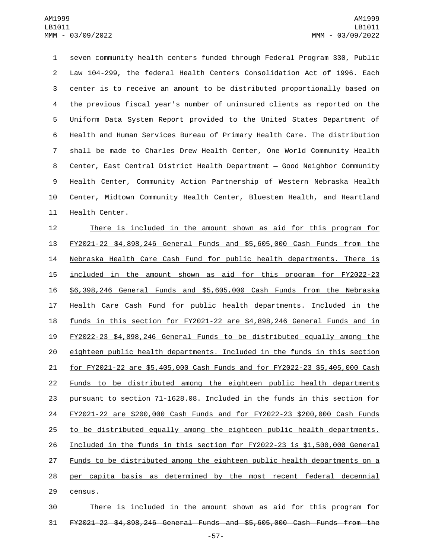seven community health centers funded through Federal Program 330, Public Law 104-299, the federal Health Centers Consolidation Act of 1996. Each center is to receive an amount to be distributed proportionally based on the previous fiscal year's number of uninsured clients as reported on the Uniform Data System Report provided to the United States Department of Health and Human Services Bureau of Primary Health Care. The distribution shall be made to Charles Drew Health Center, One World Community Health Center, East Central District Health Department — Good Neighbor Community Health Center, Community Action Partnership of Western Nebraska Health Center, Midtown Community Health Center, Bluestem Health, and Heartland 11 Health Center.

 There is included in the amount shown as aid for this program for FY2021-22 \$4,898,246 General Funds and \$5,605,000 Cash Funds from the Nebraska Health Care Cash Fund for public health departments. There is included in the amount shown as aid for this program for FY2022-23 \$6,398,246 General Funds and \$5,605,000 Cash Funds from the Nebraska Health Care Cash Fund for public health departments. Included in the funds in this section for FY2021-22 are \$4,898,246 General Funds and in FY2022-23 \$4,898,246 General Funds to be distributed equally among the eighteen public health departments. Included in the funds in this section for FY2021-22 are \$5,405,000 Cash Funds and for FY2022-23 \$5,405,000 Cash Funds to be distributed among the eighteen public health departments pursuant to section 71-1628.08. Included in the funds in this section for FY2021-22 are \$200,000 Cash Funds and for FY2022-23 \$200,000 Cash Funds to be distributed equally among the eighteen public health departments. Included in the funds in this section for FY2022-23 is \$1,500,000 General 27 Funds to be distributed among the eighteen public health departments on a per capita basis as determined by the most recent federal decennial 29 census.

 There is included in the amount shown as aid for this program for FY2021-22 \$4,898,246 General Funds and \$5,605,000 Cash Funds from the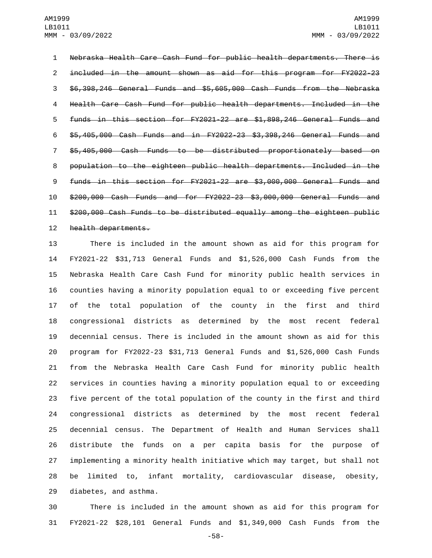Nebraska Health Care Cash Fund for public health departments. There is included in the amount shown as aid for this program for FY2022-23 \$6,398,246 General Funds and \$5,605,000 Cash Funds from the Nebraska Health Care Cash Fund for public health departments. Included in the funds in this section for FY2021-22 are \$1,898,246 General Funds and \$5,405,000 Cash Funds and in FY2022-23 \$3,398,246 General Funds and \$5,405,000 Cash Funds to be distributed proportionately based on population to the eighteen public health departments. Included in the funds in this section for FY2021-22 are \$3,000,000 General Funds and \$200,000 Cash Funds and for FY2022-23 \$3,000,000 General Funds and \$200,000 Cash Funds to be distributed equally among the eighteen public 12 health departments.

 There is included in the amount shown as aid for this program for FY2021-22 \$31,713 General Funds and \$1,526,000 Cash Funds from the Nebraska Health Care Cash Fund for minority public health services in counties having a minority population equal to or exceeding five percent of the total population of the county in the first and third congressional districts as determined by the most recent federal decennial census. There is included in the amount shown as aid for this program for FY2022-23 \$31,713 General Funds and \$1,526,000 Cash Funds from the Nebraska Health Care Cash Fund for minority public health services in counties having a minority population equal to or exceeding five percent of the total population of the county in the first and third congressional districts as determined by the most recent federal decennial census. The Department of Health and Human Services shall distribute the funds on a per capita basis for the purpose of implementing a minority health initiative which may target, but shall not be limited to, infant mortality, cardiovascular disease, obesity, 29 diabetes, and asthma.

 There is included in the amount shown as aid for this program for FY2021-22 \$28,101 General Funds and \$1,349,000 Cash Funds from the

-58-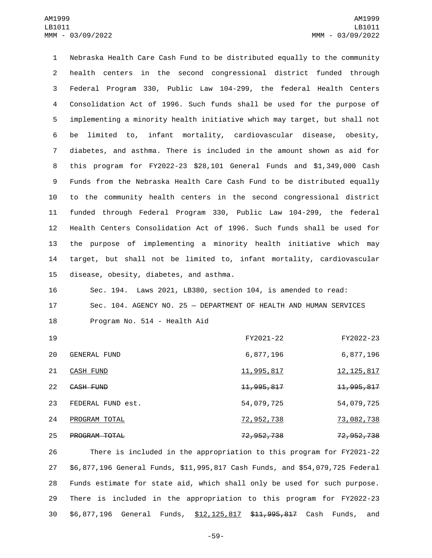Nebraska Health Care Cash Fund to be distributed equally to the community health centers in the second congressional district funded through Federal Program 330, Public Law 104-299, the federal Health Centers Consolidation Act of 1996. Such funds shall be used for the purpose of implementing a minority health initiative which may target, but shall not be limited to, infant mortality, cardiovascular disease, obesity, diabetes, and asthma. There is included in the amount shown as aid for this program for FY2022-23 \$28,101 General Funds and \$1,349,000 Cash Funds from the Nebraska Health Care Cash Fund to be distributed equally to the community health centers in the second congressional district funded through Federal Program 330, Public Law 104-299, the federal Health Centers Consolidation Act of 1996. Such funds shall be used for the purpose of implementing a minority health initiative which may target, but shall not be limited to, infant mortality, cardiovascular 15 disease, obesity, diabetes, and asthma.

16 Sec. 194. Laws 2021, LB380, section 104, is amended to read: 17 Sec. 104. AGENCY NO. 25 — DEPARTMENT OF HEALTH AND HUMAN SERVICES 18 Program No. 514 - Health Aid

| 19 |                      | FY2021-22               | FY2022-23               |
|----|----------------------|-------------------------|-------------------------|
| 20 | GENERAL FUND         | 6,877,196               | 6,877,196               |
| 21 | CASH FUND            | 11,995,817              | <u>12, 125, 817</u>     |
| 22 | CASH FUND            | <del>11, 995, 817</del> | <del>11, 995, 817</del> |
| 23 | FEDERAL FUND est.    | 54,079,725              | 54,079,725              |
| 24 | PROGRAM TOTAL        | 72,952,738              | 73,082,738              |
| 25 | <b>PROGRAM TOTAL</b> | <del>72, 952, 738</del> | <del>72,952,738</del>   |

 There is included in the appropriation to this program for FY2021-22 \$6,877,196 General Funds, \$11,995,817 Cash Funds, and \$54,079,725 Federal Funds estimate for state aid, which shall only be used for such purpose. There is included in the appropriation to this program for FY2022-23 30 \$6,877,196 General Funds, \$12,125,817 \$11,995,817 Cash Funds, and

-59-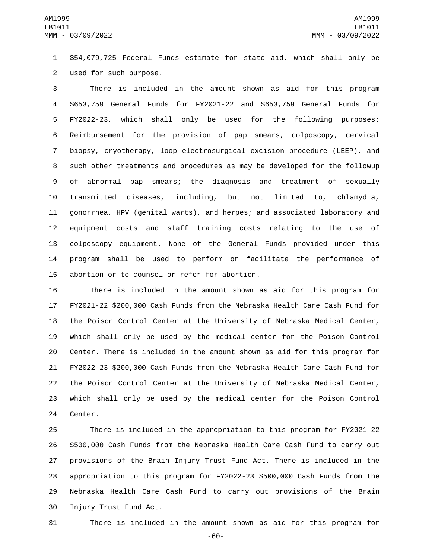\$54,079,725 Federal Funds estimate for state aid, which shall only be 2 used for such purpose.

 There is included in the amount shown as aid for this program \$653,759 General Funds for FY2021-22 and \$653,759 General Funds for FY2022-23, which shall only be used for the following purposes: Reimbursement for the provision of pap smears, colposcopy, cervical biopsy, cryotherapy, loop electrosurgical excision procedure (LEEP), and such other treatments and procedures as may be developed for the followup of abnormal pap smears; the diagnosis and treatment of sexually transmitted diseases, including, but not limited to, chlamydia, gonorrhea, HPV (genital warts), and herpes; and associated laboratory and equipment costs and staff training costs relating to the use of colposcopy equipment. None of the General Funds provided under this program shall be used to perform or facilitate the performance of 15 abortion or to counsel or refer for abortion.

 There is included in the amount shown as aid for this program for FY2021-22 \$200,000 Cash Funds from the Nebraska Health Care Cash Fund for the Poison Control Center at the University of Nebraska Medical Center, which shall only be used by the medical center for the Poison Control Center. There is included in the amount shown as aid for this program for FY2022-23 \$200,000 Cash Funds from the Nebraska Health Care Cash Fund for the Poison Control Center at the University of Nebraska Medical Center, which shall only be used by the medical center for the Poison Control 24 Center.

 There is included in the appropriation to this program for FY2021-22 \$500,000 Cash Funds from the Nebraska Health Care Cash Fund to carry out provisions of the Brain Injury Trust Fund Act. There is included in the appropriation to this program for FY2022-23 \$500,000 Cash Funds from the Nebraska Health Care Cash Fund to carry out provisions of the Brain 30 Injury Trust Fund Act.

There is included in the amount shown as aid for this program for

-60-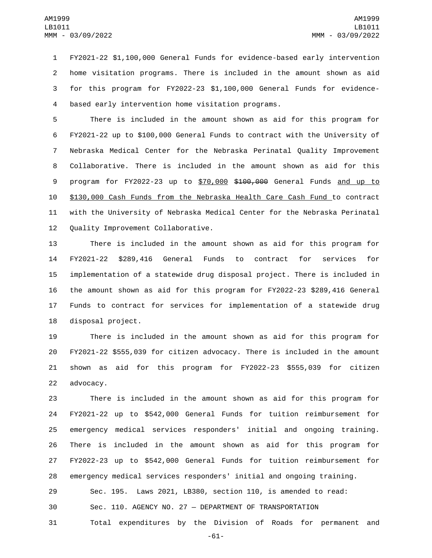FY2021-22 \$1,100,000 General Funds for evidence-based early intervention home visitation programs. There is included in the amount shown as aid for this program for FY2022-23 \$1,100,000 General Funds for evidence-4 based early intervention home visitation programs.

 There is included in the amount shown as aid for this program for FY2021-22 up to \$100,000 General Funds to contract with the University of Nebraska Medical Center for the Nebraska Perinatal Quality Improvement Collaborative. There is included in the amount shown as aid for this 9 program for FY2022-23 up to \$70,000 \$100,000 General Funds and up to \$130,000 Cash Funds from the Nebraska Health Care Cash Fund to contract with the University of Nebraska Medical Center for the Nebraska Perinatal 12 Quality Improvement Collaborative.

 There is included in the amount shown as aid for this program for FY2021-22 \$289,416 General Funds to contract for services for implementation of a statewide drug disposal project. There is included in the amount shown as aid for this program for FY2022-23 \$289,416 General Funds to contract for services for implementation of a statewide drug 18 disposal project.

 There is included in the amount shown as aid for this program for FY2021-22 \$555,039 for citizen advocacy. There is included in the amount shown as aid for this program for FY2022-23 \$555,039 for citizen 22 advocacy.

 There is included in the amount shown as aid for this program for FY2021-22 up to \$542,000 General Funds for tuition reimbursement for emergency medical services responders' initial and ongoing training. There is included in the amount shown as aid for this program for FY2022-23 up to \$542,000 General Funds for tuition reimbursement for emergency medical services responders' initial and ongoing training.

Sec. 195. Laws 2021, LB380, section 110, is amended to read:

Sec. 110. AGENCY NO. 27 — DEPARTMENT OF TRANSPORTATION

Total expenditures by the Division of Roads for permanent and

-61-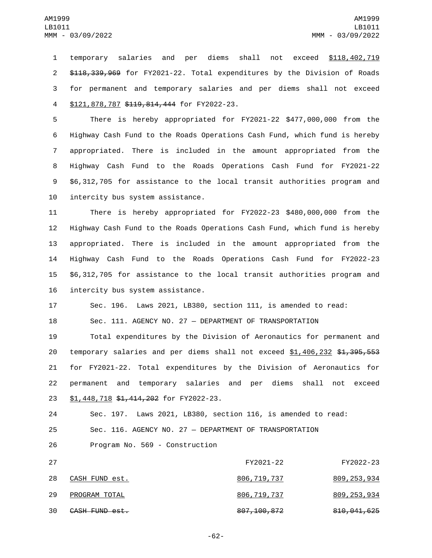temporary salaries and per diems shall not exceed \$118,402,719 \$118,339,969 for FY2021-22. Total expenditures by the Division of Roads for permanent and temporary salaries and per diems shall not exceed 4 \$121,878,787 \$119,814,444 for FY2022-23.

 There is hereby appropriated for FY2021-22 \$477,000,000 from the Highway Cash Fund to the Roads Operations Cash Fund, which fund is hereby appropriated. There is included in the amount appropriated from the Highway Cash Fund to the Roads Operations Cash Fund for FY2021-22 \$6,312,705 for assistance to the local transit authorities program and 10 intercity bus system assistance.

 There is hereby appropriated for FY2022-23 \$480,000,000 from the Highway Cash Fund to the Roads Operations Cash Fund, which fund is hereby appropriated. There is included in the amount appropriated from the Highway Cash Fund to the Roads Operations Cash Fund for FY2022-23 \$6,312,705 for assistance to the local transit authorities program and 16 intercity bus system assistance.

17 Sec. 196. Laws 2021, LB380, section 111, is amended to read:

18 Sec. 111. AGENCY NO. 27 — DEPARTMENT OF TRANSPORTATION

19 Total expenditures by the Division of Aeronautics for permanent and 20 temporary salaries and per diems shall not exceed \$1,406,232 \$1,395,553 21 for FY2021-22. Total expenditures by the Division of Aeronautics for 22 permanent and temporary salaries and per diems shall not exceed 23 \$1,448,718 \$1,414,202 for FY2022-23.

24 Sec. 197. Laws 2021, LB380, section 116, is amended to read: 25 Sec. 116. AGENCY NO. 27 — DEPARTMENT OF TRANSPORTATION 26 Program No. 569 - Construction

 27 FY2021-22 FY2022-23 28 CASH FUND est. 28 806,719,737 809,253,934 PROGRAM TOTAL29 806,719,737 809,253,934 30 CASH FUND est. 30 807,100,872 810,041,625

-62-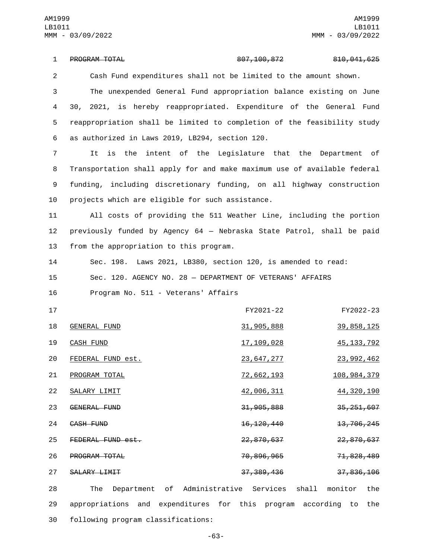PROGRAM TOTAL1 807,100,872 810,041,625 2 Cash Fund expenditures shall not be limited to the amount shown. 3 The unexpended General Fund appropriation balance existing on June 4 30, 2021, is hereby reappropriated. Expenditure of the General Fund 5 reappropriation shall be limited to completion of the feasibility study as authorized in Laws 2019, LB294, section 120.6 7 It is the intent of the Legislature that the Department of 8 Transportation shall apply for and make maximum use of available federal 9 funding, including discretionary funding, on all highway construction 10 projects which are eligible for such assistance. 11 All costs of providing the 511 Weather Line, including the portion 12 previously funded by Agency 64 — Nebraska State Patrol, shall be paid 13 from the appropriation to this program. 14 Sec. 198. Laws 2021, LB380, section 120, is amended to read: 15 Sec. 120. AGENCY NO. 28 — DEPARTMENT OF VETERANS' AFFAIRS 16 Program No. 511 - Veterans' Affairs 17 FY2021-22 FY2022-23 18 GENERAL FUND 2008 31,905,888 39,858,125 19 CASH FUND 17,109,028 45,133,792 FEDERAL FUND est.20 23,647,277 23,992,462 21 PROGRAM TOTAL 20 22,662,193 108,984,379 22 SALARY LIMIT 20 20 21 42,006,311 44,320,190 23 GENERAL FUND<br>23 GENERAL FUND 24 CASH FUND 20 24 26, 120, 440 26, 13, 706, 245 25 FEDERAL FUND est. 26 **PROGRAM TOTAL** 26 70,896,965 71,828,489 27 SALARY LIMIT 27 37,389,436 37,836,106 28 The Department of Administrative Services shall monitor the

29 appropriations and expenditures for this program according to the 30 following program classifications:

-63-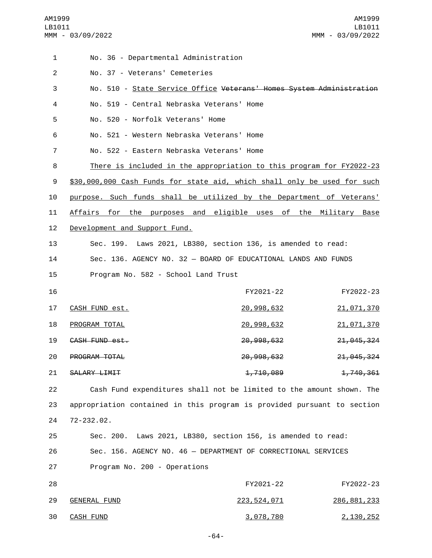| 1              | No. 36 - Departmental Administration      |                                                                          |               |
|----------------|-------------------------------------------|--------------------------------------------------------------------------|---------------|
| $\overline{2}$ | No. 37 - Veterans' Cemeteries             |                                                                          |               |
| 3              |                                           | No. 510 - State Service Office Veterans' Homes System Administration     |               |
| 4              | No. 519 - Central Nebraska Veterans' Home |                                                                          |               |
| 5              | No. 520 - Norfolk Veterans' Home          |                                                                          |               |
| 6              | No. 521 - Western Nebraska Veterans' Home |                                                                          |               |
| 7              | No. 522 - Eastern Nebraska Veterans' Home |                                                                          |               |
| 8              |                                           | There is included in the appropriation to this program for FY2022-23     |               |
| 9              |                                           | \$30,000,000 Cash Funds for state aid, which shall only be used for such |               |
| 10             |                                           | purpose. Such funds shall be utilized by the Department of Veterans'     |               |
| 11             |                                           | Affairs for the purposes and eligible uses of the Military Base          |               |
| 12             | Development and Support Fund.             |                                                                          |               |
| 13             |                                           | Sec. 199. Laws 2021, LB380, section 136, is amended to read:             |               |
| 14             |                                           | Sec. 136. AGENCY NO. 32 - BOARD OF EDUCATIONAL LANDS AND FUNDS           |               |
| 15             | Program No. 582 - School Land Trust       |                                                                          |               |
| 16             |                                           | FY2021-22                                                                | FY2022-23     |
| 17             | CASH FUND est.                            | 20,998,632                                                               | 21,071,370    |
| 18             | PROGRAM TOTAL                             | 20,998,632                                                               | 21,071,370    |
| 19             | CASH FUND est.                            | 20, 998, 632                                                             | 21, 045, 324  |
| 20             | PROGRAM TOTAL                             | 20, 998, 632                                                             | 21, 045, 324  |
| 21             | SALARY LIMIT                              | 1,710,089                                                                | 1,740,361     |
| 22             |                                           | Cash Fund expenditures shall not be limited to the amount shown. The     |               |
| 23             |                                           | appropriation contained in this program is provided pursuant to section  |               |
| 24             | 72-232.02.                                |                                                                          |               |
| 25             |                                           | Sec. 200. Laws 2021, LB380, section 156, is amended to read:             |               |
| 26             |                                           | Sec. 156. AGENCY NO. 46 - DEPARTMENT OF CORRECTIONAL SERVICES            |               |
| 27             | Program No. 200 - Operations              |                                                                          |               |
| 28             |                                           | FY2021-22                                                                | FY2022-23     |
| 29             | <b>GENERAL FUND</b>                       | <u>223, 524, 071</u>                                                     | 286, 881, 233 |
| 30             | <b>CASH FUND</b>                          | <u>3,078,780</u>                                                         | 2, 130, 252   |

-64-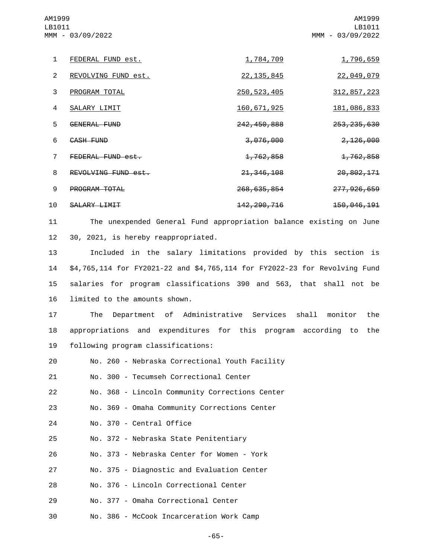1 FEDERAL FUND est. 1,784,709 1,796,659 2 REVOLVING FUND est. 22,135,845 22,049,079 3 PROGRAM TOTAL 250,523,405 312,857,223 4 SALARY LIMIT 2000 2000 2000 160,671,925 2010 181,086,833 5 GENERAL FUND 242,450,888 253,235,630 6 CASH FUND 6 2, 126,000 3,076,000 2,126,000 7 FEDERAL FUND est. 2008 1,762,858 1,762,858 8 REVOLVING FUND est. 9 **PROGRAM TOTAL** 268,635,854 277,926,659 AM1999 LB1011 MMM - 03/09/2022 AM1999 LB1011 MMM - 03/09/2022

10 SALARY LIMIT 200, 200, 200, 200, 2142, 290, 216

11 The unexpended General Fund appropriation balance existing on June 12 30, 2021, is hereby reappropriated.

 Included in the salary limitations provided by this section is \$4,765,114 for FY2021-22 and \$4,765,114 for FY2022-23 for Revolving Fund salaries for program classifications 390 and 563, that shall not be 16 limited to the amounts shown.

17 The Department of Administrative Services shall monitor the 18 appropriations and expenditures for this program according to the 19 following program classifications:

20 No. 260 - Nebraska Correctional Youth Facility

21 No. 300 - Tecumseh Correctional Center

22 No. 368 - Lincoln Community Corrections Center

23 No. 369 - Omaha Community Corrections Center

24 No. 370 - Central Office

25 No. 372 - Nebraska State Penitentiary

No. 373 - Nebraska Center for Women - York26

27 No. 375 - Diagnostic and Evaluation Center

28 No. 376 - Lincoln Correctional Center

No. 377 - Omaha Correctional Center29

No. 386 - McCook Incarceration Work Camp30

-65-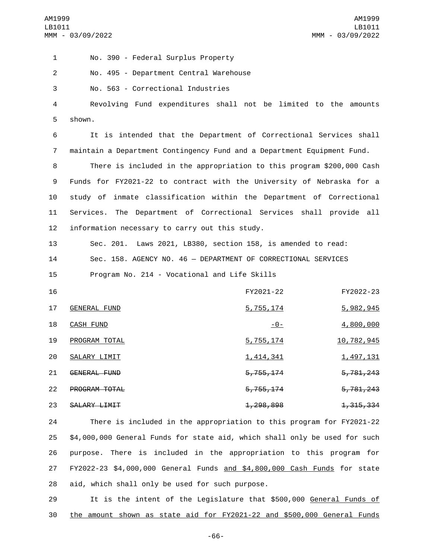No. 390 - Federal Surplus Property1 2 No. 495 - Department Central Warehouse 3 No. 563 - Correctional Industries 4 Revolving Fund expenditures shall not be limited to the amounts 5 shown. 6 It is intended that the Department of Correctional Services shall 7 maintain a Department Contingency Fund and a Department Equipment Fund. 8 There is included in the appropriation to this program \$200,000 Cash 9 Funds for FY2021-22 to contract with the University of Nebraska for a 10 study of inmate classification within the Department of Correctional 11 Services. The Department of Correctional Services shall provide all 12 information necessary to carry out this study. 13 Sec. 201. Laws 2021, LB380, section 158, is amended to read: 14 Sec. 158. AGENCY NO. 46 — DEPARTMENT OF CORRECTIONAL SERVICES 15 Program No. 214 - Vocational and Life Skills 16 FY2021-22 FY2022-23 17 GENERAL FUND 17 5,755,174 5,982,945 CASH FUND18 -0- 4,800,000 19 PROGRAM TOTAL 2001 10 2010 10:30 10:41 10:42 10:44 10:45 20 SALARY LIMIT 20 1,414,341 1,497,131 21 GENERAL FUND<br>21 GENERAL FUND 22 PROGRAM TOTAL 22 PROGRAM TOTAL 23 SALARY LIMIT 23 1,298,898 1,315,334 24 There is included in the appropriation to this program for FY2021-22 25 \$4,000,000 General Funds for state aid, which shall only be used for such 26 purpose. There is included in the appropriation to this program for

27 FY2022-23 \$4,000,000 General Funds and \$4,800,000 Cash Funds for state 28 aid, which shall only be used for such purpose.

29 It is the intent of the Legislature that \$500,000 General Funds of 30 the amount shown as state aid for FY2021-22 and \$500,000 General Funds

-66-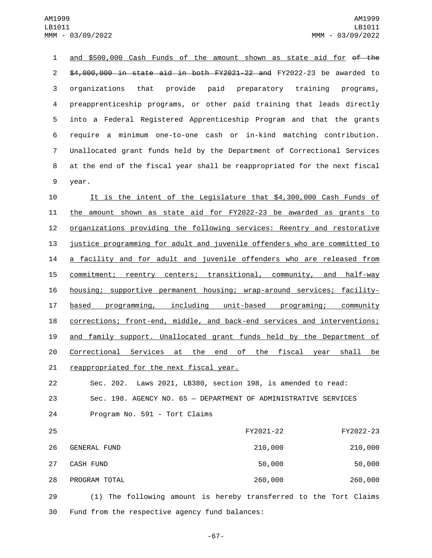and \$500,000 Cash Funds of the amount shown as state aid for of the \$4,000,000 in state aid in both FY2021-22 and FY2022-23 be awarded to organizations that provide paid preparatory training programs, preapprenticeship programs, or other paid training that leads directly into a Federal Registered Apprenticeship Program and that the grants require a minimum one-to-one cash or in-kind matching contribution. Unallocated grant funds held by the Department of Correctional Services at the end of the fiscal year shall be reappropriated for the next fiscal 9 year.

 It is the intent of the Legislature that \$4,300,000 Cash Funds of the amount shown as state aid for FY2022-23 be awarded as grants to organizations providing the following services: Reentry and restorative justice programming for adult and juvenile offenders who are committed to a facility and for adult and juvenile offenders who are released from 15 commitment; reentry centers; transitional, community, and half-way housing; supportive permanent housing; wrap-around services; facility- based programming, including unit-based programing; community corrections; front-end, middle, and back-end services and interventions; and family support. Unallocated grant funds held by the Department of 20 Correctional Services at the end of the fiscal year shall be 21 reappropriated for the next fiscal year.

22 Sec. 202. Laws 2021, LB380, section 198, is amended to read: 23 Sec. 198. AGENCY NO. 65 — DEPARTMENT OF ADMINISTRATIVE SERVICES 24 Program No. 591 - Tort Claims

 25 FY2021-22 FY2022-23 GENERAL FUND26 210,000 210,000 27 CASH FUND 2000 50,000 50,000 50,000 PROGRAM TOTAL28 260,000 260,000

29 (1) The following amount is hereby transferred to the Tort Claims 30 Fund from the respective agency fund balances:

-67-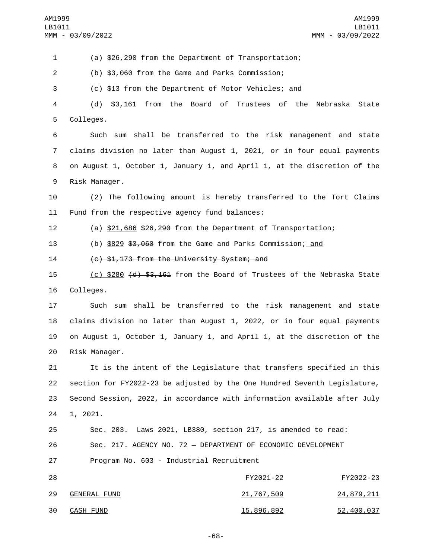(a) \$26,290 from the Department of Transportation; (b) \$3,060 from the Game and Parks Commission; (c) \$13 from the Department of Motor Vehicles; and (d) \$3,161 from the Board of Trustees of the Nebraska State 5 Colleges. Such sum shall be transferred to the risk management and state claims division no later than August 1, 2021, or in four equal payments on August 1, October 1, January 1, and April 1, at the discretion of the 9 Risk Manager. (2) The following amount is hereby transferred to the Tort Claims 11 Fund from the respective agency fund balances: (a) \$21,686 \$26,290 from the Department of Transportation; (b) \$829 \$3,060 from the Game and Parks Commission; and 14 (c) \$1,173 from the University System; and 15 (c) \$280 (d) \$3,161 from the Board of Trustees of the Nebraska State 16 Colleges. Such sum shall be transferred to the risk management and state claims division no later than August 1, 2022, or in four equal payments on August 1, October 1, January 1, and April 1, at the discretion of the 20 Risk Manager. It is the intent of the Legislature that transfers specified in this section for FY2022-23 be adjusted by the One Hundred Seventh Legislature, Second Session, 2022, in accordance with information available after July 24 1, 2021. Sec. 203. Laws 2021, LB380, section 217, is amended to read: Sec. 217. AGENCY NO. 72 — DEPARTMENT OF ECONOMIC DEVELOPMENT 27 Program No. 603 - Industrial Recruitment FY2021-22 FY2022-23 29 GENERAL FUND 21,767,509 24,879,211 30 CASH FUND 30 2 30 2 30 30 30 30 30 30 30 30 4 52,400,037

-68-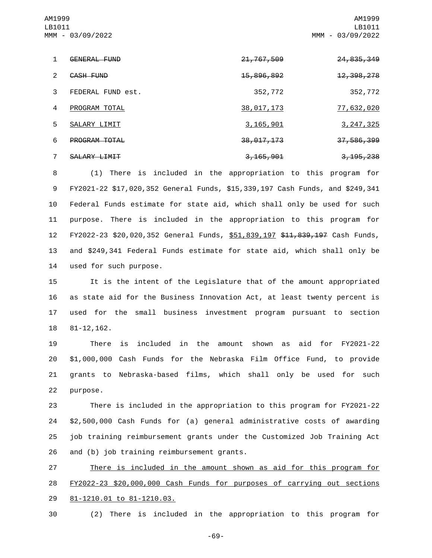AM1999 LB1011 MMM - 03/09/2022

AM1999 LB1011 MMM - 03/09/2022

|               | <b>GENERAL FUND</b>  | 21, 767, 509           | <del>24, 835, 349</del> |
|---------------|----------------------|------------------------|-------------------------|
| $\mathcal{P}$ | CASH FUND            | <del>15,896,892</del>  | <del>12, 398, 278</del> |
| 3             | FEDERAL FUND est.    | 352,772                | 352,772                 |
| 4             | PROGRAM TOTAL        | <u>38,017,173</u>      | <u>77, 632, 020</u>     |
| 5.            | SALARY LIMIT         | <u>3,165,901</u>       | 3, 247, 325             |
| 6             | <b>PROGRAM TOTAL</b> | 38, 017, 173           | 37,586,399              |
|               | SALARY LIMIT         | <del>3, 165, 901</del> | <del>3, 195, 238</del>  |

 (1) There is included in the appropriation to this program for FY2021-22 \$17,020,352 General Funds, \$15,339,197 Cash Funds, and \$249,341 Federal Funds estimate for state aid, which shall only be used for such purpose. There is included in the appropriation to this program for FY2022-23 \$20,020,352 General Funds, \$51,839,197 \$11,839,197 Cash Funds, and \$249,341 Federal Funds estimate for state aid, which shall only be 14 used for such purpose.

 It is the intent of the Legislature that of the amount appropriated as state aid for the Business Innovation Act, at least twenty percent is used for the small business investment program pursuant to section 18 81-12,162.

 There is included in the amount shown as aid for FY2021-22 \$1,000,000 Cash Funds for the Nebraska Film Office Fund, to provide grants to Nebraska-based films, which shall only be used for such 22 purpose.

 There is included in the appropriation to this program for FY2021-22 \$2,500,000 Cash Funds for (a) general administrative costs of awarding job training reimbursement grants under the Customized Job Training Act 26 and (b) job training reimbursement grants.

27 There is included in the amount shown as aid for this program for 28 FY2022-23 \$20,000,000 Cash Funds for purposes of carrying out sections 29 81-1210.01 to 81-1210.03.

30 (2) There is included in the appropriation to this program for

-69-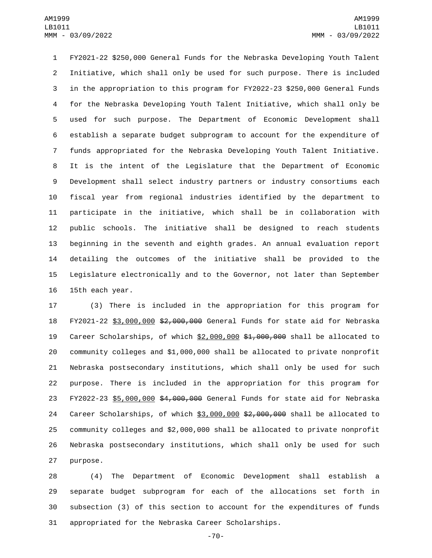FY2021-22 \$250,000 General Funds for the Nebraska Developing Youth Talent Initiative, which shall only be used for such purpose. There is included in the appropriation to this program for FY2022-23 \$250,000 General Funds for the Nebraska Developing Youth Talent Initiative, which shall only be used for such purpose. The Department of Economic Development shall establish a separate budget subprogram to account for the expenditure of funds appropriated for the Nebraska Developing Youth Talent Initiative. It is the intent of the Legislature that the Department of Economic Development shall select industry partners or industry consortiums each fiscal year from regional industries identified by the department to participate in the initiative, which shall be in collaboration with public schools. The initiative shall be designed to reach students beginning in the seventh and eighth grades. An annual evaluation report detailing the outcomes of the initiative shall be provided to the Legislature electronically and to the Governor, not later than September 16 15th each year.

 (3) There is included in the appropriation for this program for FY2021-22 \$3,000,000 \$2,000,000 General Funds for state aid for Nebraska Career Scholarships, of which \$2,000,000 \$1,000,000 shall be allocated to community colleges and \$1,000,000 shall be allocated to private nonprofit Nebraska postsecondary institutions, which shall only be used for such purpose. There is included in the appropriation for this program for FY2022-23 \$5,000,000 \$4,000,000 General Funds for state aid for Nebraska Career Scholarships, of which \$3,000,000 \$2,000,000 shall be allocated to community colleges and \$2,000,000 shall be allocated to private nonprofit Nebraska postsecondary institutions, which shall only be used for such 27 purpose.

 (4) The Department of Economic Development shall establish a separate budget subprogram for each of the allocations set forth in subsection (3) of this section to account for the expenditures of funds appropriated for the Nebraska Career Scholarships.

-70-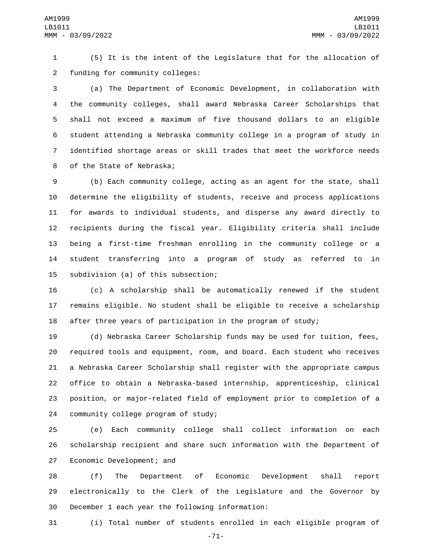(5) It is the intent of the Legislature that for the allocation of 2 funding for community colleges:

 (a) The Department of Economic Development, in collaboration with the community colleges, shall award Nebraska Career Scholarships that shall not exceed a maximum of five thousand dollars to an eligible student attending a Nebraska community college in a program of study in identified shortage areas or skill trades that meet the workforce needs 8 of the State of Nebraska;

 (b) Each community college, acting as an agent for the state, shall determine the eligibility of students, receive and process applications for awards to individual students, and disperse any award directly to recipients during the fiscal year. Eligibility criteria shall include being a first-time freshman enrolling in the community college or a student transferring into a program of study as referred to in 15 subdivision (a) of this subsection;

 (c) A scholarship shall be automatically renewed if the student remains eligible. No student shall be eligible to receive a scholarship after three years of participation in the program of study;

 (d) Nebraska Career Scholarship funds may be used for tuition, fees, required tools and equipment, room, and board. Each student who receives a Nebraska Career Scholarship shall register with the appropriate campus office to obtain a Nebraska-based internship, apprenticeship, clinical position, or major-related field of employment prior to completion of a 24 community college program of study;

 (e) Each community college shall collect information on each scholarship recipient and share such information with the Department of 27 Economic Development; and

 (f) The Department of Economic Development shall report electronically to the Clerk of the Legislature and the Governor by 30 December 1 each year the following information:

(i) Total number of students enrolled in each eligible program of

-71-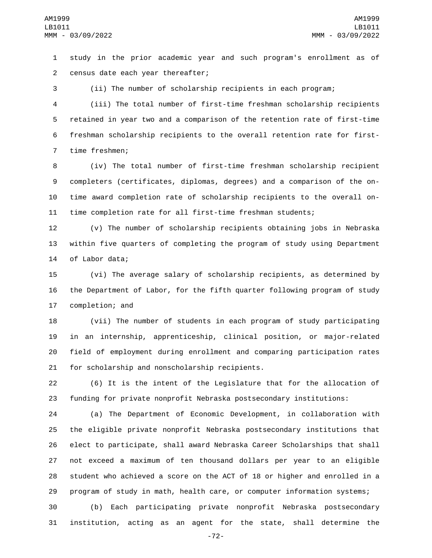study in the prior academic year and such program's enrollment as of 2 census date each year thereafter;

(ii) The number of scholarship recipients in each program;

 (iii) The total number of first-time freshman scholarship recipients retained in year two and a comparison of the retention rate of first-time freshman scholarship recipients to the overall retention rate for first-7 time freshmen;

 (iv) The total number of first-time freshman scholarship recipient completers (certificates, diplomas, degrees) and a comparison of the on- time award completion rate of scholarship recipients to the overall on-time completion rate for all first-time freshman students;

 (v) The number of scholarship recipients obtaining jobs in Nebraska within five quarters of completing the program of study using Department 14 of Labor data;

 (vi) The average salary of scholarship recipients, as determined by the Department of Labor, for the fifth quarter following program of study 17 completion; and

 (vii) The number of students in each program of study participating in an internship, apprenticeship, clinical position, or major-related field of employment during enrollment and comparing participation rates 21 for scholarship and nonscholarship recipients.

 (6) It is the intent of the Legislature that for the allocation of funding for private nonprofit Nebraska postsecondary institutions:

 (a) The Department of Economic Development, in collaboration with the eligible private nonprofit Nebraska postsecondary institutions that elect to participate, shall award Nebraska Career Scholarships that shall not exceed a maximum of ten thousand dollars per year to an eligible student who achieved a score on the ACT of 18 or higher and enrolled in a program of study in math, health care, or computer information systems;

 (b) Each participating private nonprofit Nebraska postsecondary institution, acting as an agent for the state, shall determine the

-72-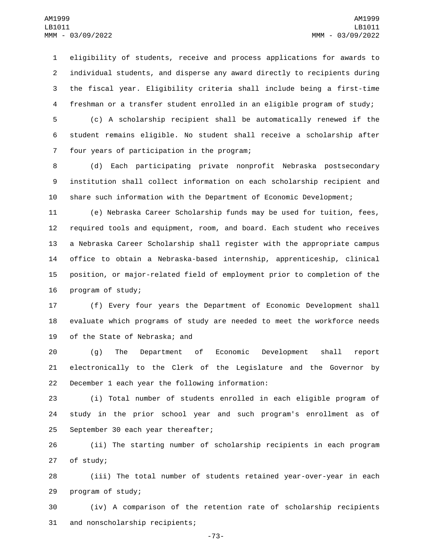eligibility of students, receive and process applications for awards to individual students, and disperse any award directly to recipients during the fiscal year. Eligibility criteria shall include being a first-time freshman or a transfer student enrolled in an eligible program of study;

 (c) A scholarship recipient shall be automatically renewed if the student remains eligible. No student shall receive a scholarship after 7 four years of participation in the program;

 (d) Each participating private nonprofit Nebraska postsecondary institution shall collect information on each scholarship recipient and share such information with the Department of Economic Development;

 (e) Nebraska Career Scholarship funds may be used for tuition, fees, required tools and equipment, room, and board. Each student who receives a Nebraska Career Scholarship shall register with the appropriate campus office to obtain a Nebraska-based internship, apprenticeship, clinical position, or major-related field of employment prior to completion of the 16 program of study;

 (f) Every four years the Department of Economic Development shall evaluate which programs of study are needed to meet the workforce needs 19 of the State of Nebraska; and

 (g) The Department of Economic Development shall report electronically to the Clerk of the Legislature and the Governor by 22 December 1 each year the following information:

 (i) Total number of students enrolled in each eligible program of study in the prior school year and such program's enrollment as of 25 September 30 each year thereafter;

 (ii) The starting number of scholarship recipients in each program 27 of study;

 (iii) The total number of students retained year-over-year in each 29 program of study;

 (iv) A comparison of the retention rate of scholarship recipients 31 and nonscholarship recipients;

-73-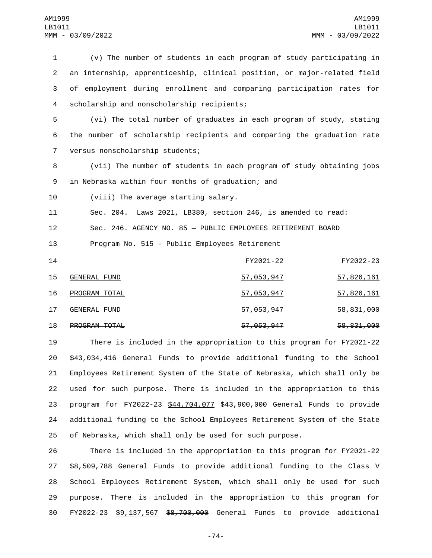(v) The number of students in each program of study participating in an internship, apprenticeship, clinical position, or major-related field of employment during enrollment and comparing participation rates for 4 scholarship and nonscholarship recipients; (vi) The total number of graduates in each program of study, stating the number of scholarship recipients and comparing the graduation rate 7 versus nonscholarship students; (vii) The number of students in each program of study obtaining jobs 9 in Nebraska within four months of graduation; and 10 (viii) The average starting salary. Sec. 204. Laws 2021, LB380, section 246, is amended to read: Sec. 246. AGENCY NO. 85 — PUBLIC EMPLOYEES RETIREMENT BOARD Program No. 515 - Public Employees Retirement FY2021-22 FY2022-23 15 GENERAL FUND 15 57,053,947 57,826,161 PROGRAM TOTAL16 57,053,947 57,826,161 17 GENERAL FUND 17 57,053,947 58,831,000 **PROGRAM TOTAL** 2000 2000 2000 57,053,947 58,831,000 There is included in the appropriation to this program for FY2021-22

 \$43,034,416 General Funds to provide additional funding to the School Employees Retirement System of the State of Nebraska, which shall only be used for such purpose. There is included in the appropriation to this 23 program for FY2022-23 \$44,704,077 \$43,900,000 General Funds to provide additional funding to the School Employees Retirement System of the State of Nebraska, which shall only be used for such purpose.

 There is included in the appropriation to this program for FY2021-22 \$8,509,788 General Funds to provide additional funding to the Class V School Employees Retirement System, which shall only be used for such purpose. There is included in the appropriation to this program for FY2022-23 \$9,137,567 \$8,700,000 General Funds to provide additional

-74-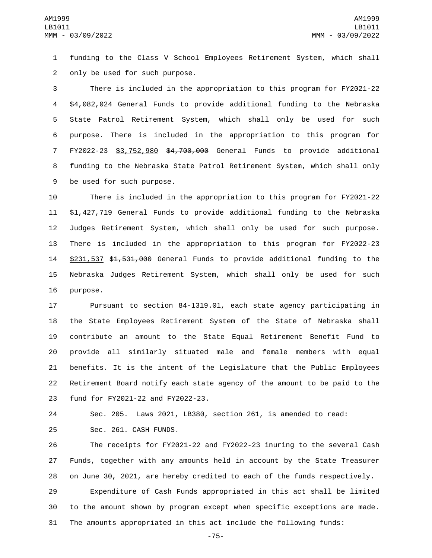funding to the Class V School Employees Retirement System, which shall 2 only be used for such purpose.

 There is included in the appropriation to this program for FY2021-22 \$4,082,024 General Funds to provide additional funding to the Nebraska State Patrol Retirement System, which shall only be used for such purpose. There is included in the appropriation to this program for FY2022-23 \$3,752,980 \$4,700,000 General Funds to provide additional funding to the Nebraska State Patrol Retirement System, which shall only 9 be used for such purpose.

 There is included in the appropriation to this program for FY2021-22 \$1,427,719 General Funds to provide additional funding to the Nebraska Judges Retirement System, which shall only be used for such purpose. There is included in the appropriation to this program for FY2022-23 \$231,537 \$1,531,000 General Funds to provide additional funding to the Nebraska Judges Retirement System, which shall only be used for such 16 purpose.

 Pursuant to section 84-1319.01, each state agency participating in the State Employees Retirement System of the State of Nebraska shall contribute an amount to the State Equal Retirement Benefit Fund to provide all similarly situated male and female members with equal benefits. It is the intent of the Legislature that the Public Employees Retirement Board notify each state agency of the amount to be paid to the 23 fund for FY2021-22 and FY2022-23.

 Sec. 205. Laws 2021, LB380, section 261, is amended to read: 25 Sec. 261. CASH FUNDS.

 The receipts for FY2021-22 and FY2022-23 inuring to the several Cash Funds, together with any amounts held in account by the State Treasurer on June 30, 2021, are hereby credited to each of the funds respectively.

 Expenditure of Cash Funds appropriated in this act shall be limited to the amount shown by program except when specific exceptions are made. The amounts appropriated in this act include the following funds:

-75-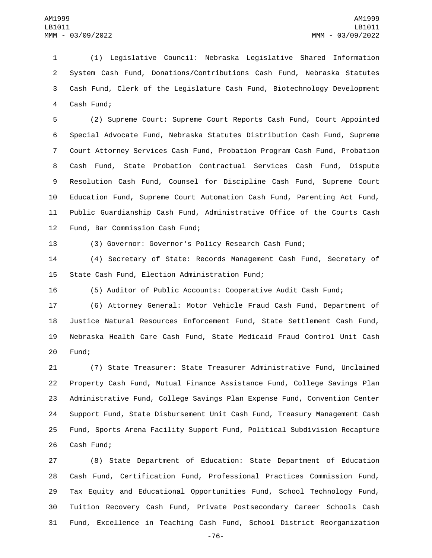(1) Legislative Council: Nebraska Legislative Shared Information System Cash Fund, Donations/Contributions Cash Fund, Nebraska Statutes Cash Fund, Clerk of the Legislature Cash Fund, Biotechnology Development 4 Cash Fund;

 (2) Supreme Court: Supreme Court Reports Cash Fund, Court Appointed Special Advocate Fund, Nebraska Statutes Distribution Cash Fund, Supreme Court Attorney Services Cash Fund, Probation Program Cash Fund, Probation Cash Fund, State Probation Contractual Services Cash Fund, Dispute Resolution Cash Fund, Counsel for Discipline Cash Fund, Supreme Court Education Fund, Supreme Court Automation Cash Fund, Parenting Act Fund, Public Guardianship Cash Fund, Administrative Office of the Courts Cash 12 Fund, Bar Commission Cash Fund;

(3) Governor: Governor's Policy Research Cash Fund;

 (4) Secretary of State: Records Management Cash Fund, Secretary of 15 State Cash Fund, Election Administration Fund;

(5) Auditor of Public Accounts: Cooperative Audit Cash Fund;

 (6) Attorney General: Motor Vehicle Fraud Cash Fund, Department of Justice Natural Resources Enforcement Fund, State Settlement Cash Fund, Nebraska Health Care Cash Fund, State Medicaid Fraud Control Unit Cash 20 Fund:

 (7) State Treasurer: State Treasurer Administrative Fund, Unclaimed Property Cash Fund, Mutual Finance Assistance Fund, College Savings Plan Administrative Fund, College Savings Plan Expense Fund, Convention Center Support Fund, State Disbursement Unit Cash Fund, Treasury Management Cash Fund, Sports Arena Facility Support Fund, Political Subdivision Recapture 26 Cash Fund;

 (8) State Department of Education: State Department of Education Cash Fund, Certification Fund, Professional Practices Commission Fund, Tax Equity and Educational Opportunities Fund, School Technology Fund, Tuition Recovery Cash Fund, Private Postsecondary Career Schools Cash Fund, Excellence in Teaching Cash Fund, School District Reorganization

-76-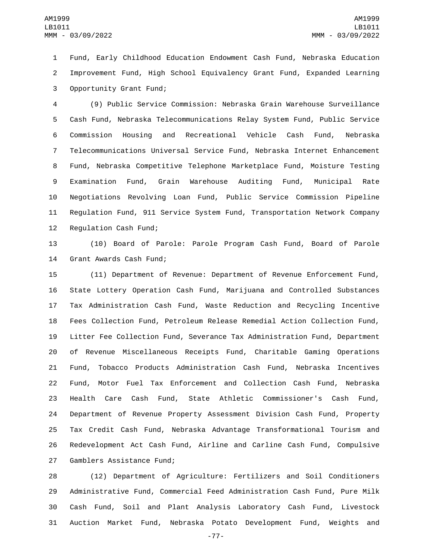Fund, Early Childhood Education Endowment Cash Fund, Nebraska Education Improvement Fund, High School Equivalency Grant Fund, Expanded Learning 3 Opportunity Grant Fund;

 (9) Public Service Commission: Nebraska Grain Warehouse Surveillance Cash Fund, Nebraska Telecommunications Relay System Fund, Public Service Commission Housing and Recreational Vehicle Cash Fund, Nebraska Telecommunications Universal Service Fund, Nebraska Internet Enhancement Fund, Nebraska Competitive Telephone Marketplace Fund, Moisture Testing Examination Fund, Grain Warehouse Auditing Fund, Municipal Rate Negotiations Revolving Loan Fund, Public Service Commission Pipeline Regulation Fund, 911 Service System Fund, Transportation Network Company 12 Regulation Cash Fund;

 (10) Board of Parole: Parole Program Cash Fund, Board of Parole 14 Grant Awards Cash Fund;

 (11) Department of Revenue: Department of Revenue Enforcement Fund, State Lottery Operation Cash Fund, Marijuana and Controlled Substances Tax Administration Cash Fund, Waste Reduction and Recycling Incentive Fees Collection Fund, Petroleum Release Remedial Action Collection Fund, Litter Fee Collection Fund, Severance Tax Administration Fund, Department of Revenue Miscellaneous Receipts Fund, Charitable Gaming Operations Fund, Tobacco Products Administration Cash Fund, Nebraska Incentives Fund, Motor Fuel Tax Enforcement and Collection Cash Fund, Nebraska Health Care Cash Fund, State Athletic Commissioner's Cash Fund, Department of Revenue Property Assessment Division Cash Fund, Property Tax Credit Cash Fund, Nebraska Advantage Transformational Tourism and Redevelopment Act Cash Fund, Airline and Carline Cash Fund, Compulsive 27 Gamblers Assistance Fund;

 (12) Department of Agriculture: Fertilizers and Soil Conditioners Administrative Fund, Commercial Feed Administration Cash Fund, Pure Milk Cash Fund, Soil and Plant Analysis Laboratory Cash Fund, Livestock Auction Market Fund, Nebraska Potato Development Fund, Weights and

-77-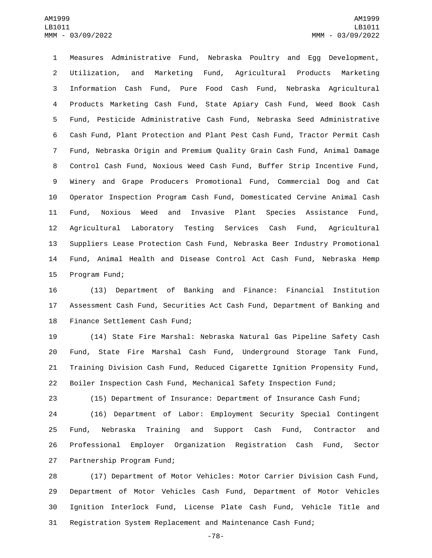Measures Administrative Fund, Nebraska Poultry and Egg Development, Utilization, and Marketing Fund, Agricultural Products Marketing Information Cash Fund, Pure Food Cash Fund, Nebraska Agricultural Products Marketing Cash Fund, State Apiary Cash Fund, Weed Book Cash Fund, Pesticide Administrative Cash Fund, Nebraska Seed Administrative Cash Fund, Plant Protection and Plant Pest Cash Fund, Tractor Permit Cash Fund, Nebraska Origin and Premium Quality Grain Cash Fund, Animal Damage Control Cash Fund, Noxious Weed Cash Fund, Buffer Strip Incentive Fund, Winery and Grape Producers Promotional Fund, Commercial Dog and Cat Operator Inspection Program Cash Fund, Domesticated Cervine Animal Cash Fund, Noxious Weed and Invasive Plant Species Assistance Fund, Agricultural Laboratory Testing Services Cash Fund, Agricultural Suppliers Lease Protection Cash Fund, Nebraska Beer Industry Promotional Fund, Animal Health and Disease Control Act Cash Fund, Nebraska Hemp 15 Program Fund;

 (13) Department of Banking and Finance: Financial Institution Assessment Cash Fund, Securities Act Cash Fund, Department of Banking and 18 Finance Settlement Cash Fund;

 (14) State Fire Marshal: Nebraska Natural Gas Pipeline Safety Cash Fund, State Fire Marshal Cash Fund, Underground Storage Tank Fund, Training Division Cash Fund, Reduced Cigarette Ignition Propensity Fund, Boiler Inspection Cash Fund, Mechanical Safety Inspection Fund;

(15) Department of Insurance: Department of Insurance Cash Fund;

 (16) Department of Labor: Employment Security Special Contingent Fund, Nebraska Training and Support Cash Fund, Contractor and Professional Employer Organization Registration Cash Fund, Sector 27 Partnership Program Fund;

 (17) Department of Motor Vehicles: Motor Carrier Division Cash Fund, Department of Motor Vehicles Cash Fund, Department of Motor Vehicles Ignition Interlock Fund, License Plate Cash Fund, Vehicle Title and Registration System Replacement and Maintenance Cash Fund;

-78-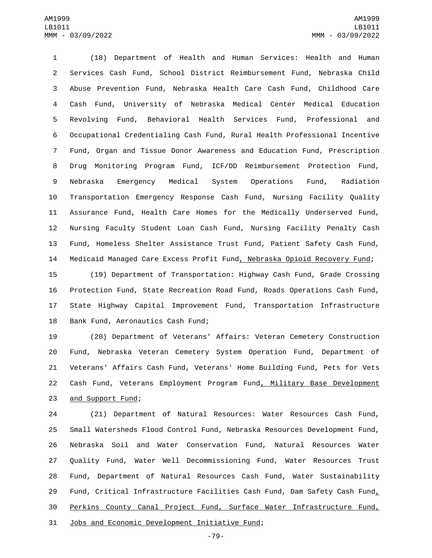(18) Department of Health and Human Services: Health and Human Services Cash Fund, School District Reimbursement Fund, Nebraska Child Abuse Prevention Fund, Nebraska Health Care Cash Fund, Childhood Care Cash Fund, University of Nebraska Medical Center Medical Education Revolving Fund, Behavioral Health Services Fund, Professional and Occupational Credentialing Cash Fund, Rural Health Professional Incentive Fund, Organ and Tissue Donor Awareness and Education Fund, Prescription Drug Monitoring Program Fund, ICF/DD Reimbursement Protection Fund, Nebraska Emergency Medical System Operations Fund, Radiation Transportation Emergency Response Cash Fund, Nursing Facility Quality Assurance Fund, Health Care Homes for the Medically Underserved Fund, Nursing Faculty Student Loan Cash Fund, Nursing Facility Penalty Cash Fund, Homeless Shelter Assistance Trust Fund, Patient Safety Cash Fund, Medicaid Managed Care Excess Profit Fund, Nebraska Opioid Recovery Fund;

 (19) Department of Transportation: Highway Cash Fund, Grade Crossing Protection Fund, State Recreation Road Fund, Roads Operations Cash Fund, State Highway Capital Improvement Fund, Transportation Infrastructure 18 Bank Fund, Aeronautics Cash Fund;

 (20) Department of Veterans' Affairs: Veteran Cemetery Construction Fund, Nebraska Veteran Cemetery System Operation Fund, Department of Veterans' Affairs Cash Fund, Veterans' Home Building Fund, Pets for Vets Cash Fund, Veterans Employment Program Fund, Military Base Development 23 and Support Fund;

 (21) Department of Natural Resources: Water Resources Cash Fund, Small Watersheds Flood Control Fund, Nebraska Resources Development Fund, Nebraska Soil and Water Conservation Fund, Natural Resources Water Quality Fund, Water Well Decommissioning Fund, Water Resources Trust Fund, Department of Natural Resources Cash Fund, Water Sustainability Fund, Critical Infrastructure Facilities Cash Fund, Dam Safety Cash Fund, Perkins County Canal Project Fund, Surface Water Infrastructure Fund, 31 Jobs and Economic Development Initiative Fund;

-79-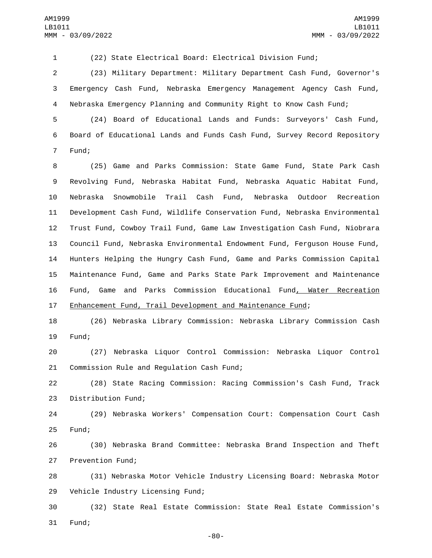(22) State Electrical Board: Electrical Division Fund;

 (23) Military Department: Military Department Cash Fund, Governor's Emergency Cash Fund, Nebraska Emergency Management Agency Cash Fund, Nebraska Emergency Planning and Community Right to Know Cash Fund;

 (24) Board of Educational Lands and Funds: Surveyors' Cash Fund, Board of Educational Lands and Funds Cash Fund, Survey Record Repository 7 Fund;

 (25) Game and Parks Commission: State Game Fund, State Park Cash Revolving Fund, Nebraska Habitat Fund, Nebraska Aquatic Habitat Fund, Nebraska Snowmobile Trail Cash Fund, Nebraska Outdoor Recreation Development Cash Fund, Wildlife Conservation Fund, Nebraska Environmental Trust Fund, Cowboy Trail Fund, Game Law Investigation Cash Fund, Niobrara Council Fund, Nebraska Environmental Endowment Fund, Ferguson House Fund, Hunters Helping the Hungry Cash Fund, Game and Parks Commission Capital Maintenance Fund, Game and Parks State Park Improvement and Maintenance Fund, Game and Parks Commission Educational Fund, Water Recreation Enhancement Fund, Trail Development and Maintenance Fund;

 (26) Nebraska Library Commission: Nebraska Library Commission Cash 19 Fund;

 (27) Nebraska Liquor Control Commission: Nebraska Liquor Control 21 Commission Rule and Regulation Cash Fund;

 (28) State Racing Commission: Racing Commission's Cash Fund, Track 23 Distribution Fund;

 (29) Nebraska Workers' Compensation Court: Compensation Court Cash 25 Fund;

 (30) Nebraska Brand Committee: Nebraska Brand Inspection and Theft 27 Prevention Fund;

 (31) Nebraska Motor Vehicle Industry Licensing Board: Nebraska Motor 29 Vehicle Industry Licensing Fund;

 (32) State Real Estate Commission: State Real Estate Commission's 31 Fund;

-80-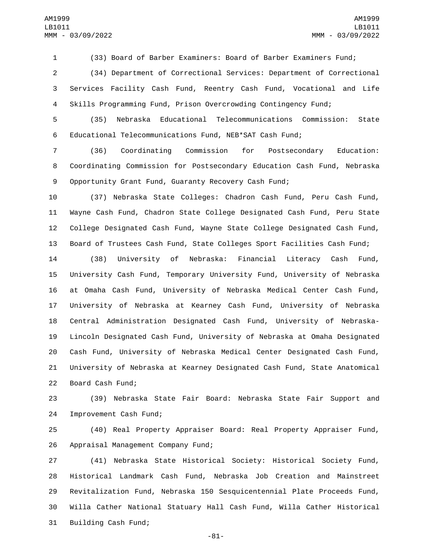(33) Board of Barber Examiners: Board of Barber Examiners Fund;

 (34) Department of Correctional Services: Department of Correctional Services Facility Cash Fund, Reentry Cash Fund, Vocational and Life Skills Programming Fund, Prison Overcrowding Contingency Fund;

 (35) Nebraska Educational Telecommunications Commission: State Educational Telecommunications Fund, NEB\*SAT Cash Fund;

 (36) Coordinating Commission for Postsecondary Education: Coordinating Commission for Postsecondary Education Cash Fund, Nebraska Opportunity Grant Fund, Guaranty Recovery Cash Fund;

 (37) Nebraska State Colleges: Chadron Cash Fund, Peru Cash Fund, Wayne Cash Fund, Chadron State College Designated Cash Fund, Peru State College Designated Cash Fund, Wayne State College Designated Cash Fund, Board of Trustees Cash Fund, State Colleges Sport Facilities Cash Fund;

 (38) University of Nebraska: Financial Literacy Cash Fund, University Cash Fund, Temporary University Fund, University of Nebraska at Omaha Cash Fund, University of Nebraska Medical Center Cash Fund, University of Nebraska at Kearney Cash Fund, University of Nebraska Central Administration Designated Cash Fund, University of Nebraska- Lincoln Designated Cash Fund, University of Nebraska at Omaha Designated Cash Fund, University of Nebraska Medical Center Designated Cash Fund, University of Nebraska at Kearney Designated Cash Fund, State Anatomical 22 Board Cash Fund;

 (39) Nebraska State Fair Board: Nebraska State Fair Support and 24 Improvement Cash Fund;

 (40) Real Property Appraiser Board: Real Property Appraiser Fund, 26 Appraisal Management Company Fund;

 (41) Nebraska State Historical Society: Historical Society Fund, Historical Landmark Cash Fund, Nebraska Job Creation and Mainstreet Revitalization Fund, Nebraska 150 Sesquicentennial Plate Proceeds Fund, Willa Cather National Statuary Hall Cash Fund, Willa Cather Historical 31 Building Cash Fund;

-81-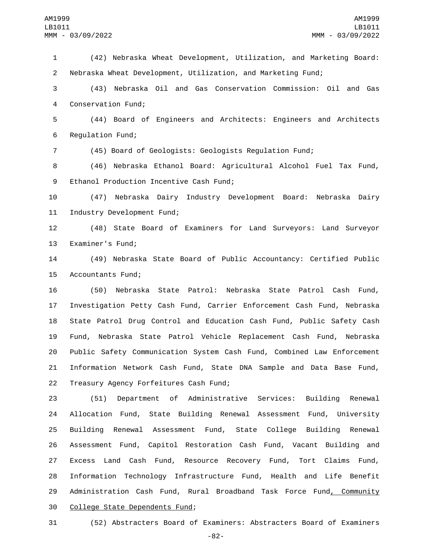1 (42) Nebraska Wheat Development, Utilization, and Marketing Board: 2 Nebraska Wheat Development, Utilization, and Marketing Fund;

3 (43) Nebraska Oil and Gas Conservation Commission: Oil and Gas 4 Conservation Fund;

5 (44) Board of Engineers and Architects: Engineers and Architects 6 Regulation Fund;

7 (45) Board of Geologists: Geologists Regulation Fund;

8 (46) Nebraska Ethanol Board: Agricultural Alcohol Fuel Tax Fund, 9 Ethanol Production Incentive Cash Fund;

10 (47) Nebraska Dairy Industry Development Board: Nebraska Dairy 11 Industry Development Fund;

12 (48) State Board of Examiners for Land Surveyors: Land Surveyor 13 Examiner's Fund;

14 (49) Nebraska State Board of Public Accountancy: Certified Public 15 Accountants Fund;

 (50) Nebraska State Patrol: Nebraska State Patrol Cash Fund, Investigation Petty Cash Fund, Carrier Enforcement Cash Fund, Nebraska State Patrol Drug Control and Education Cash Fund, Public Safety Cash Fund, Nebraska State Patrol Vehicle Replacement Cash Fund, Nebraska Public Safety Communication System Cash Fund, Combined Law Enforcement Information Network Cash Fund, State DNA Sample and Data Base Fund, 22 Treasury Agency Forfeitures Cash Fund;

 (51) Department of Administrative Services: Building Renewal Allocation Fund, State Building Renewal Assessment Fund, University Building Renewal Assessment Fund, State College Building Renewal Assessment Fund, Capitol Restoration Cash Fund, Vacant Building and Excess Land Cash Fund, Resource Recovery Fund, Tort Claims Fund, Information Technology Infrastructure Fund, Health and Life Benefit 29 Administration Cash Fund, Rural Broadband Task Force Fund, Community 30 College State Dependents Fund;

31 (52) Abstracters Board of Examiners: Abstracters Board of Examiners

-82-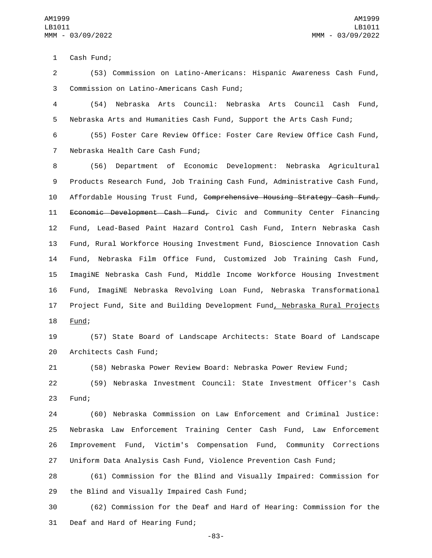1 Cash Fund;

2 (53) Commission on Latino-Americans: Hispanic Awareness Cash Fund, 3 Commission on Latino-Americans Cash Fund;

4 (54) Nebraska Arts Council: Nebraska Arts Council Cash Fund, 5 Nebraska Arts and Humanities Cash Fund, Support the Arts Cash Fund;

6 (55) Foster Care Review Office: Foster Care Review Office Cash Fund, 7 Nebraska Health Care Cash Fund;

 (56) Department of Economic Development: Nebraska Agricultural Products Research Fund, Job Training Cash Fund, Administrative Cash Fund, 10 Affordable Housing Trust Fund, Comprehensive Housing Strategy Cash Fund, 11 Economic Development Cash Fund, Civic and Community Center Financing Fund, Lead-Based Paint Hazard Control Cash Fund, Intern Nebraska Cash Fund, Rural Workforce Housing Investment Fund, Bioscience Innovation Cash Fund, Nebraska Film Office Fund, Customized Job Training Cash Fund, ImagiNE Nebraska Cash Fund, Middle Income Workforce Housing Investment Fund, ImagiNE Nebraska Revolving Loan Fund, Nebraska Transformational 17 Project Fund, Site and Building Development Fund, Nebraska Rural Projects 18 Fund;

19 (57) State Board of Landscape Architects: State Board of Landscape 20 Architects Cash Fund;

21 (58) Nebraska Power Review Board: Nebraska Power Review Fund;

22 (59) Nebraska Investment Council: State Investment Officer's Cash 23 Fund;

 (60) Nebraska Commission on Law Enforcement and Criminal Justice: Nebraska Law Enforcement Training Center Cash Fund, Law Enforcement Improvement Fund, Victim's Compensation Fund, Community Corrections Uniform Data Analysis Cash Fund, Violence Prevention Cash Fund;

28 (61) Commission for the Blind and Visually Impaired: Commission for 29 the Blind and Visually Impaired Cash Fund;

30 (62) Commission for the Deaf and Hard of Hearing: Commission for the 31 Deaf and Hard of Hearing Fund;

-83-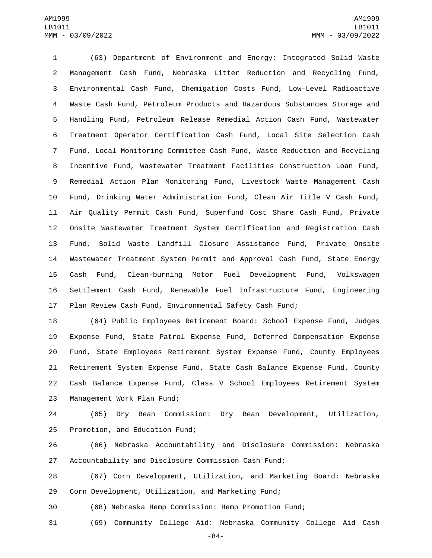(63) Department of Environment and Energy: Integrated Solid Waste Management Cash Fund, Nebraska Litter Reduction and Recycling Fund, Environmental Cash Fund, Chemigation Costs Fund, Low-Level Radioactive Waste Cash Fund, Petroleum Products and Hazardous Substances Storage and Handling Fund, Petroleum Release Remedial Action Cash Fund, Wastewater Treatment Operator Certification Cash Fund, Local Site Selection Cash Fund, Local Monitoring Committee Cash Fund, Waste Reduction and Recycling Incentive Fund, Wastewater Treatment Facilities Construction Loan Fund, Remedial Action Plan Monitoring Fund, Livestock Waste Management Cash Fund, Drinking Water Administration Fund, Clean Air Title V Cash Fund, Air Quality Permit Cash Fund, Superfund Cost Share Cash Fund, Private Onsite Wastewater Treatment System Certification and Registration Cash Fund, Solid Waste Landfill Closure Assistance Fund, Private Onsite Wastewater Treatment System Permit and Approval Cash Fund, State Energy Cash Fund, Clean-burning Motor Fuel Development Fund, Volkswagen Settlement Cash Fund, Renewable Fuel Infrastructure Fund, Engineering Plan Review Cash Fund, Environmental Safety Cash Fund;

 (64) Public Employees Retirement Board: School Expense Fund, Judges Expense Fund, State Patrol Expense Fund, Deferred Compensation Expense Fund, State Employees Retirement System Expense Fund, County Employees Retirement System Expense Fund, State Cash Balance Expense Fund, County Cash Balance Expense Fund, Class V School Employees Retirement System 23 Management Work Plan Fund;

 (65) Dry Bean Commission: Dry Bean Development, Utilization, 25 Promotion, and Education Fund;

 (66) Nebraska Accountability and Disclosure Commission: Nebraska Accountability and Disclosure Commission Cash Fund;

 (67) Corn Development, Utilization, and Marketing Board: Nebraska Corn Development, Utilization, and Marketing Fund;

(68) Nebraska Hemp Commission: Hemp Promotion Fund;

(69) Community College Aid: Nebraska Community College Aid Cash

-84-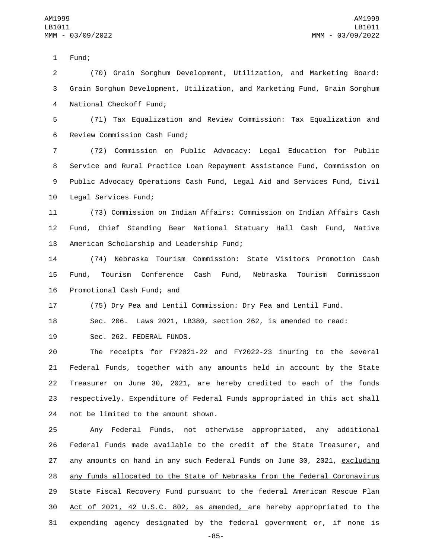1 Fund;

2 (70) Grain Sorghum Development, Utilization, and Marketing Board: 3 Grain Sorghum Development, Utilization, and Marketing Fund, Grain Sorghum 4 National Checkoff Fund;

5 (71) Tax Equalization and Review Commission: Tax Equalization and 6 Review Commission Cash Fund;

 (72) Commission on Public Advocacy: Legal Education for Public Service and Rural Practice Loan Repayment Assistance Fund, Commission on Public Advocacy Operations Cash Fund, Legal Aid and Services Fund, Civil 10 Legal Services Fund;

11 (73) Commission on Indian Affairs: Commission on Indian Affairs Cash 12 Fund, Chief Standing Bear National Statuary Hall Cash Fund, Native 13 American Scholarship and Leadership Fund;

14 (74) Nebraska Tourism Commission: State Visitors Promotion Cash 15 Fund, Tourism Conference Cash Fund, Nebraska Tourism Commission 16 Promotional Cash Fund; and

17 (75) Dry Pea and Lentil Commission: Dry Pea and Lentil Fund.

18 Sec. 206. Laws 2021, LB380, section 262, is amended to read:

19 Sec. 262. FEDERAL FUNDS.

 The receipts for FY2021-22 and FY2022-23 inuring to the several Federal Funds, together with any amounts held in account by the State Treasurer on June 30, 2021, are hereby credited to each of the funds respectively. Expenditure of Federal Funds appropriated in this act shall 24 not be limited to the amount shown.

 Any Federal Funds, not otherwise appropriated, any additional Federal Funds made available to the credit of the State Treasurer, and 27 any amounts on hand in any such Federal Funds on June 30, 2021, excluding any funds allocated to the State of Nebraska from the federal Coronavirus State Fiscal Recovery Fund pursuant to the federal American Rescue Plan Act of 2021, 42 U.S.C. 802, as amended, are hereby appropriated to the expending agency designated by the federal government or, if none is

-85-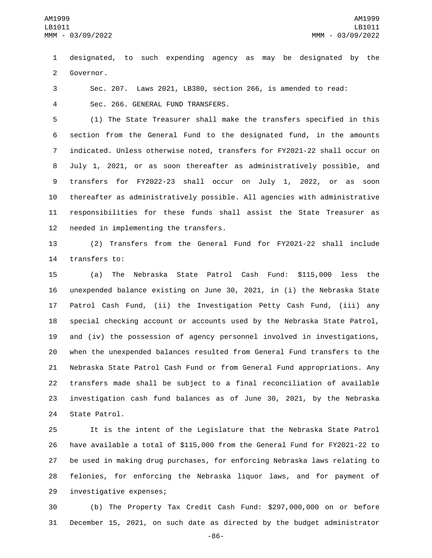designated, to such expending agency as may be designated by the 2 Governor.

Sec. 207. Laws 2021, LB380, section 266, is amended to read:

Sec. 266. GENERAL FUND TRANSFERS.4

 (1) The State Treasurer shall make the transfers specified in this section from the General Fund to the designated fund, in the amounts indicated. Unless otherwise noted, transfers for FY2021-22 shall occur on July 1, 2021, or as soon thereafter as administratively possible, and transfers for FY2022-23 shall occur on July 1, 2022, or as soon thereafter as administratively possible. All agencies with administrative responsibilities for these funds shall assist the State Treasurer as 12 needed in implementing the transfers.

 (2) Transfers from the General Fund for FY2021-22 shall include 14 transfers to:

 (a) The Nebraska State Patrol Cash Fund: \$115,000 less the unexpended balance existing on June 30, 2021, in (i) the Nebraska State Patrol Cash Fund, (ii) the Investigation Petty Cash Fund, (iii) any special checking account or accounts used by the Nebraska State Patrol, and (iv) the possession of agency personnel involved in investigations, when the unexpended balances resulted from General Fund transfers to the Nebraska State Patrol Cash Fund or from General Fund appropriations. Any transfers made shall be subject to a final reconciliation of available investigation cash fund balances as of June 30, 2021, by the Nebraska 24 State Patrol.

 It is the intent of the Legislature that the Nebraska State Patrol have available a total of \$115,000 from the General Fund for FY2021-22 to be used in making drug purchases, for enforcing Nebraska laws relating to felonies, for enforcing the Nebraska liquor laws, and for payment of 29 investigative expenses;

 (b) The Property Tax Credit Cash Fund: \$297,000,000 on or before December 15, 2021, on such date as directed by the budget administrator

-86-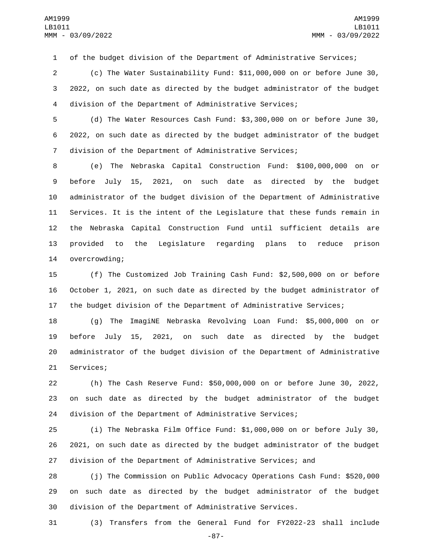of the budget division of the Department of Administrative Services;

 (c) The Water Sustainability Fund: \$11,000,000 on or before June 30, 2022, on such date as directed by the budget administrator of the budget division of the Department of Administrative Services;

 (d) The Water Resources Cash Fund: \$3,300,000 on or before June 30, 2022, on such date as directed by the budget administrator of the budget division of the Department of Administrative Services;

 (e) The Nebraska Capital Construction Fund: \$100,000,000 on or before July 15, 2021, on such date as directed by the budget administrator of the budget division of the Department of Administrative Services. It is the intent of the Legislature that these funds remain in the Nebraska Capital Construction Fund until sufficient details are provided to the Legislature regarding plans to reduce prison 14 overcrowding;

 (f) The Customized Job Training Cash Fund: \$2,500,000 on or before October 1, 2021, on such date as directed by the budget administrator of the budget division of the Department of Administrative Services;

 (g) The ImagiNE Nebraska Revolving Loan Fund: \$5,000,000 on or before July 15, 2021, on such date as directed by the budget administrator of the budget division of the Department of Administrative 21 Services;

 (h) The Cash Reserve Fund: \$50,000,000 on or before June 30, 2022, on such date as directed by the budget administrator of the budget division of the Department of Administrative Services;

 (i) The Nebraska Film Office Fund: \$1,000,000 on or before July 30, 2021, on such date as directed by the budget administrator of the budget division of the Department of Administrative Services; and

 (j) The Commission on Public Advocacy Operations Cash Fund: \$520,000 on such date as directed by the budget administrator of the budget division of the Department of Administrative Services.

(3) Transfers from the General Fund for FY2022-23 shall include

-87-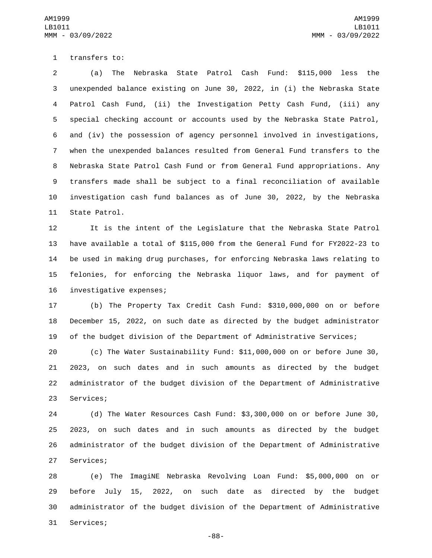1 transfers to:

 (a) The Nebraska State Patrol Cash Fund: \$115,000 less the unexpended balance existing on June 30, 2022, in (i) the Nebraska State Patrol Cash Fund, (ii) the Investigation Petty Cash Fund, (iii) any special checking account or accounts used by the Nebraska State Patrol, and (iv) the possession of agency personnel involved in investigations, when the unexpended balances resulted from General Fund transfers to the Nebraska State Patrol Cash Fund or from General Fund appropriations. Any transfers made shall be subject to a final reconciliation of available investigation cash fund balances as of June 30, 2022, by the Nebraska 11 State Patrol.

 It is the intent of the Legislature that the Nebraska State Patrol have available a total of \$115,000 from the General Fund for FY2022-23 to be used in making drug purchases, for enforcing Nebraska laws relating to felonies, for enforcing the Nebraska liquor laws, and for payment of 16 investigative expenses;

 (b) The Property Tax Credit Cash Fund: \$310,000,000 on or before December 15, 2022, on such date as directed by the budget administrator of the budget division of the Department of Administrative Services;

 (c) The Water Sustainability Fund: \$11,000,000 on or before June 30, 2023, on such dates and in such amounts as directed by the budget administrator of the budget division of the Department of Administrative 23 Services;

 (d) The Water Resources Cash Fund: \$3,300,000 on or before June 30, 2023, on such dates and in such amounts as directed by the budget administrator of the budget division of the Department of Administrative 27 Services;

 (e) The ImagiNE Nebraska Revolving Loan Fund: \$5,000,000 on or before July 15, 2022, on such date as directed by the budget administrator of the budget division of the Department of Administrative 31 Services;

-88-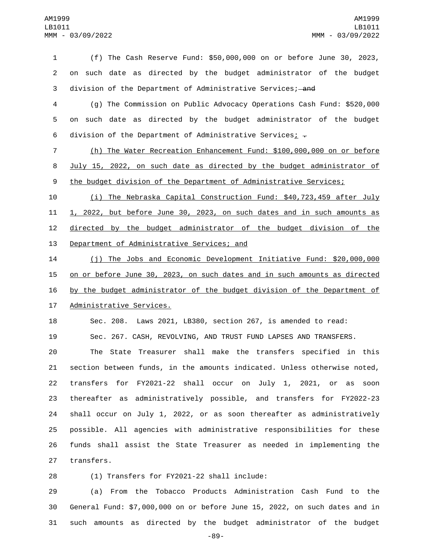(f) The Cash Reserve Fund: \$50,000,000 on or before June 30, 2023, on such date as directed by the budget administrator of the budget 3 division of the Department of Administrative Services; and

 (g) The Commission on Public Advocacy Operations Cash Fund: \$520,000 on such date as directed by the budget administrator of the budget 6 division of the Department of Administrative Services;  $\overline{z}$ 

 (h) The Water Recreation Enhancement Fund: \$100,000,000 on or before July 15, 2022, on such date as directed by the budget administrator of 9 the budget division of the Department of Administrative Services;

 (i) The Nebraska Capital Construction Fund: \$40,723,459 after July 1, 2022, but before June 30, 2023, on such dates and in such amounts as 12 directed by the budget administrator of the budget division of the 13 Department of Administrative Services; and

 (j) The Jobs and Economic Development Initiative Fund: \$20,000,000 on or before June 30, 2023, on such dates and in such amounts as directed by the budget administrator of the budget division of the Department of 17 Administrative Services.

 Sec. 208. Laws 2021, LB380, section 267, is amended to read: Sec. 267. CASH, REVOLVING, AND TRUST FUND LAPSES AND TRANSFERS.

 The State Treasurer shall make the transfers specified in this section between funds, in the amounts indicated. Unless otherwise noted, transfers for FY2021-22 shall occur on July 1, 2021, or as soon thereafter as administratively possible, and transfers for FY2022-23 shall occur on July 1, 2022, or as soon thereafter as administratively possible. All agencies with administrative responsibilities for these funds shall assist the State Treasurer as needed in implementing the 27 transfers.

28 (1) Transfers for FY2021-22 shall include:

 (a) From the Tobacco Products Administration Cash Fund to the General Fund: \$7,000,000 on or before June 15, 2022, on such dates and in such amounts as directed by the budget administrator of the budget

-89-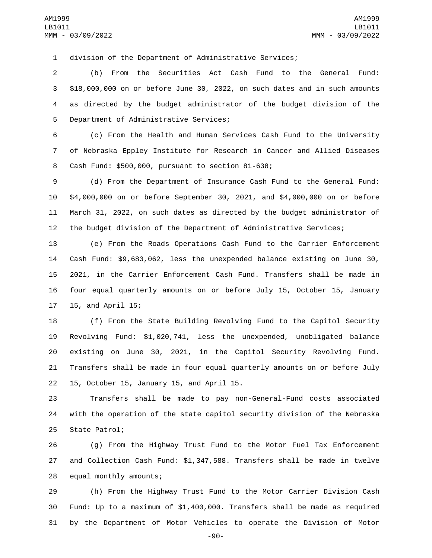division of the Department of Administrative Services;

 (b) From the Securities Act Cash Fund to the General Fund: \$18,000,000 on or before June 30, 2022, on such dates and in such amounts as directed by the budget administrator of the budget division of the 5 Department of Administrative Services;

 (c) From the Health and Human Services Cash Fund to the University of Nebraska Eppley Institute for Research in Cancer and Allied Diseases 8 Cash Fund: \$500,000, pursuant to section 81-638;

 (d) From the Department of Insurance Cash Fund to the General Fund: \$4,000,000 on or before September 30, 2021, and \$4,000,000 on or before March 31, 2022, on such dates as directed by the budget administrator of the budget division of the Department of Administrative Services;

 (e) From the Roads Operations Cash Fund to the Carrier Enforcement Cash Fund: \$9,683,062, less the unexpended balance existing on June 30, 2021, in the Carrier Enforcement Cash Fund. Transfers shall be made in four equal quarterly amounts on or before July 15, October 15, January 17 15, and April 15;

 (f) From the State Building Revolving Fund to the Capitol Security Revolving Fund: \$1,020,741, less the unexpended, unobligated balance existing on June 30, 2021, in the Capitol Security Revolving Fund. Transfers shall be made in four equal quarterly amounts on or before July 15, October 15, January 15, and April 15.

 Transfers shall be made to pay non-General-Fund costs associated with the operation of the state capitol security division of the Nebraska 25 State Patrol;

 (g) From the Highway Trust Fund to the Motor Fuel Tax Enforcement and Collection Cash Fund: \$1,347,588. Transfers shall be made in twelve 28 equal monthly amounts;

 (h) From the Highway Trust Fund to the Motor Carrier Division Cash Fund: Up to a maximum of \$1,400,000. Transfers shall be made as required by the Department of Motor Vehicles to operate the Division of Motor

-90-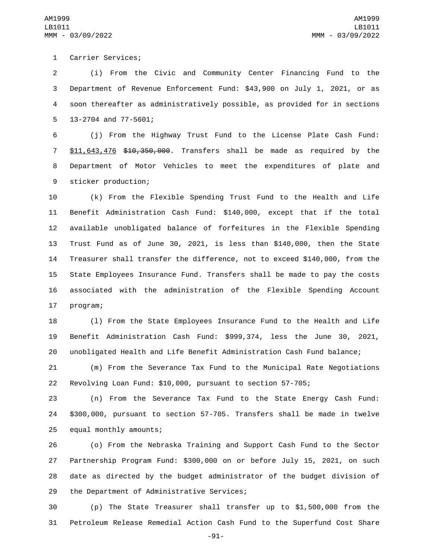1 Carrier Services;

 (i) From the Civic and Community Center Financing Fund to the Department of Revenue Enforcement Fund: \$43,900 on July 1, 2021, or as soon thereafter as administratively possible, as provided for in sections 13-2704 and 77-5601;

 (j) From the Highway Trust Fund to the License Plate Cash Fund: \$11,643,476 \$10,350,000. Transfers shall be made as required by the Department of Motor Vehicles to meet the expenditures of plate and 9 sticker production;

 (k) From the Flexible Spending Trust Fund to the Health and Life Benefit Administration Cash Fund: \$140,000, except that if the total available unobligated balance of forfeitures in the Flexible Spending Trust Fund as of June 30, 2021, is less than \$140,000, then the State Treasurer shall transfer the difference, not to exceed \$140,000, from the State Employees Insurance Fund. Transfers shall be made to pay the costs associated with the administration of the Flexible Spending Account 17 program;

 (l) From the State Employees Insurance Fund to the Health and Life Benefit Administration Cash Fund: \$999,374, less the June 30, 2021, unobligated Health and Life Benefit Administration Cash Fund balance;

 (m) From the Severance Tax Fund to the Municipal Rate Negotiations Revolving Loan Fund: \$10,000, pursuant to section 57-705;

 (n) From the Severance Tax Fund to the State Energy Cash Fund: \$300,000, pursuant to section 57-705. Transfers shall be made in twelve 25 equal monthly amounts;

 (o) From the Nebraska Training and Support Cash Fund to the Sector Partnership Program Fund: \$300,000 on or before July 15, 2021, on such date as directed by the budget administrator of the budget division of 29 the Department of Administrative Services;

 (p) The State Treasurer shall transfer up to \$1,500,000 from the Petroleum Release Remedial Action Cash Fund to the Superfund Cost Share

-91-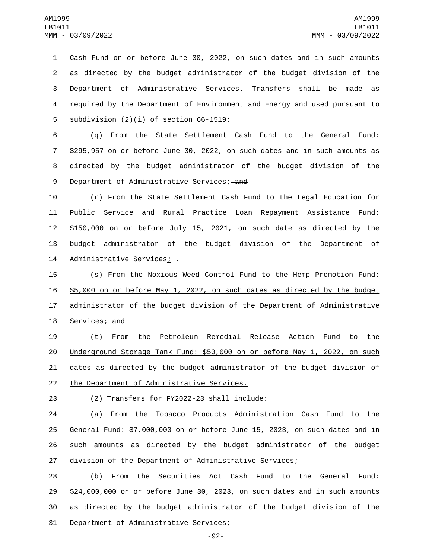Cash Fund on or before June 30, 2022, on such dates and in such amounts as directed by the budget administrator of the budget division of the Department of Administrative Services. Transfers shall be made as required by the Department of Environment and Energy and used pursuant to 5 subdivision  $(2)(i)$  of section 66-1519;

 (q) From the State Settlement Cash Fund to the General Fund: \$295,957 on or before June 30, 2022, on such dates and in such amounts as directed by the budget administrator of the budget division of the 9 Department of Administrative Services; and

 (r) From the State Settlement Cash Fund to the Legal Education for Public Service and Rural Practice Loan Repayment Assistance Fund: \$150,000 on or before July 15, 2021, on such date as directed by the budget administrator of the budget division of the Department of 14 Administrative Services;  $\div$ 

15 (s) From the Noxious Weed Control Fund to the Hemp Promotion Fund: 16 \$5,000 on or before May 1, 2022, on such dates as directed by the budget 17 administrator of the budget division of the Department of Administrative 18 Services; and

19 (t) From the Petroleum Remedial Release Action Fund to the 20 Underground Storage Tank Fund: \$50,000 on or before May 1, 2022, on such 21 dates as directed by the budget administrator of the budget division of 22 the Department of Administrative Services.

(2) Transfers for FY2022-23 shall include:23

 (a) From the Tobacco Products Administration Cash Fund to the General Fund: \$7,000,000 on or before June 15, 2023, on such dates and in such amounts as directed by the budget administrator of the budget division of the Department of Administrative Services;

 (b) From the Securities Act Cash Fund to the General Fund: \$24,000,000 on or before June 30, 2023, on such dates and in such amounts as directed by the budget administrator of the budget division of the 31 Department of Administrative Services;

-92-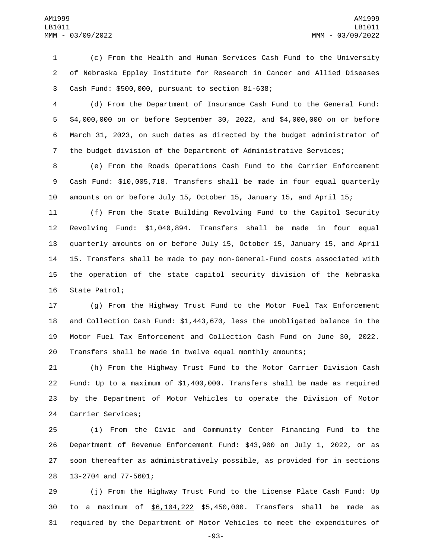(c) From the Health and Human Services Cash Fund to the University of Nebraska Eppley Institute for Research in Cancer and Allied Diseases 3 Cash Fund: \$500,000, pursuant to section 81-638;

 (d) From the Department of Insurance Cash Fund to the General Fund: \$4,000,000 on or before September 30, 2022, and \$4,000,000 on or before March 31, 2023, on such dates as directed by the budget administrator of the budget division of the Department of Administrative Services;

 (e) From the Roads Operations Cash Fund to the Carrier Enforcement Cash Fund: \$10,005,718. Transfers shall be made in four equal quarterly amounts on or before July 15, October 15, January 15, and April 15;

 (f) From the State Building Revolving Fund to the Capitol Security Revolving Fund: \$1,040,894. Transfers shall be made in four equal quarterly amounts on or before July 15, October 15, January 15, and April 15. Transfers shall be made to pay non-General-Fund costs associated with the operation of the state capitol security division of the Nebraska 16 State Patrol;

 (g) From the Highway Trust Fund to the Motor Fuel Tax Enforcement and Collection Cash Fund: \$1,443,670, less the unobligated balance in the Motor Fuel Tax Enforcement and Collection Cash Fund on June 30, 2022. Transfers shall be made in twelve equal monthly amounts;

 (h) From the Highway Trust Fund to the Motor Carrier Division Cash Fund: Up to a maximum of \$1,400,000. Transfers shall be made as required by the Department of Motor Vehicles to operate the Division of Motor 24 Carrier Services;

 (i) From the Civic and Community Center Financing Fund to the Department of Revenue Enforcement Fund: \$43,900 on July 1, 2022, or as soon thereafter as administratively possible, as provided for in sections 28 13-2704 and 77-5601;

 (j) From the Highway Trust Fund to the License Plate Cash Fund: Up to a maximum of \$6,104,222 \$5,450,000. Transfers shall be made as required by the Department of Motor Vehicles to meet the expenditures of

-93-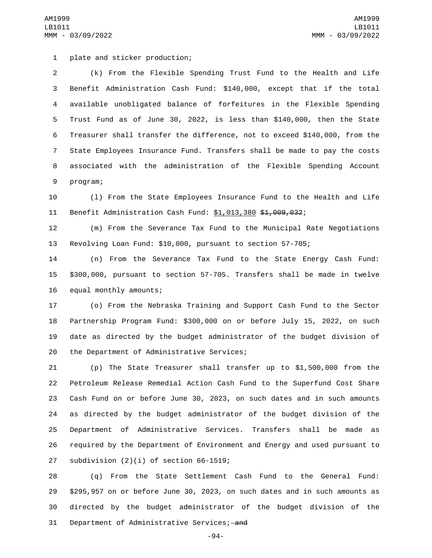plate and sticker production;1

 (k) From the Flexible Spending Trust Fund to the Health and Life Benefit Administration Cash Fund: \$140,000, except that if the total available unobligated balance of forfeitures in the Flexible Spending Trust Fund as of June 30, 2022, is less than \$140,000, then the State Treasurer shall transfer the difference, not to exceed \$140,000, from the State Employees Insurance Fund. Transfers shall be made to pay the costs associated with the administration of the Flexible Spending Account 9 program;

 (l) From the State Employees Insurance Fund to the Health and Life 11 Benefit Administration Cash Fund: \$1,013,380 \$1,009,032;

 (m) From the Severance Tax Fund to the Municipal Rate Negotiations Revolving Loan Fund: \$10,000, pursuant to section 57-705;

 (n) From the Severance Tax Fund to the State Energy Cash Fund: \$300,000, pursuant to section 57-705. Transfers shall be made in twelve 16 equal monthly amounts;

 (o) From the Nebraska Training and Support Cash Fund to the Sector Partnership Program Fund: \$300,000 on or before July 15, 2022, on such date as directed by the budget administrator of the budget division of 20 the Department of Administrative Services;

 (p) The State Treasurer shall transfer up to \$1,500,000 from the Petroleum Release Remedial Action Cash Fund to the Superfund Cost Share Cash Fund on or before June 30, 2023, on such dates and in such amounts as directed by the budget administrator of the budget division of the Department of Administrative Services. Transfers shall be made as required by the Department of Environment and Energy and used pursuant to 27 subdivision  $(2)(i)$  of section 66-1519;

 (q) From the State Settlement Cash Fund to the General Fund: \$295,957 on or before June 30, 2023, on such dates and in such amounts as directed by the budget administrator of the budget division of the 31 Department of Administrative Services; and

-94-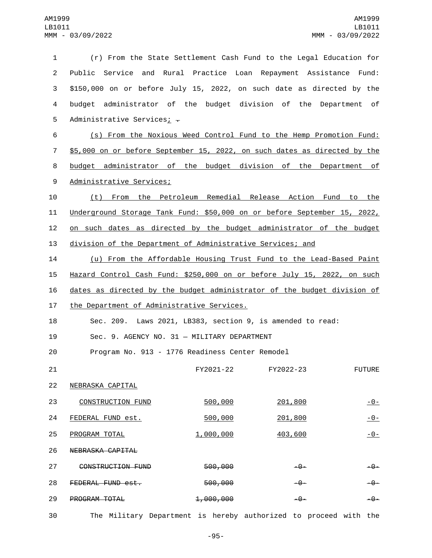| $\mathbf{1}$   | (r) From the State Settlement Cash Fund to the Legal Education for        |           |           |       |               |
|----------------|---------------------------------------------------------------------------|-----------|-----------|-------|---------------|
| $\overline{2}$ | Public Service and Rural Practice Loan Repayment Assistance Fund:         |           |           |       |               |
| 3              | \$150,000 on or before July 15, 2022, on such date as directed by the     |           |           |       |               |
| 4              | budget administrator of the budget division of the Department of          |           |           |       |               |
| 5              | Administrative Services; -                                                |           |           |       |               |
| 6              | (s) From the Noxious Weed Control Fund to the Hemp Promotion Fund:        |           |           |       |               |
| $\overline{7}$ | \$5,000 on or before September 15, 2022, on such dates as directed by the |           |           |       |               |
| 8              | budget administrator of the budget division of the Department of          |           |           |       |               |
| 9              | Administrative Services;                                                  |           |           |       |               |
| 10             | (t) From the Petroleum Remedial Release Action Fund to the                |           |           |       |               |
| 11             | Underground Storage Tank Fund: \$50,000 on or before September 15, 2022,  |           |           |       |               |
| 12             | on such dates as directed by the budget administrator of the budget       |           |           |       |               |
| 13             | division of the Department of Administrative Services; and                |           |           |       |               |
| 14             | (u) From the Affordable Housing Trust Fund to the Lead-Based Paint        |           |           |       |               |
| 15             | Hazard Control Cash Fund: \$250,000 on or before July 15, 2022, on such   |           |           |       |               |
| 16             | dates as directed by the budget administrator of the budget division of   |           |           |       |               |
| 17             | the Department of Administrative Services.                                |           |           |       |               |
| 18             | Sec. 209. Laws 2021, LB383, section 9, is amended to read:                |           |           |       |               |
| 19             | Sec. 9. AGENCY NO. 31 - MILITARY DEPARTMENT                               |           |           |       |               |
| 20             | Program No. 913 - 1776 Readiness Center Remodel                           |           |           |       |               |
| 21             |                                                                           | FY2021-22 | FY2022-23 |       | <b>FUTURE</b> |
| 22             | NEBRASKA CAPITAL                                                          |           |           |       |               |
| 23             | <b>CONSTRUCTION FUND</b>                                                  | 500,000   | 201,800   |       | $-0-$         |
| 24             | FEDERAL FUND est.                                                         | 500,000   | 201,800   |       | $-0-$         |
| 25             | PROGRAM TOTAL                                                             | 1,000,000 | 403,600   |       | $-0-$         |
| 26             | NEBRASKA CAPITAL                                                          |           |           |       |               |
| 27             | CONSTRUCTION FUND                                                         | 500,000   |           | -0-   | -0-           |
| 28             | FEDERAL FUND est.                                                         | 500,000   |           | $-9-$ | $-9-$         |
| 29             | PROGRAM TOTAL                                                             | 1,000,000 |           | $-9-$ | $-9-$         |
|                |                                                                           |           |           |       |               |

30 The Military Department is hereby authorized to proceed with the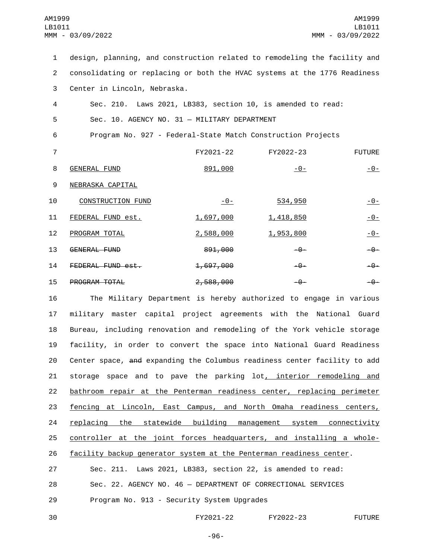| 1              | design, planning, and construction related to remodeling the facility and |                  |                  |               |
|----------------|---------------------------------------------------------------------------|------------------|------------------|---------------|
| $\overline{2}$ | consolidating or replacing or both the HVAC systems at the 1776 Readiness |                  |                  |               |
| 3              | Center in Lincoln, Nebraska.                                              |                  |                  |               |
| 4              | Sec. 210. Laws 2021, LB383, section 10, is amended to read:               |                  |                  |               |
| 5              | Sec. 10. AGENCY NO. 31 - MILITARY DEPARTMENT                              |                  |                  |               |
| 6              | Program No. 927 - Federal-State Match Construction Projects               |                  |                  |               |
| $\overline{7}$ |                                                                           | FY2021-22        | FY2022-23        | <b>FUTURE</b> |
| 8              | <b>GENERAL FUND</b>                                                       | 891,000          | $-0-$            | <u>- 0 - </u> |
| 9              | NEBRASKA CAPITAL                                                          |                  |                  |               |
| 10             | <b>CONSTRUCTION FUND</b>                                                  | $-0-$            | 534,950          | $-0-$         |
| 11             | FEDERAL FUND est.                                                         | <u>1,697,000</u> | <u>1,418,850</u> | $-0-$         |
| 12             | PROGRAM TOTAL                                                             | 2,588,000        | 1,953,800        | $-0-$         |
| 13             | GENERAL FUND                                                              | 891,000          | $-9-$            | $-9-$         |
| 14             | FEDERAL FUND est.                                                         | 1,697,000        | $-9-$            | -0-           |
| 15             | PROGRAM TOTAL                                                             | 2,588,000        | $-9-$            | -0-           |

16 The Military Department is hereby authorized to engage in various 17 military master capital project agreements with the National Guard 18 Bureau, including renovation and remodeling of the York vehicle storage 19 facility, in order to convert the space into National Guard Readiness 20 Center space, and expanding the Columbus readiness center facility to add 21 storage space and to pave the parking lot, interior remodeling and 22 bathroom repair at the Penterman readiness center, replacing perimeter 23 fencing at Lincoln, East Campus, and North Omaha readiness centers, 24 replacing the statewide building management system connectivity 25 controller at the joint forces headquarters, and installing a whole-26 facility backup generator system at the Penterman readiness center.

27 Sec. 211. Laws 2021, LB383, section 22, is amended to read: 28 Sec. 22. AGENCY NO. 46 — DEPARTMENT OF CORRECTIONAL SERVICES 29 Program No. 913 - Security System Upgrades

30 FY2021-22 FY2022-23 FUTURE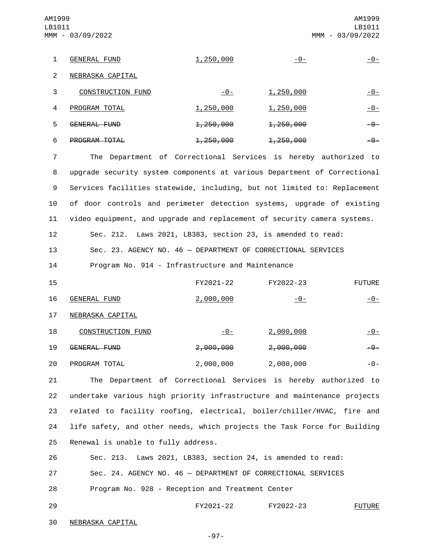1 GENERAL FUND 1,250,000 -0- -0-2 NEBRASKA CAPITAL 3 CONSTRUCTION FUND  $-0$ - 1,250,000  $-0$ 4 PROGRAM TOTAL 1,250,000 1,250,000 1,250,000 5 GENERAL FUND 1,250,000 1,250,000 -0-6 PROGRAM TOTAL 1,250,000 1,250,000 -0-AM1999 LB1011 MMM - 03/09/2022 AM1999 LB1011 MMM - 03/09/2022

 The Department of Correctional Services is hereby authorized to upgrade security system components at various Department of Correctional Services facilities statewide, including, but not limited to: Replacement of door controls and perimeter detection systems, upgrade of existing video equipment, and upgrade and replacement of security camera systems.

12 Sec. 212. Laws 2021, LB383, section 23, is amended to read:

13 Sec. 23. AGENCY NO. 46 — DEPARTMENT OF CORRECTIONAL SERVICES

14 Program No. 914 - Infrastructure and Maintenance

| 15 |                     | FY2021-22            | FY2022-23 | <b>FUTURE</b>  |
|----|---------------------|----------------------|-----------|----------------|
| 16 | <b>GENERAL FUND</b> | 2,000,000            | $-0-$     | -0-            |
| 17 | NEBRASKA CAPITAL    |                      |           |                |
| 18 | CONSTRUCTION FUND   | $-0-$                | 2,000,000 | <u> - 0 - </u> |
| 19 | GENERAL FUND        | <del>2,000,000</del> | 2,000,000 | -0-            |
| 20 | PROGRAM TOTAL       | 2,000,000            | 2,000,000 | -0-            |

 The Department of Correctional Services is hereby authorized to undertake various high priority infrastructure and maintenance projects related to facility roofing, electrical, boiler/chiller/HVAC, fire and life safety, and other needs, which projects the Task Force for Building 25 Renewal is unable to fully address.

26 Sec. 213. Laws 2021, LB383, section 24, is amended to read: 27 Sec. 24. AGENCY NO. 46 — DEPARTMENT OF CORRECTIONAL SERVICES 28 Program No. 928 - Reception and Treatment Center

29 FY2021-22 FY2022-23 FUTURE

30 NEBRASKA CAPITAL

-97-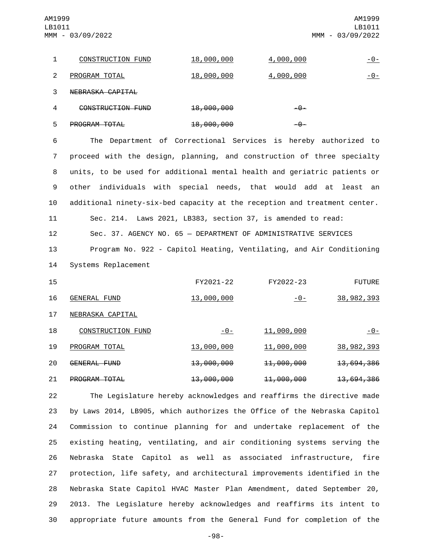AM1999 LB1011 MMM - 03/09/2022

|   | CONSTRUCTION FUND | <u>18,000,000</u>     | <u>4,000,000</u> | <u> - 0 - </u> |
|---|-------------------|-----------------------|------------------|----------------|
| 2 | PROGRAM TOTAL     | <u>18,000,000</u>     | <u>4,000,000</u> | -0-            |
| 3 | NEBRASKA CAPITAL  |                       |                  |                |
| 4 | CONSTRUCTION FUND | <del>18,000,000</del> | $-\theta$ –      |                |

| 5 | <del>PROGRAM TOTAL</del> | <del>18,000,000</del> | $-0$ |
|---|--------------------------|-----------------------|------|

 The Department of Correctional Services is hereby authorized to proceed with the design, planning, and construction of three specialty units, to be used for additional mental health and geriatric patients or other individuals with special needs, that would add at least an additional ninety-six-bed capacity at the reception and treatment center.

11 Sec. 214. Laws 2021, LB383, section 37, is amended to read:

12 Sec. 37. AGENCY NO. 65 — DEPARTMENT OF ADMINISTRATIVE SERVICES

13 Program No. 922 - Capitol Heating, Ventilating, and Air Conditioning 14 Systems Replacement

| 15 |                   | FY2021-22         | FY2022-23     | <b>FUTURE</b>           |
|----|-------------------|-------------------|---------------|-------------------------|
| 16 | GENERAL FUND      | <u>13,000,000</u> | <u>- 0 - </u> | 38, 982, 393            |
| 17 | NEBRASKA CAPITAL  |                   |               |                         |
| 18 | CONSTRUCTION FUND | $-0-$             | 11,000,000    | <u> - 0 - </u>          |
| 19 | PROGRAM TOTAL     | <u>13,000,000</u> | 11,000,000    | 38, 982, 393            |
| 20 | GENERAL FUND      | 13,000,000        | 11,000,000    | <del>13, 694, 386</del> |
| 21 | PROGRAM TOTAL     | 13,000,000        | 11,000,000    | <del>13, 694, 386</del> |

 The Legislature hereby acknowledges and reaffirms the directive made by Laws 2014, LB905, which authorizes the Office of the Nebraska Capitol Commission to continue planning for and undertake replacement of the existing heating, ventilating, and air conditioning systems serving the Nebraska State Capitol as well as associated infrastructure, fire protection, life safety, and architectural improvements identified in the Nebraska State Capitol HVAC Master Plan Amendment, dated September 20, 2013. The Legislature hereby acknowledges and reaffirms its intent to appropriate future amounts from the General Fund for completion of the

-98-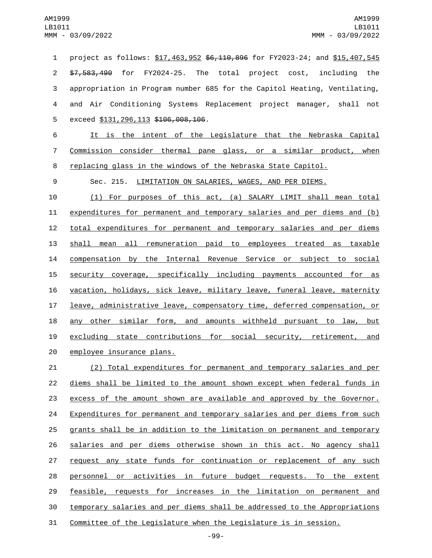1 project as follows: \$17,463,952 \$6,110,896 for FY2023-24; and \$15,407,545 \$7,583,490 for FY2024-25. The total project cost, including the appropriation in Program number 685 for the Capitol Heating, Ventilating, and Air Conditioning Systems Replacement project manager, shall not 5 exceed \$131,296,113 \$106,008,106.

 It is the intent of the Legislature that the Nebraska Capital Commission consider thermal pane glass, or a similar product, when replacing glass in the windows of the Nebraska State Capitol.

Sec. 215. LIMITATION ON SALARIES, WAGES, AND PER DIEMS.

 (1) For purposes of this act, (a) SALARY LIMIT shall mean total expenditures for permanent and temporary salaries and per diems and (b) 12 total expenditures for permanent and temporary salaries and per diems shall mean all remuneration paid to employees treated as taxable compensation by the Internal Revenue Service or subject to social security coverage, specifically including payments accounted for as vacation, holidays, sick leave, military leave, funeral leave, maternity leave, administrative leave, compensatory time, deferred compensation, or any other similar form, and amounts withheld pursuant to law, but excluding state contributions for social security, retirement, and 20 employee insurance plans.

 (2) Total expenditures for permanent and temporary salaries and per diems shall be limited to the amount shown except when federal funds in excess of the amount shown are available and approved by the Governor. 24 Expenditures for permanent and temporary salaries and per diems from such grants shall be in addition to the limitation on permanent and temporary salaries and per diems otherwise shown in this act. No agency shall 27 request any state funds for continuation or replacement of any such personnel or activities in future budget requests. To the extent feasible, requests for increases in the limitation on permanent and temporary salaries and per diems shall be addressed to the Appropriations Committee of the Legislature when the Legislature is in session.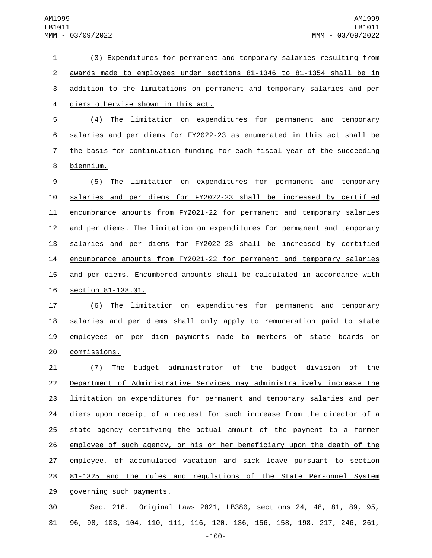| 1              | (3) Expenditures for permanent and temporary salaries resulting from           |
|----------------|--------------------------------------------------------------------------------|
| $\overline{c}$ | awards made to employees under sections 81-1346 to 81-1354 shall be in         |
| 3              | addition to the limitations on permanent and temporary salaries and per        |
| 4              | diems otherwise shown in this act.                                             |
| 5              | (4) The limitation on expenditures for permanent and temporary                 |
| 6              | salaries and per diems for FY2022-23 as enumerated in this act shall be        |
| $\overline{7}$ | the basis for continuation funding for each fiscal year of the succeeding      |
| 8              | biennium.                                                                      |
| 9              | The limitation on expenditures for permanent and temporary<br>(5)              |
| 10             | salaries and per diems for FY2022-23 shall be increased by certified           |
| 11             | encumbrance amounts from FY2021-22 for permanent and temporary salaries        |
| 12             | and per diems. The limitation on expenditures for permanent and temporary      |
| 13             | salaries and per diems for FY2022-23 shall be increased by certified           |
| 14             | encumbrance amounts from FY2021-22 for permanent and temporary salaries        |
| 15             | and per diems. Encumbered amounts shall be calculated in accordance with       |
| 16             | section 81-138.01.                                                             |
| 17             | (6) The limitation on expenditures for permanent and temporary                 |
| 18             | salaries and per diems shall only apply to remuneration paid to state          |
| 19             | employees or per diem payments made to members of state boards or              |
| 20             | commissions.                                                                   |
| 21             | <u>(7) The budget administrator of the budget division of the </u>             |
| 22             | Department of Administrative Services may administratively increase the        |
| 23             | <u>limitation on expenditures for permanent and temporary salaries and per</u> |
| 24             | diems upon receipt of a request for such increase from the director of a       |
| 25             | state agency certifying the actual amount of the payment to a former           |
| 26             | employee of such agency, or his or her beneficiary upon the death of the       |
| 27             | employee, of accumulated vacation and sick leave pursuant to section           |
| 28             | 81-1325 and the rules and regulations of the State Personnel System            |
| 29             | governing such payments.                                                       |
| 30             | Sec. 216. Original Laws 2021, LB380, sections 24, 48, 81, 89, 95,              |

96, 98, 103, 104, 110, 111, 116, 120, 136, 156, 158, 198, 217, 246, 261,

-100-